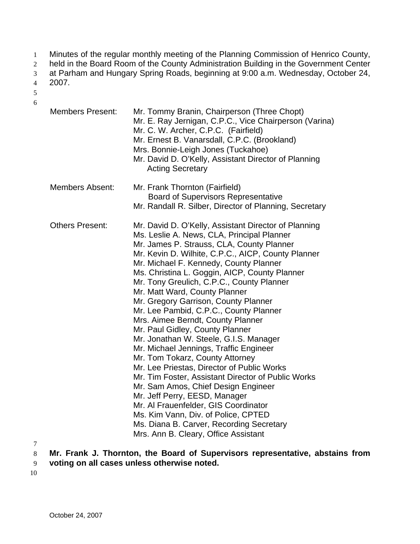- Minutes of the regular monthly meeting of the Planning Commission of Henrico County, 1
- held in the Board Room of the County Administration Building in the Government Center 2
- at Parham and Hungary Spring Roads, beginning at 9:00 a.m. Wednesday, October 24, 3

2007. 4

- 5 6
- Members Present: Mr. Tommy Branin, Chairperson (Three Chopt) Mr. E. Ray Jernigan, C.P.C., Vice Chairperson (Varina) Mr. C. W. Archer, C.P.C. (Fairfield) Mr. Ernest B. Vanarsdall, C.P.C. (Brookland) Mrs. Bonnie-Leigh Jones (Tuckahoe) Mr. David D. O'Kelly, Assistant Director of Planning Acting Secretary Members Absent: Mr. Frank Thornton (Fairfield) Board of Supervisors Representative Mr. Randall R. Silber, Director of Planning, Secretary Others Present: Mr. David D. O'Kelly, Assistant Director of Planning Ms. Leslie A. News, CLA, Principal Planner Mr. James P. Strauss, CLA, County Planner Mr. Kevin D. Wilhite, C.P.C., AICP, County Planner Mr. Michael F. Kennedy, County Planner Ms. Christina L. Goggin, AICP, County Planner Mr. Tony Greulich, C.P.C., County Planner Mr. Matt Ward, County Planner Mr. Gregory Garrison, County Planner Mr. Lee Pambid, C.P.C., County Planner Mrs. Aimee Berndt, County Planner Mr. Paul Gidley, County Planner Mr. Jonathan W. Steele, G.I.S. Manager Mr. Michael Jennings, Traffic Engineer Mr. Tom Tokarz, County Attorney Mr. Lee Priestas, Director of Public Works Mr. Tim Foster, Assistant Director of Public Works Mr. Sam Amos, Chief Design Engineer Mr. Jeff Perry, EESD, Manager Mr. Al Frauenfelder, GIS Coordinator Ms. Kim Vann, Div. of Police, CPTED Ms. Diana B. Carver, Recording Secretary Mrs. Ann B. Cleary, Office Assistant
- 7

8 **Mr. Frank J. Thornton, the Board of Supervisors representative, abstains from** 

- 9 **voting on all cases unless otherwise noted.**
- 10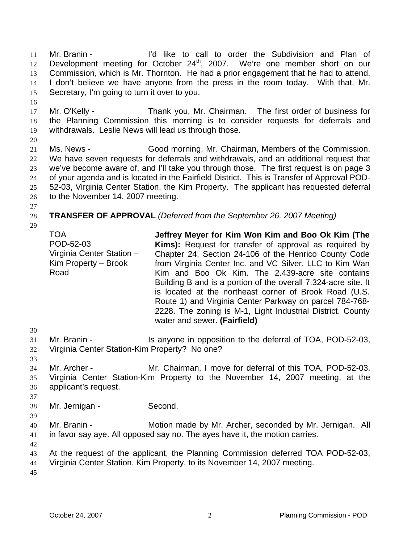Mr. Branin - The I'd like to call to order the Subdivision and Plan of Development meeting for October 24<sup>th</sup>, 2007. We're one member short on our 11 12 13 14 15 Commission, which is Mr. Thornton. He had a prior engagement that he had to attend. I don't believe we have anyone from the press in the room today. With that, Mr. Secretary, I'm going to turn it over to you.

- 17 18 19 Mr. O'Kelly - Thank you, Mr. Chairman. The first order of business for the Planning Commission this morning is to consider requests for deferrals and withdrawals. Leslie News will lead us through those.
- 20

16

- 21 22 23 24 25 26 Ms. News - Good morning, Mr. Chairman, Members of the Commission. We have seven requests for deferrals and withdrawals, and an additional request that we've become aware of, and I'll take you through those. The first request is on page 3 of your agenda and is located in the Fairfield District. This is Transfer of Approval POD-52-03, Virginia Center Station, the Kim Property. The applicant has requested deferral to the November 14, 2007 meeting.
- 27

### 28 **TRANSFER OF APPROVAL** *(Deferred from the September 26, 2007 Meeting)*

29

TOA POD-52-03 Virginia Center Station – Kim Property – Brook Road

**Jeffrey Meyer for Kim Won Kim and Boo Ok Kim (The Kims):** Request for transfer of approval as required by Chapter 24, Section 24-106 of the Henrico County Code from Virginia Center Inc. and VC Silver, LLC to Kim Wan Kim and Boo Ok Kim. The 2.439-acre site contains Building B and is a portion of the overall 7.324-acre site. It is located at the northeast corner of Brook Road (U.S. Route 1) and Virginia Center Parkway on parcel 784-768- 2228. The zoning is M-1, Light Industrial District. County water and sewer. **(Fairfield)** 

- 30
- 31 Mr. Branin - Is anyone in opposition to the deferral of TOA, POD-52-03,
- 32 33 Virginia Center Station-Kim Property? No one?
- 34 35 36 Mr. Archer - Mr. Chairman, I move for deferral of this TOA, POD-52-03, Virginia Center Station-Kim Property to the November 14, 2007 meeting, at the applicant's request.
- 37
- 38 Mr. Jernigan - Second.
- 39
- 40 41 Mr. Branin - **Motion made by Mr. Archer, seconded by Mr. Jernigan.** All in favor say aye. All opposed say no. The ayes have it, the motion carries.
- 42

44 Virginia Center Station, Kim Property, to its November 14, 2007 meeting.

<sup>43</sup>  At the request of the applicant, the Planning Commission deferred TOA POD-52-03,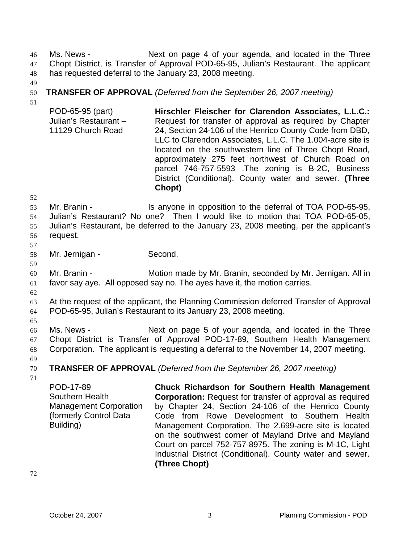Ms. News - Next on page 4 of your agenda, and located in the Three Chopt District, is Transfer of Approval POD-65-95, Julian's Restaurant. The applicant has requested deferral to the January 23, 2008 meeting. 46 47 48

49

# **TRANSFER OF APPROVAL** *(Deferred from the September 26, 2007 meeting)*

50 51

POD-65-95 (part) Julian's Restaurant – 11129 Church Road **Hirschler Fleischer for Clarendon Associates, L.L.C.:**  Request for transfer of approval as required by Chapter 24, Section 24-106 of the Henrico County Code from DBD, LLC to Clarendon Associates, L.L.C. The 1.004-acre site is located on the southwestern line of Three Chopt Road, approximately 275 feet northwest of Church Road on parcel 746-757-5593 .The zoning is B-2C, Business District (Conditional). County water and sewer. **(Three Chopt)** 

52

53 54 55 56 Mr. Branin - The Is anyone in opposition to the deferral of TOA POD-65-95, Julian's Restaurant? No one? Then I would like to motion that TOA POD-65-05, Julian's Restaurant, be deferred to the January 23, 2008 meeting, per the applicant's request.

57

58 Mr. Jernigan - Second.

60 61 Mr. Branin - Motion made by Mr. Branin, seconded by Mr. Jernigan. All in favor say aye. All opposed say no. The ayes have it, the motion carries.

62

59

63 64 At the request of the applicant, the Planning Commission deferred Transfer of Approval POD-65-95, Julian's Restaurant to its January 23, 2008 meeting.

65

66 67 68 Ms. News - Next on page 5 of your agenda, and located in the Three Chopt District is Transfer of Approval POD-17-89, Southern Health Management Corporation. The applicant is requesting a deferral to the November 14, 2007 meeting.

69 70

**TRANSFER OF APPROVAL** *(Deferred from the September 26, 2007 meeting)*

71

POD-17-89 Southern Health Management Corporation (formerly Control Data Building)

**Chuck Richardson for Southern Health Management Corporation:** Request for transfer of approval as required by Chapter 24, Section 24-106 of the Henrico County Code from Rowe Development to Southern Health Management Corporation. The 2.699-acre site is located on the southwest corner of Mayland Drive and Mayland Court on parcel 752-757-8975. The zoning is M-1C, Light Industrial District (Conditional). County water and sewer. **(Three Chopt)**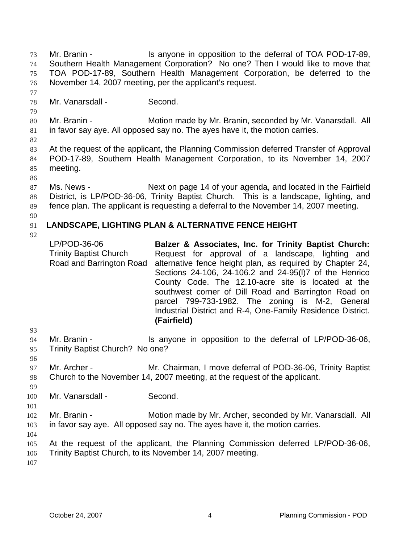Mr. Branin - The Is anyone in opposition to the deferral of TOA POD-17-89, Southern Health Management Corporation? No one? Then I would like to move that TOA POD-17-89, Southern Health Management Corporation, be deferred to the November 14, 2007 meeting, per the applicant's request. 73 74 75 76 77

78 Mr. Vanarsdall - Second.

80 81 Mr. Branin - **Motion made by Mr. Branin, seconded by Mr. Vanarsdall.** All in favor say aye. All opposed say no. The ayes have it, the motion carries.

82

79

83 84 85 At the request of the applicant, the Planning Commission deferred Transfer of Approval POD-17-89, Southern Health Management Corporation, to its November 14, 2007 meeting.

86

87 88 89 Ms. News - Next on page 14 of your agenda, and located in the Fairfield District, is LP/POD-36-06, Trinity Baptist Church. This is a landscape, lighting, and fence plan. The applicant is requesting a deferral to the November 14, 2007 meeting.

90

### 91 **LANDSCAPE, LIGHTING PLAN & ALTERNATIVE FENCE HEIGHT**

92

LP/POD-36-06 Trinity Baptist Church Road and Barrington Road **Balzer & Associates, Inc. for Trinity Baptist Church:** Request for approval of a landscape, lighting and alternative fence height plan, as required by Chapter 24, Sections 24-106, 24-106.2 and 24-95(l)7 of the Henrico County Code. The 12.10-acre site is located at the southwest corner of Dill Road and Barrington Road on parcel 799-733-1982. The zoning is M-2, General Industrial District and R-4, One-Family Residence District. **(Fairfield)** 

94 95 Mr. Branin - Is anyone in opposition to the deferral of LP/POD-36-06, Trinity Baptist Church? No one?

96

99

101

93

97 98 Mr. Archer - Mr. Chairman, I move deferral of POD-36-06, Trinity Baptist Church to the November 14, 2007 meeting, at the request of the applicant.

100 Mr. Vanarsdall - Second.

102 103 Mr. Branin - **Motion made by Mr. Archer, seconded by Mr. Vanarsdall.** All in favor say aye. All opposed say no. The ayes have it, the motion carries.

104

105 At the request of the applicant, the Planning Commission deferred LP/POD-36-06,

106 Trinity Baptist Church, to its November 14, 2007 meeting.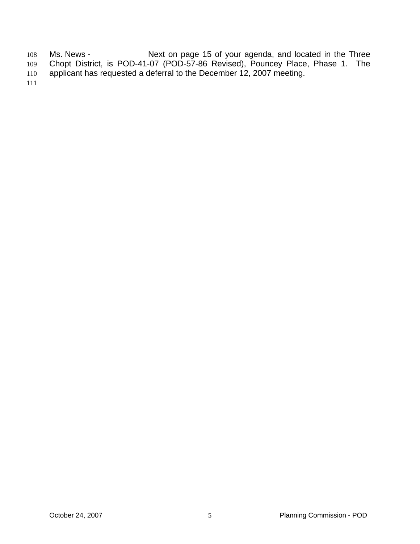Ms. News - The Mext on page 15 of your agenda, and located in the Three Chopt District, is POD-41-07 (POD-57-86 Revised), Pouncey Place, Phase 1. The applicant has requested a deferral to the December 12, 2007 meeting. 108 109 110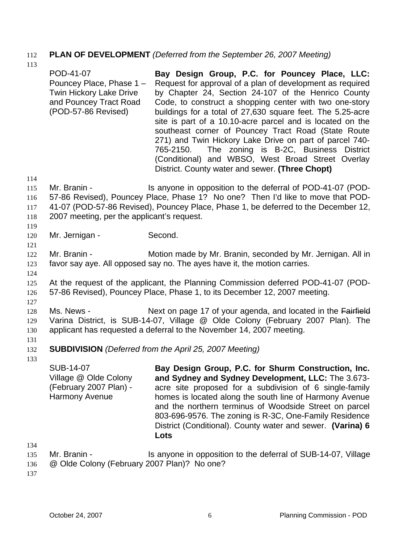# 112 **PLAN OF DEVELOPMENT** *(Deferred from the September 26, 2007 Meeting)*

113 114 115 116 117 118 119 120 121 122 123 124 125 126 127 POD-41-07 Pouncey Place, Phase 1 – Twin Hickory Lake Drive and Pouncey Tract Road (POD-57-86 Revised) **Bay Design Group, P.C. for Pouncey Place, LLC:**  Request for approval of a plan of development as required by Chapter 24, Section 24-107 of the Henrico County Code, to construct a shopping center with two one-story buildings for a total of 27,630 square feet. The 5.25-acre site is part of a 10.10-acre parcel and is located on the southeast corner of Pouncey Tract Road (State Route 271) and Twin Hickory Lake Drive on part of parcel 740- 765-2150. The zoning is B-2C, Business District (Conditional) and WBSO, West Broad Street Overlay District. County water and sewer. **(Three Chopt)**  Mr. Branin - The Is anyone in opposition to the deferral of POD-41-07 (POD-57-86 Revised), Pouncey Place, Phase 1? No one? Then I'd like to move that POD-41-07 (POD-57-86 Revised), Pouncey Place, Phase 1, be deferred to the December 12, 2007 meeting, per the applicant's request. Mr. Jernigan - Second. Mr. Branin - **Motion made by Mr. Branin, seconded by Mr. Jernigan. All in** favor say aye. All opposed say no. The ayes have it, the motion carries. At the request of the applicant, the Planning Commission deferred POD-41-07 (POD-57-86 Revised), Pouncey Place, Phase 1, to its December 12, 2007 meeting. 128 Ms. News - Next on page 17 of your agenda, and located in the Fairfield 129 130 131 132 133 Varina District, is SUB-14-07, Village @ Olde Colony (February 2007 Plan). The applicant has requested a deferral to the November 14, 2007 meeting. **SUBDIVISION** *(Deferred from the April 25, 2007 Meeting)* SUB-14-07 Village @ Olde Colony (February 2007 Plan) - Harmony Avenue **Bay Design Group, P.C. for Shurm Construction, Inc. and Sydney and Sydney Development, LLC:** The 3.673 acre site proposed for a subdivision of 6 single-family

134

135 Mr. Branin - The Is anyone in opposition to the deferral of SUB-14-07, Village

**Lots** 

homes is located along the south line of Harmony Avenue and the northern terminus of Woodside Street on parcel 803-696-9576. The zoning is R-3C, One-Family Residence District (Conditional). County water and sewer. **(Varina) 6** 

136 @ Olde Colony (February 2007 Plan)? No one?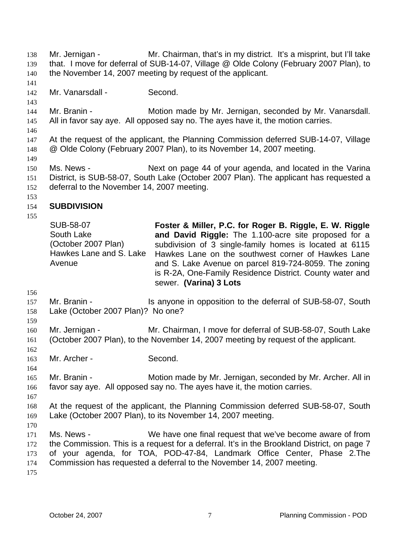Mr. Jernigan - Mr. Chairman, that's in my district. It's a misprint, but I'll take that. I move for deferral of SUB-14-07, Village @ Olde Colony (February 2007 Plan), to the November 14, 2007 meeting by request of the applicant. 138 139 140 141 142 143 144 145 146 147 148 149 150 151 152 153 154 155 156 157 158 159 160 161 162 163 164 165 166 167 168 169 170 171 172 173 174 175 Mr. Vanarsdall - Second. Mr. Branin - **Motion made by Mr. Jernigan, seconded by Mr. Vanarsdall.** All in favor say aye. All opposed say no. The ayes have it, the motion carries. At the request of the applicant, the Planning Commission deferred SUB-14-07, Village @ Olde Colony (February 2007 Plan), to its November 14, 2007 meeting. Ms. News - Next on page 44 of your agenda, and located in the Varina District, is SUB-58-07, South Lake (October 2007 Plan). The applicant has requested a deferral to the November 14, 2007 meeting. **SUBDIVISION**  SUB-58-07 South Lake (October 2007 Plan) Hawkes Lane and S. Lake Avenue **Foster & Miller, P.C. for Roger B. Riggle, E. W. Riggle and David Riggle:** The 1.100-acre site proposed for a subdivision of 3 single-family homes is located at 6115 Hawkes Lane on the southwest corner of Hawkes Lane and S. Lake Avenue on parcel 819-724-8059. The zoning is R-2A, One-Family Residence District. County water and sewer. **(Varina) 3 Lots**  Mr. Branin - Is anyone in opposition to the deferral of SUB-58-07, South Lake (October 2007 Plan)? No one? Mr. Jernigan - Mr. Chairman, I move for deferral of SUB-58-07, South Lake (October 2007 Plan), to the November 14, 2007 meeting by request of the applicant. Mr. Archer - Second. Mr. Branin - **Motion made by Mr. Jernigan, seconded by Mr. Archer. All in** favor say aye. All opposed say no. The ayes have it, the motion carries. At the request of the applicant, the Planning Commission deferred SUB-58-07, South Lake (October 2007 Plan), to its November 14, 2007 meeting. Ms. News - We have one final request that we've become aware of from the Commission. This is a request for a deferral. It's in the Brookland District, on page 7 of your agenda, for TOA, POD-47-84, Landmark Office Center, Phase 2.The Commission has requested a deferral to the November 14, 2007 meeting.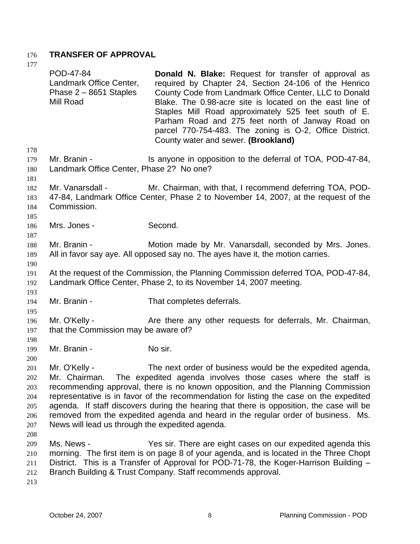# 176 **TRANSFER OF APPROVAL**

177 178 179 180 181 182 183 184 185 186 187 188 189 190 191 192 193 194 195 196 197 198 199 200 201 202 203 204 205 206 207 208 209 210 211 212 213 POD-47-84 Landmark Office Center, Phase 2 – 8651 Staples Mill Road **Donald N. Blake:** Request for transfer of approval as required by Chapter 24, Section 24-106 of the Henrico County Code from Landmark Office Center, LLC to Donald Blake. The 0.98-acre site is located on the east line of Staples Mill Road approximately 525 feet south of E. Parham Road and 275 feet north of Janway Road on parcel 770-754-483. The zoning is O-2, Office District. County water and sewer. **(Brookland)**  Mr. Branin - The Is anyone in opposition to the deferral of TOA, POD-47-84, Landmark Office Center, Phase 2? No one? Mr. Vanarsdall - Mr. Chairman, with that, I recommend deferring TOA, POD-47-84, Landmark Office Center, Phase 2 to November 14, 2007, at the request of the Commission. Mrs. Jones - Second. Mr. Branin - **Motion made by Mr. Vanarsdall, seconded by Mrs. Jones.** All in favor say aye. All opposed say no. The ayes have it, the motion carries. At the request of the Commission, the Planning Commission deferred TOA, POD-47-84, Landmark Office Center, Phase 2, to its November 14, 2007 meeting. Mr. Branin - That completes deferrals. Mr. O'Kelly - Are there any other requests for deferrals, Mr. Chairman, that the Commission may be aware of? Mr. Branin - No sir. Mr. O'Kelly - The next order of business would be the expedited agenda, Mr. Chairman. The expedited agenda involves those cases where the staff is recommending approval, there is no known opposition, and the Planning Commission representative is in favor of the recommendation for listing the case on the expedited agenda. If staff discovers during the hearing that there is opposition, the case will be removed from the expedited agenda and heard in the regular order of business. Ms. News will lead us through the expedited agenda. Ms. News - Yes sir. There are eight cases on our expedited agenda this morning. The first item is on page 8 of your agenda, and is located in the Three Chopt District. This is a Transfer of Approval for POD-71-78, the Koger-Harrison Building – Branch Building & Trust Company. Staff recommends approval.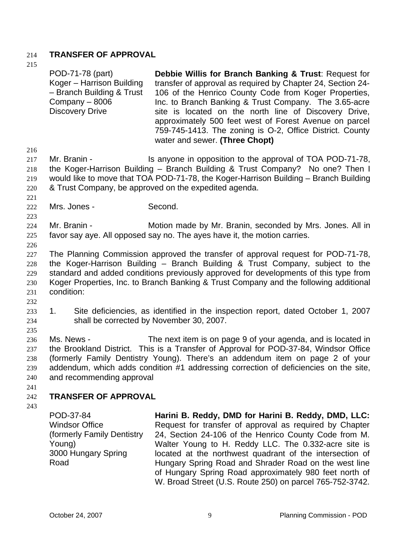# 214 **TRANSFER OF APPROVAL**

- 215 216 217 218 219 220 221 222 223 224 225 226 227 228 229 230 231 232 233 234 235 236 237 238 239 240 241 242 243 POD-71-78 (part) Koger – Harrison Building – Branch Building & Trust Company – 8006 Discovery Drive **Debbie Willis for Branch Banking & Trust**: Request for transfer of approval as required by Chapter 24, Section 24- 106 of the Henrico County Code from Koger Properties, Inc. to Branch Banking & Trust Company. The 3.65-acre site is located on the north line of Discovery Drive, approximately 500 feet west of Forest Avenue on parcel 759-745-1413. The zoning is O-2, Office District. County water and sewer. **(Three Chopt)**  Mr. Branin - The Is anyone in opposition to the approval of TOA POD-71-78, the Koger-Harrison Building – Branch Building & Trust Company? No one? Then I would like to move that TOA POD-71-78, the Koger-Harrison Building – Branch Building & Trust Company, be approved on the expedited agenda. Mrs. Jones - Second. Mr. Branin - **Motion made by Mr. Branin, seconded by Mrs. Jones. All in** favor say aye. All opposed say no. The ayes have it, the motion carries. The Planning Commission approved the transfer of approval request for POD-71-78, the Koger-Harrison Building – Branch Building & Trust Company, subject to the standard and added conditions previously approved for developments of this type from Koger Properties, Inc. to Branch Banking & Trust Company and the following additional condition: 1. Site deficiencies, as identified in the inspection report, dated October 1, 2007 shall be corrected by November 30, 2007. Ms. News - The next item is on page 9 of your agenda, and is located in the Brookland District. This is a Transfer of Approval for POD-37-84, Windsor Office (formerly Family Dentistry Young). There's an addendum item on page 2 of your addendum, which adds condition #1 addressing correction of deficiencies on the site, and recommending approval **TRANSFER OF APPROVAL**  POD-37-84 Windsor Office (formerly Family Dentistry Young) 3000 Hungary Spring **Harini B. Reddy, DMD for Harini B. Reddy, DMD, LLC:** Request for transfer of approval as required by Chapter 24, Section 24-106 of the Henrico County Code from M. Walter Young to H. Reddy LLC. The 0.332-acre site is
	- located at the northwest quadrant of the intersection of Hungary Spring Road and Shrader Road on the west line of Hungary Spring Road approximately 980 feet north of W. Broad Street (U.S. Route 250) on parcel 765-752-3742.

Road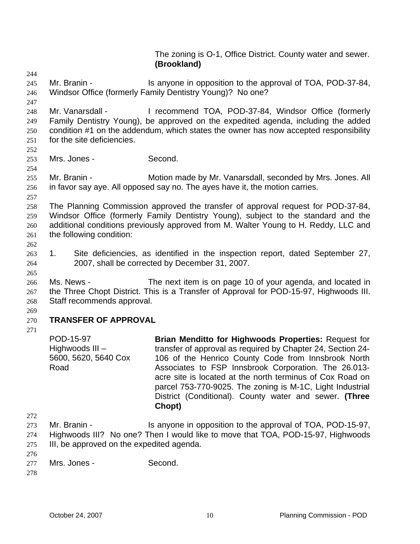The zoning is O-1, Office District. County water and sewer. **(Brookland)** 

- 244 245 246 Mr. Branin - Is anyone in opposition to the approval of TOA, POD-37-84, Windsor Office (formerly Family Dentistry Young)? No one?
- 248 249 250 251 Mr. Vanarsdall - I recommend TOA, POD-37-84, Windsor Office (formerly Family Dentistry Young), be approved on the expedited agenda, including the added condition #1 on the addendum, which states the owner has now accepted responsibility for the site deficiencies.
- 252

254

257

247

- 253 Mrs. Jones - Second.
- 255 256 Mr. Branin - **Motion made by Mr. Vanarsdall, seconded by Mrs. Jones. All** in favor say aye. All opposed say no. The ayes have it, the motion carries.
- 258 259 260 261 The Planning Commission approved the transfer of approval request for POD-37-84, Windsor Office (formerly Family Dentistry Young), subject to the standard and the additional conditions previously approved from M. Walter Young to H. Reddy, LLC and the following condition:
- 262

265

- 263 264 1. Site deficiencies, as identified in the inspection report, dated September 27, 2007, shall be corrected by December 31, 2007.
- 266 267 268 Ms. News - The next item is on page 10 of your agenda, and located in the Three Chopt District. This is a Transfer of Approval for POD-15-97, Highwoods III. Staff recommends approval.
- 269

## 270 **TRANSFER OF APPROVAL**

271

POD-15-97 Highwoods III – 5600, 5620, 5640 Cox Road

**Brian Menditto for Highwoods Properties:** Request for transfer of approval as required by Chapter 24, Section 24- 106 of the Henrico County Code from Innsbrook North Associates to FSP Innsbrook Corporation. The 26.013 acre site is located at the north terminus of Cox Road on parcel 753-770-9025. The zoning is M-1C, Light Industrial District (Conditional). County water and sewer. **(Three Chopt)**

- 273 274 275 Mr. Branin - Is anyone in opposition to the approval of TOA, POD-15-97, Highwoods III? No one? Then I would like to move that TOA, POD-15-97, Highwoods III, be approved on the expedited agenda.
- 276 277 Mrs. Jones - Second.
- 278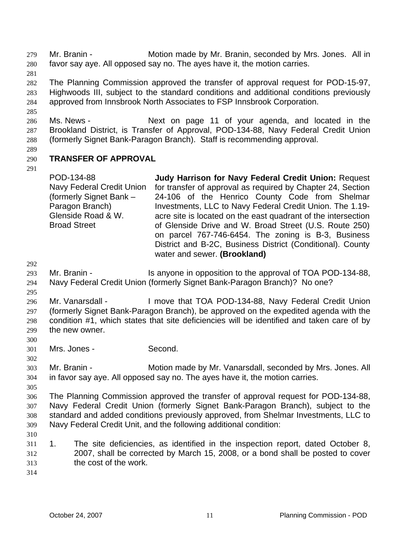Mr. Branin - Motion made by Mr. Branin, seconded by Mrs. Jones. All in favor say aye. All opposed say no. The ayes have it, the motion carries. 279 280

281

285

282 283 284 The Planning Commission approved the transfer of approval request for POD-15-97, Highwoods III, subject to the standard conditions and additional conditions previously approved from Innsbrook North Associates to FSP Innsbrook Corporation.

286 287 288 Ms. News - The Mext on page 11 of your agenda, and located in the Brookland District, is Transfer of Approval, POD-134-88, Navy Federal Credit Union (formerly Signet Bank-Paragon Branch). Staff is recommending approval.

289

### 290 **TRANSFER OF APPROVAL**

291

POD-134-88 Navy Federal Credit Union (formerly Signet Bank – Paragon Branch) Glenside Road & W. Broad Street **Judy Harrison for Navy Federal Credit Union:** Request for transfer of approval as required by Chapter 24, Section 24-106 of the Henrico County Code from Shelmar Investments, LLC to Navy Federal Credit Union. The 1.19 acre site is located on the east quadrant of the intersection of Glenside Drive and W. Broad Street (U.S. Route 250) on parcel 767-746-6454. The zoning is B-3, Business District and B-2C, Business District (Conditional). County water and sewer. **(Brookland)** 

292

295

293 294 Mr. Branin - The Is anyone in opposition to the approval of TOA POD-134-88, Navy Federal Credit Union (formerly Signet Bank-Paragon Branch)? No one?

296 297 298 299 Mr. Vanarsdall - I move that TOA POD-134-88, Navy Federal Credit Union (formerly Signet Bank-Paragon Branch), be approved on the expedited agenda with the condition #1, which states that site deficiencies will be identified and taken care of by the new owner.

300 301 Mrs. Jones - Second.

303 304 Mr. Branin - Motion made by Mr. Vanarsdall, seconded by Mrs. Jones. All in favor say aye. All opposed say no. The ayes have it, the motion carries.

305

302

306 307 308 309 The Planning Commission approved the transfer of approval request for POD-134-88, Navy Federal Credit Union (formerly Signet Bank-Paragon Branch), subject to the standard and added conditions previously approved, from Shelmar Investments, LLC to Navy Federal Credit Unit, and the following additional condition:

310

311 312 313 1. The site deficiencies, as identified in the inspection report, dated October 8, 2007, shall be corrected by March 15, 2008, or a bond shall be posted to cover the cost of the work.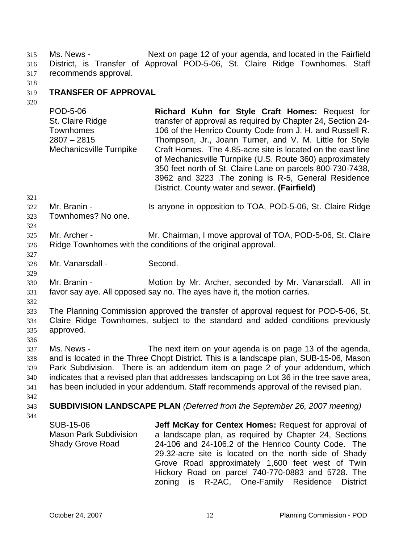Ms. News - Next on page 12 of your agenda, and located in the Fairfield District, is Transfer of Approval POD-5-06, St. Claire Ridge Townhomes. Staff recommends approval. 315 316 317

318

### 319 **TRANSFER OF APPROVAL**

320

POD-5-06 St. Claire Ridge Townhomes 2807 – 2815 Mechanicsville Turnpike **Richard Kuhn for Style Craft Homes:** Request for transfer of approval as required by Chapter 24, Section 24- 106 of the Henrico County Code from J. H. and Russell R. Thompson, Jr., Joann Turner, and V. M. Little for Style Craft Homes. The 4.85-acre site is located on the east line of Mechanicsville Turnpike (U.S. Route 360) approximately 350 feet north of St. Claire Lane on parcels 800-730-7438, 3962 and 3223 .The zoning is R-5, General Residence District. County water and sewer. **(Fairfield)** 

- 321 322 Mr. Branin - **IS anyone in opposition to TOA, POD-5-06, St. Claire Ridge**
- 323 324 Townhomes? No one.
- 325 326 Mr. Archer - **Mr. Chairman, I move approval of TOA, POD-5-06, St. Claire** Ridge Townhomes with the conditions of the original approval.
- 328 Mr. Vanarsdall - Second.
- 330 331 Mr. Branin - Motion by Mr. Archer, seconded by Mr. Vanarsdall. All in favor say aye. All opposed say no. The ayes have it, the motion carries.
- 332

336

327

329

333 334 335 The Planning Commission approved the transfer of approval request for POD-5-06, St. Claire Ridge Townhomes, subject to the standard and added conditions previously approved.

337 338 339 340 341 Ms. News - The next item on your agenda is on page 13 of the agenda, and is located in the Three Chopt District. This is a landscape plan, SUB-15-06, Mason Park Subdivision. There is an addendum item on page 2 of your addendum, which indicates that a revised plan that addresses landscaping on Lot 36 in the tree save area, has been included in your addendum. Staff recommends approval of the revised plan.

- 342
- 343 **SUBDIVISION LANDSCAPE PLAN** *(Deferred from the September 26, 2007 meeting)*
- 344

SUB-15-06 Mason Park Subdivision Shady Grove Road **Jeff McKay for Centex Homes:** Request for approval of a landscape plan, as required by Chapter 24, Sections 24-106 and 24-106.2 of the Henrico County Code. The 29.32-acre site is located on the north side of Shady Grove Road approximately 1,600 feet west of Twin Hickory Road on parcel 740-770-0883 and 5728. The zoning is R-2AC, One-Family Residence District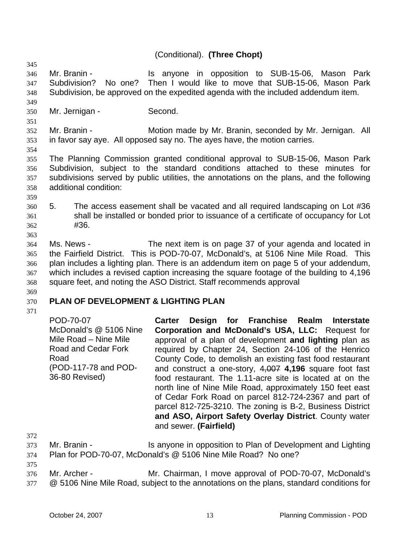# (Conditional). **(Three Chopt)**

346 347 348 Mr. Branin - Is anyone in opposition to SUB-15-06, Mason Park Subdivision? No one? Then I would like to move that SUB-15-06, Mason Park Subdivision, be approved on the expedited agenda with the included addendum item.

- 350 Mr. Jernigan - Second.
	-

352 353 Mr. Branin - Motion made by Mr. Branin, seconded by Mr. Jernigan. All in favor say aye. All opposed say no. The ayes have, the motion carries.

354

345

349

351

355 356 357 358 The Planning Commission granted conditional approval to SUB-15-06, Mason Park Subdivision, subject to the standard conditions attached to these minutes for subdivisions served by public utilities, the annotations on the plans, and the following additional condition:

359

363

360 361 362 5. The access easement shall be vacated and all required landscaping on Lot #36 shall be installed or bonded prior to issuance of a certificate of occupancy for Lot #36.

364 365 366 367 368 Ms. News - The next item is on page 37 of your agenda and located in the Fairfield District. This is POD-70-07, McDonald's, at 5106 Nine Mile Road. This plan includes a lighting plan. There is an addendum item on page 5 of your addendum, which includes a revised caption increasing the square footage of the building to 4,196 square feet, and noting the ASO District. Staff recommends approval

# 369

### 370 **PLAN OF DEVELOPMENT & LIGHTING PLAN**

371

POD-70-07 McDonald's @ 5106 Nine Mile Road – Nine Mile Road and Cedar Fork Road (POD-117-78 and POD-36-80 Revised) **Carter Design for Franchise Realm Interstate Corporation and McDonald's USA, LLC:** Request for approval of a plan of development **and lighting** plan as required by Chapter 24, Section 24-106 of the Henrico County Code, to demolish an existing fast food restaurant and construct a one-story, 4,007 **4,196** square foot fast food restaurant. The 1.11-acre site is located at on the north line of Nine Mile Road, approximately 150 feet east of Cedar Fork Road on parcel 812-724-2367 and part of parcel 812-725-3210. The zoning is B-2, Business District **and ASO, Airport Safety Overlay District**. County water and sewer. **(Fairfield)** 

372

373 374 Mr. Branin - Is anyone in opposition to Plan of Development and Lighting Plan for POD-70-07, McDonald's @ 5106 Nine Mile Road? No one?

- 375 376 Mr. Archer - Mr. Chairman, I move approval of POD-70-07, McDonald's
- 377 @ 5106 Nine Mile Road, subject to the annotations on the plans, standard conditions for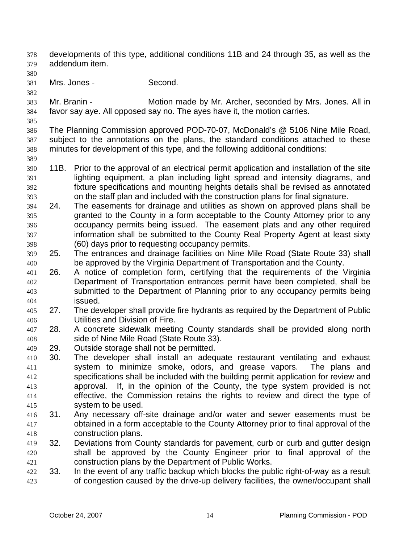developments of this type, additional conditions 11B and 24 through 35, as well as the addendum item. 378 379

380

381 Mrs. Jones - Second.

382

385

389

383 384 Mr. Branin - **Motion made by Mr. Archer, seconded by Mrs. Jones. All in** favor say aye. All opposed say no. The ayes have it, the motion carries.

386 387 388 The Planning Commission approved POD-70-07, McDonald's @ 5106 Nine Mile Road, subject to the annotations on the plans, the standard conditions attached to these minutes for development of this type, and the following additional conditions:

- 390 391 392 393 11B. Prior to the approval of an electrical permit application and installation of the site lighting equipment, a plan including light spread and intensity diagrams, and fixture specifications and mounting heights details shall be revised as annotated on the staff plan and included with the construction plans for final signature.
- 394 395 396 397 398 24. The easements for drainage and utilities as shown on approved plans shall be granted to the County in a form acceptable to the County Attorney prior to any occupancy permits being issued. The easement plats and any other required information shall be submitted to the County Real Property Agent at least sixty (60) days prior to requesting occupancy permits.
- 399 400 25. The entrances and drainage facilities on Nine Mile Road (State Route 33) shall be approved by the Virginia Department of Transportation and the County.
- 401 402 403 404 26. A notice of completion form, certifying that the requirements of the Virginia Department of Transportation entrances permit have been completed, shall be submitted to the Department of Planning prior to any occupancy permits being issued.
- 405 406 27. The developer shall provide fire hydrants as required by the Department of Public Utilities and Division of Fire.
- 407 408 28. A concrete sidewalk meeting County standards shall be provided along north side of Nine Mile Road (State Route 33).
- 409 29. Outside storage shall not be permitted.
- 410 411 412 413 414 415 30. The developer shall install an adequate restaurant ventilating and exhaust system to minimize smoke, odors, and grease vapors. The plans and specifications shall be included with the building permit application for review and approval. If, in the opinion of the County, the type system provided is not effective, the Commission retains the rights to review and direct the type of system to be used.
- 416 417 418 31. Any necessary off-site drainage and/or water and sewer easements must be obtained in a form acceptable to the County Attorney prior to final approval of the construction plans.
- 419 420 421 32. Deviations from County standards for pavement, curb or curb and gutter design shall be approved by the County Engineer prior to final approval of the construction plans by the Department of Public Works.
- 422 423 33. In the event of any traffic backup which blocks the public right-of-way as a result of congestion caused by the drive-up delivery facilities, the owner/occupant shall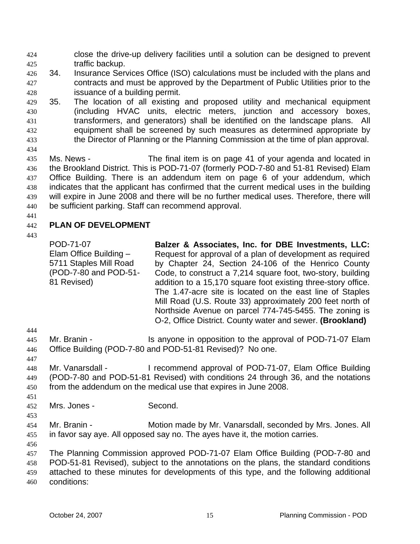close the drive-up delivery facilities until a solution can be designed to prevent traffic backup. 424 425

- 426 427 428 34. Insurance Services Office (ISO) calculations must be included with the plans and contracts and must be approved by the Department of Public Utilities prior to the issuance of a building permit.
- 429 430 431 432 433 35. The location of all existing and proposed utility and mechanical equipment (including HVAC units, electric meters, junction and accessory boxes, transformers, and generators) shall be identified on the landscape plans. All equipment shall be screened by such measures as determined appropriate by the Director of Planning or the Planning Commission at the time of plan approval.

434 435 436 437 438 439 440 Ms. News - The final item is on page 41 of your agenda and located in the Brookland District. This is POD-71-07 (formerly POD-7-80 and 51-81 Revised) Elam Office Building. There is an addendum item on page 6 of your addendum, which indicates that the applicant has confirmed that the current medical uses in the building will expire in June 2008 and there will be no further medical uses. Therefore, there will be sufficient parking. Staff can recommend approval.

441

### 442 **PLAN OF DEVELOPMENT**

443

POD-71-07 Elam Office Building – 5711 Staples Mill Road (POD-7-80 and POD-51- 81 Revised)

**Balzer & Associates, Inc. for DBE Investments, LLC:**  Request for approval of a plan of development as required by Chapter 24, Section 24-106 of the Henrico County Code, to construct a 7,214 square foot, two-story, building addition to a 15,170 square foot existing three-story office. The 1.47-acre site is located on the east line of Staples Mill Road (U.S. Route 33) approximately 200 feet north of Northside Avenue on parcel 774-745-5455. The zoning is O-2, Office District. County water and sewer. **(Brookland)** 

444

445 446 Mr. Branin - Is anyone in opposition to the approval of POD-71-07 Elam Office Building (POD-7-80 and POD-51-81 Revised)? No one.

- 447 448 449 450 Mr. Vanarsdall - I recommend approval of POD-71-07, Elam Office Building (POD-7-80 and POD-51-81 Revised) with conditions 24 through 36, and the notations from the addendum on the medical use that expires in June 2008.
- 452 Mrs. Jones - Second.
- 453

451

- 
- 454 455 Mr. Branin - **Motion made by Mr. Vanarsdall, seconded by Mrs. Jones. All** in favor say aye. All opposed say no. The ayes have it, the motion carries.
- 456

457 The Planning Commission approved POD-71-07 Elam Office Building (POD-7-80 and

458 POD-51-81 Revised), subject to the annotations on the plans, the standard conditions

459 460 attached to these minutes for developments of this type, and the following additional conditions: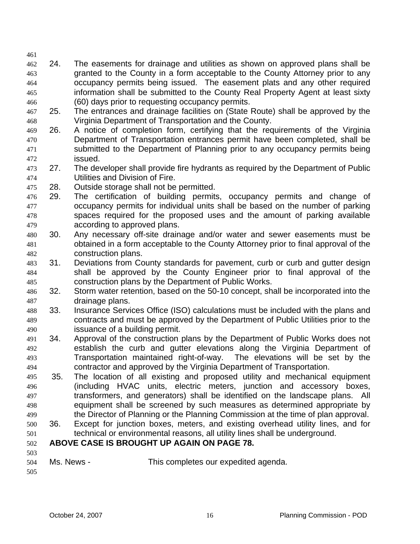- 462 463 464 465 466 24. The easements for drainage and utilities as shown on approved plans shall be granted to the County in a form acceptable to the County Attorney prior to any occupancy permits being issued. The easement plats and any other required information shall be submitted to the County Real Property Agent at least sixty (60) days prior to requesting occupancy permits.
- 467 468 25. The entrances and drainage facilities on (State Route) shall be approved by the Virginia Department of Transportation and the County.
- 469 470 471 472 26. A notice of completion form, certifying that the requirements of the Virginia Department of Transportation entrances permit have been completed, shall be submitted to the Department of Planning prior to any occupancy permits being issued.
- 473 474 27. The developer shall provide fire hydrants as required by the Department of Public Utilities and Division of Fire.
- 475 28. Outside storage shall not be permitted.
- 476 477 478 479 29. The certification of building permits, occupancy permits and change of occupancy permits for individual units shall be based on the number of parking spaces required for the proposed uses and the amount of parking available according to approved plans.
- 480 481 482 30. Any necessary off-site drainage and/or water and sewer easements must be obtained in a form acceptable to the County Attorney prior to final approval of the construction plans.
- 483 484 485 31. Deviations from County standards for pavement, curb or curb and gutter design shall be approved by the County Engineer prior to final approval of the construction plans by the Department of Public Works.
- 486 487 32. Storm water retention, based on the 50-10 concept, shall be incorporated into the drainage plans.
- 488 489 490 33. Insurance Services Office (ISO) calculations must be included with the plans and contracts and must be approved by the Department of Public Utilities prior to the issuance of a building permit.
- 491 492 493 494 34. Approval of the construction plans by the Department of Public Works does not establish the curb and gutter elevations along the Virginia Department of Transportation maintained right-of-way. The elevations will be set by the contractor and approved by the Virginia Department of Transportation.
- 495 496 497 498 499 35. The location of all existing and proposed utility and mechanical equipment (including HVAC units, electric meters, junction and accessory boxes, transformers, and generators) shall be identified on the landscape plans. All equipment shall be screened by such measures as determined appropriate by the Director of Planning or the Planning Commission at the time of plan approval.
- 500 501 36. Except for junction boxes, meters, and existing overhead utility lines, and for technical or environmental reasons, all utility lines shall be underground.

## 502 **ABOVE CASE IS BROUGHT UP AGAIN ON PAGE 78.**

503 504 Ms. News - This completes our expedited agenda.

505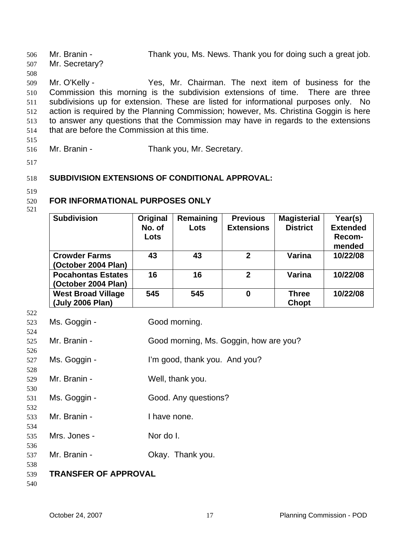Mr. Branin - Thank you, Ms. News. Thank you for doing such a great job. Mr. Secretary? 506 507 508 509 510 511 512 513 514 515 Mr. O'Kelly - Yes, Mr. Chairman. The next item of business for the Commission this morning is the subdivision extensions of time. There are three subdivisions up for extension. These are listed for informational purposes only. No action is required by the Planning Commission; however, Ms. Christina Goggin is here to answer any questions that the Commission may have in regards to the extensions that are before the Commission at this time.

516

Mr. Branin - Thank you, Mr. Secretary.

517

#### 518 **SUBDIVISION EXTENSIONS OF CONDITIONAL APPROVAL:**

519

### 520 **FOR INFORMATIONAL PURPOSES ONLY**

521

| <b>Subdivision</b>        | Original | Remaining | <b>Previous</b>   | <b>Magisterial</b> | Year(s)         |
|---------------------------|----------|-----------|-------------------|--------------------|-----------------|
|                           | No. of   | Lots      | <b>Extensions</b> | <b>District</b>    | <b>Extended</b> |
|                           | Lots     |           |                   |                    | Recom-          |
|                           |          |           |                   |                    | mended          |
| <b>Crowder Farms</b>      | 43       | 43        | $\mathbf{2}$      | Varina             | 10/22/08        |
| (October 2004 Plan)       |          |           |                   |                    |                 |
| <b>Pocahontas Estates</b> | 16       | 16        | $\mathfrak{p}$    | Varina             | 10/22/08        |
| (October 2004 Plan)       |          |           |                   |                    |                 |
| <b>West Broad Village</b> | 545      | 545       | $\bf{0}$          | <b>Three</b>       | 10/22/08        |
| (July 2006 Plan)          |          |           |                   | Chopt              |                 |

522 523

524

526

528

530

532

534

536

538

| Ms. Goggin - | Good morning. |
|--------------|---------------|

525 Mr. Branin - Good morning, Ms. Goggin, how are you?

527 Ms. Goggin - I'm good, thank you. And you?

529 Mr. Branin - Well, thank you.

531 Ms. Goggin - Good. Any questions?

533 Mr. Branin - Thave none.

535 Mrs. Jones - Nor do I.

537 Mr. Branin - Ckay. Thank you.

539 **TRANSFER OF APPROVAL**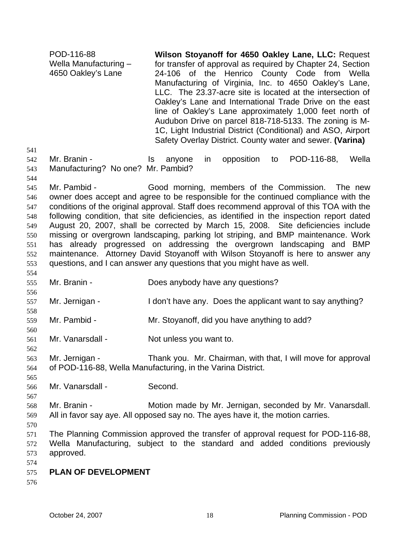POD-116-88 Wella Manufacturing – 4650 Oakley's Lane **Wilson Stoyanoff for 4650 Oakley Lane, LLC:** Request for transfer of approval as required by Chapter 24, Section 24-106 of the Henrico County Code from Wella Manufacturing of Virginia, Inc. to 4650 Oakley's Lane, LLC. The 23.37-acre site is located at the intersection of Oakley's Lane and International Trade Drive on the east line of Oakley's Lane approximately 1,000 feet north of Audubon Drive on parcel 818-718-5133. The zoning is M-1C, Light Industrial District (Conditional) and ASO, Airport Safety Overlay District. County water and sewer. **(Varina)** 

- 542 543 Mr. Branin - Is anyone in opposition to POD-116-88, Wella Manufacturing? No one? Mr. Pambid?
- 545 546 547 548 549 550 551 552 553 Mr. Pambid - Good morning, members of the Commission. The new owner does accept and agree to be responsible for the continued compliance with the conditions of the original approval. Staff does recommend approval of this TOA with the following condition, that site deficiencies, as identified in the inspection report dated August 20, 2007, shall be corrected by March 15, 2008. Site deficiencies include missing or overgrown landscaping, parking lot striping, and BMP maintenance. Work has already progressed on addressing the overgrown landscaping and BMP maintenance. Attorney David Stoyanoff with Wilson Stoyanoff is here to answer any questions, and I can answer any questions that you might have as well.
- 555 Mr. Branin - Does anybody have any questions?
- 557 Mr. Jernigan - I don't have any. Does the applicant want to say anything?
- 559 Mr. Pambid - Mr. Stoyanoff, did you have anything to add?
- 561 Mr. Vanarsdall - Not unless you want to.
- 563 564 Mr. Jernigan - Thank you. Mr. Chairman, with that, I will move for approval of POD-116-88, Wella Manufacturing, in the Varina District.
- 566 Mr. Vanarsdall - Second.
- 568 569 Mr. Branin - Motion made by Mr. Jernigan, seconded by Mr. Vanarsdall. All in favor say aye. All opposed say no. The ayes have it, the motion carries.
- 570

541

544

554

556

558

560

562

565

- 571 572 573 574 The Planning Commission approved the transfer of approval request for POD-116-88, Wella Manufacturing, subject to the standard and added conditions previously approved.
- 575 **PLAN OF DEVELOPMENT**
- 576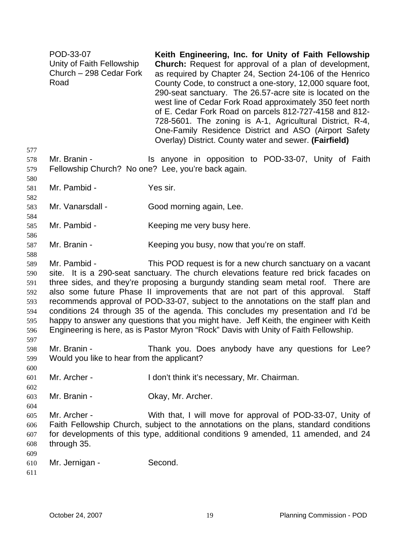| POD-33-07                 | Keith Engineering, Inc. for Unity of Faith Fellowship         |
|---------------------------|---------------------------------------------------------------|
| Unity of Faith Fellowship | <b>Church:</b> Request for approval of a plan of development, |
| Church - 298 Cedar Fork   | as required by Chapter 24, Section 24-106 of the Henrico      |
| Road                      | County Code, to construct a one-story, 12,000 square foot,    |
|                           | 290-seat sanctuary. The 26.57-acre site is located on the     |
|                           | west line of Cedar Fork Road approximately 350 feet north     |
|                           | of E. Cedar Fork Road on parcels 812-727-4158 and 812-        |
|                           | 728-5601. The zoning is A-1, Agricultural District, R-4,      |
|                           | One-Family Residence District and ASO (Airport Safety         |
|                           | Overlay) District. County water and sewer. (Fairfield)        |

- 578 579 Mr. Branin - The Standard Standard Standard Composition to POD-33-07, Unity of Faith Fellowship Church? No one? Lee, you're back again.
- 581 Mr. Pambid - Yes sir.
- 583 Mr. Vanarsdall - Good morning again, Lee.
- 585 Mr. Pambid - Keeping me very busy here.
- 587 Mr. Branin - Keeping you busy, now that you're on staff.
- 588

577

580

582

584

586

589 590 591 592 593 594 595 596 597 Mr. Pambid - This POD request is for a new church sanctuary on a vacant site. It is a 290-seat sanctuary. The church elevations feature red brick facades on three sides, and they're proposing a burgundy standing seam metal roof. There are also some future Phase II improvements that are not part of this approval. Staff recommends approval of POD-33-07, subject to the annotations on the staff plan and conditions 24 through 35 of the agenda. This concludes my presentation and I'd be happy to answer any questions that you might have. Jeff Keith, the engineer with Keith Engineering is here, as is Pastor Myron "Rock" Davis with Unity of Faith Fellowship.

- 598 599 Mr. Branin - Thank you. Does anybody have any questions for Lee? Would you like to hear from the applicant?
- 601 Mr. Archer - I don't think it's necessary, Mr. Chairman.
- 603 Mr. Branin - **Okay, Mr. Archer.**
- 605 606 607 608 Mr. Archer - With that, I will move for approval of POD-33-07, Unity of Faith Fellowship Church, subject to the annotations on the plans, standard conditions for developments of this type, additional conditions 9 amended, 11 amended, and 24 through 35.
- 609 610 Mr. Jernigan - Second.
- 611

600

602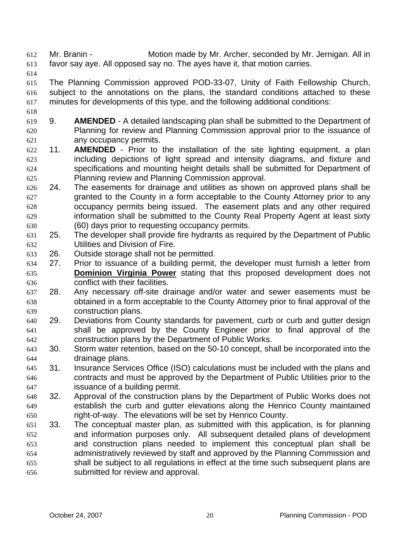Mr. Branin - Motion made by Mr. Archer, seconded by Mr. Jernigan. All in favor say aye. All opposed say no. The ayes have it, that motion carries. 612 613

614

618

615 616 617 The Planning Commission approved POD-33-07, Unity of Faith Fellowship Church, subject to the annotations on the plans, the standard conditions attached to these minutes for developments of this type, and the following additional conditions:

- 619 620 621 9. **AMENDED** - A detailed landscaping plan shall be submitted to the Department of Planning for review and Planning Commission approval prior to the issuance of any occupancy permits.
- 622 623 624 625 11. **AMENDED** - Prior to the installation of the site lighting equipment, a plan including depictions of light spread and intensity diagrams, and fixture and specifications and mounting height details shall be submitted for Department of Planning review and Planning Commission approval.
- 626 627 628 629 630 24. The easements for drainage and utilities as shown on approved plans shall be granted to the County in a form acceptable to the County Attorney prior to any occupancy permits being issued. The easement plats and any other required information shall be submitted to the County Real Property Agent at least sixty (60) days prior to requesting occupancy permits.
- 631 632 25. The developer shall provide fire hydrants as required by the Department of Public Utilities and Division of Fire.
- 633 26. Outside storage shall not be permitted.
- 634 27. Prior to issuance of a building permit, the developer must furnish a letter from **Dominion Virginia Power** stating that this proposed development does not conflict with their facilities. 635 636
- 637 638 639 28. Any necessary off-site drainage and/or water and sewer easements must be obtained in a form acceptable to the County Attorney prior to final approval of the construction plans.
- 640 641 642 29. Deviations from County standards for pavement, curb or curb and gutter design shall be approved by the County Engineer prior to final approval of the construction plans by the Department of Public Works.
- 643 644 30. Storm water retention, based on the 50-10 concept, shall be incorporated into the drainage plans.
- 645 646 647 31. Insurance Services Office (ISO) calculations must be included with the plans and contracts and must be approved by the Department of Public Utilities prior to the issuance of a building permit.
- 648 649 650 32. Approval of the construction plans by the Department of Public Works does not establish the curb and gutter elevations along the Henrico County maintained right-of-way. The elevations will be set by Henrico County.
- 651 652 653 654 655 656 33. The conceptual master plan, as submitted with this application, is for planning and information purposes only. All subsequent detailed plans of development and construction plans needed to implement this conceptual plan shall be administratively reviewed by staff and approved by the Planning Commission and shall be subject to all regulations in effect at the time such subsequent plans are submitted for review and approval.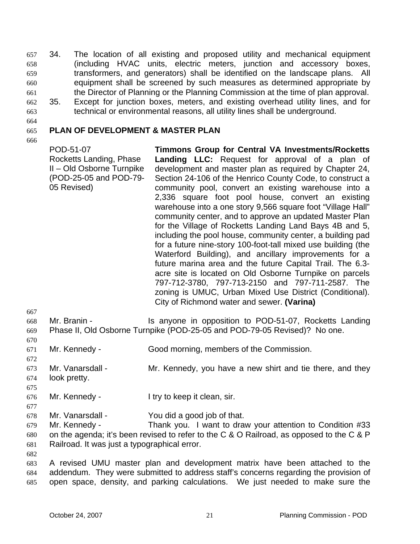34. The location of all existing and proposed utility and mechanical equipment (including HVAC units, electric meters, junction and accessory boxes, transformers, and generators) shall be identified on the landscape plans. All equipment shall be screened by such measures as determined appropriate by the Director of Planning or the Planning Commission at the time of plan approval. 657 658 659 660 661 662 35. Except for junction boxes, meters, and existing overhead utility lines, and for technical or environmental reasons, all utility lines shall be underground.

663 664

### 665 **PLAN OF DEVELOPMENT & MASTER PLAN**

666

POD-51-07 Rocketts Landing, Phase II – Old Osborne Turnpike (POD-25-05 and POD-79- 05 Revised) **Timmons Group for Central VA Investments/Rocketts Landing LLC:** Request for approval of a plan of development and master plan as required by Chapter 24, Section 24-106 of the Henrico County Code, to construct a community pool, convert an existing warehouse into a 2,336 square foot pool house, convert an existing warehouse into a one story 9,566 square foot "Village Hall" community center, and to approve an updated Master Plan for the Village of Rocketts Landing Land Bays 4B and 5, including the pool house, community center, a building pad for a future nine-story 100-foot-tall mixed use building (the Waterford Building), and ancillary improvements for a future marina area and the future Capital Trail. The 6.3 acre site is located on Old Osborne Turnpike on parcels 797-712-3780, 797-713-2150 and 797-711-2587. The zoning is UMUC, Urban Mixed Use District (Conditional). City of Richmond water and sewer. **(Varina)** 

- 668 669 Mr. Branin - The Is anyone in opposition to POD-51-07, Rocketts Landing Phase II, Old Osborne Turnpike (POD-25-05 and POD-79-05 Revised)? No one.
- 671 Mr. Kennedy - Good morning, members of the Commission.
- 673 674 Mr. Vanarsdall - Mr. Kennedy, you have a new shirt and tie there, and they look pretty.
- 676 Mr. Kennedy - I try to keep it clean, sir.
- 678 Mr. Vanarsdall - You did a good job of that.

679 680 681 Mr. Kennedy - Thank you. I want to draw your attention to Condition #33 on the agenda; it's been revised to refer to the C & O Railroad, as opposed to the C & P Railroad. It was just a typographical error.

682

667

670

672

675

677

683 684 685 A revised UMU master plan and development matrix have been attached to the addendum. They were submitted to address staff's concerns regarding the provision of open space, density, and parking calculations. We just needed to make sure the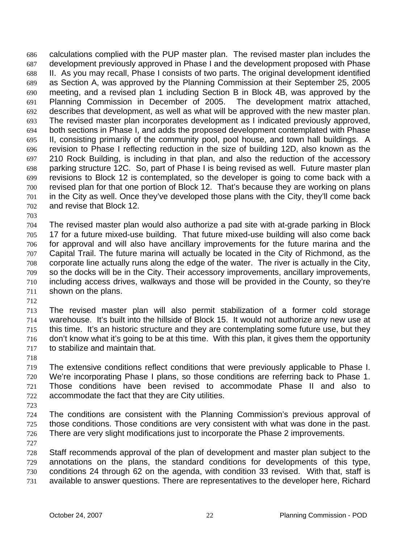calculations complied with the PUP master plan. The revised master plan includes the development previously approved in Phase I and the development proposed with Phase II. As you may recall, Phase I consists of two parts. The original development identified as Section A, was approved by the Planning Commission at their September 25, 2005 meeting, and a revised plan 1 including Section B in Block 4B, was approved by the Planning Commission in December of 2005. The development matrix attached, describes that development, as well as what will be approved with the new master plan. The revised master plan incorporates development as I indicated previously approved, both sections in Phase I, and adds the proposed development contemplated with Phase II, consisting primarily of the community pool, pool house, and town hall buildings. A revision to Phase I reflecting reduction in the size of building 12D, also known as the 210 Rock Building, is including in that plan, and also the reduction of the accessory parking structure 12C. So, part of Phase I is being revised as well. Future master plan revisions to Block 12 is contemplated, so the developer is going to come back with a revised plan for that one portion of Block 12. That's because they are working on plans in the City as well. Once they've developed those plans with the City, they'll come back and revise that Block 12. 686 687 688 689 690 691 692 693 694 695 696 697 698 699 700 701 702

703

704 705 706 707 708 709 710 711 The revised master plan would also authorize a pad site with at-grade parking in Block 17 for a future mixed-use building. That future mixed-use building will also come back for approval and will also have ancillary improvements for the future marina and the Capital Trail. The future marina will actually be located in the City of Richmond, as the corporate line actually runs along the edge of the water. The river is actually in the City, so the docks will be in the City. Their accessory improvements, ancillary improvements, including access drives, walkways and those will be provided in the County, so they're shown on the plans.

712

713 714 715 716 717 The revised master plan will also permit stabilization of a former cold storage warehouse. It's built into the hillside of Block 15. It would not authorize any new use at this time. It's an historic structure and they are contemplating some future use, but they don't know what it's going to be at this time. With this plan, it gives them the opportunity to stabilize and maintain that.

718

719 720 721 722 The extensive conditions reflect conditions that were previously applicable to Phase I. We're incorporating Phase I plans, so those conditions are referring back to Phase 1. Those conditions have been revised to accommodate Phase II and also to accommodate the fact that they are City utilities.

723

724 725 726 The conditions are consistent with the Planning Commission's previous approval of those conditions. Those conditions are very consistent with what was done in the past. There are very slight modifications just to incorporate the Phase 2 improvements.

727

728 729 730 731 Staff recommends approval of the plan of development and master plan subject to the annotations on the plans, the standard conditions for developments of this type, conditions 24 through 62 on the agenda, with condition 33 revised. With that, staff is available to answer questions. There are representatives to the developer here, Richard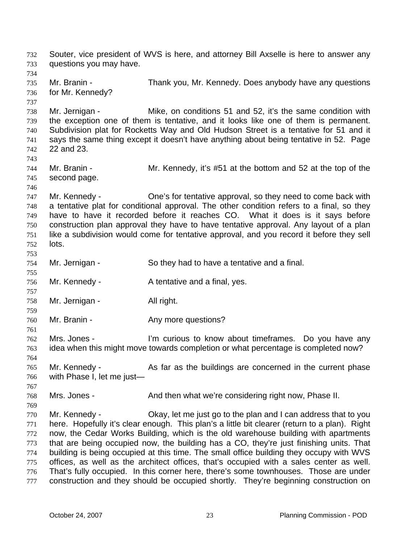Souter, vice president of WVS is here, and attorney Bill Axselle is here to answer any questions you may have. 732 733 734 735 736 737 738 739 740 741 742 743 744 745 746 747 748 749 750 751 752 753 754 755 756 757 758 759 760 761 762 763 764 765 766 767 768 769 770 771 772 773 774 775 776 777 Mr. Branin - Thank you, Mr. Kennedy. Does anybody have any questions for Mr. Kennedy? Mr. Jernigan - Mike, on conditions 51 and 52, it's the same condition with the exception one of them is tentative, and it looks like one of them is permanent. Subdivision plat for Rocketts Way and Old Hudson Street is a tentative for 51 and it says the same thing except it doesn't have anything about being tentative in 52. Page 22 and 23. Mr. Branin - Mr. Kennedy, it's #51 at the bottom and 52 at the top of the second page. Mr. Kennedy - Che's for tentative approval, so they need to come back with a tentative plat for conditional approval. The other condition refers to a final, so they have to have it recorded before it reaches CO. What it does is it says before construction plan approval they have to have tentative approval. Any layout of a plan like a subdivision would come for tentative approval, and you record it before they sell lots. Mr. Jernigan - So they had to have a tentative and a final. Mr. Kennedy - A tentative and a final, yes. Mr. Jernigan - All right. Mr. Branin - The Any more questions? Mrs. Jones - I'm curious to know about timeframes. Do you have any idea when this might move towards completion or what percentage is completed now? Mr. Kennedy - The As far as the buildings are concerned in the current phase with Phase I, let me just— Mrs. Jones - And then what we're considering right now, Phase II. Mr. Kennedy - Okay, let me just go to the plan and I can address that to you here. Hopefully it's clear enough. This plan's a little bit clearer (return to a plan). Right now, the Cedar Works Building, which is the old warehouse building with apartments that are being occupied now, the building has a CO, they're just finishing units. That building is being occupied at this time. The small office building they occupy with WVS offices, as well as the architect offices, that's occupied with a sales center as well. That's fully occupied. In this corner here, there's some townhouses. Those are under construction and they should be occupied shortly. They're beginning construction on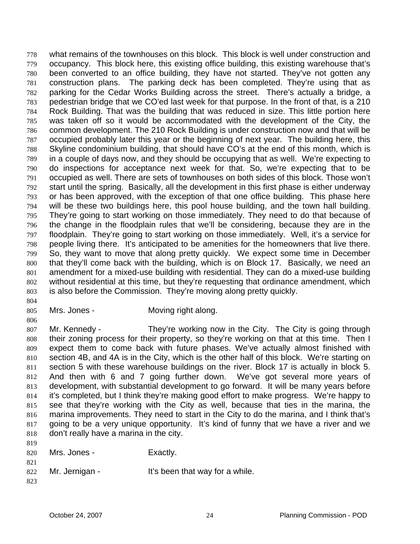what remains of the townhouses on this block. This block is well under construction and occupancy. This block here, this existing office building, this existing warehouse that's been converted to an office building, they have not started. They've not gotten any construction plans. The parking deck has been completed. They're using that as parking for the Cedar Works Building across the street. There's actually a bridge, a pedestrian bridge that we CO'ed last week for that purpose. In the front of that, is a 210 Rock Building. That was the building that was reduced in size. This little portion here was taken off so it would be accommodated with the development of the City, the common development. The 210 Rock Building is under construction now and that will be occupied probably later this year or the beginning of next year. The building here, this Skyline condominium building, that should have CO's at the end of this month, which is in a couple of days now, and they should be occupying that as well. We're expecting to do inspections for acceptance next week for that. So, we're expecting that to be occupied as well. There are sets of townhouses on both sides of this block. Those won't start until the spring. Basically, all the development in this first phase is either underway or has been approved, with the exception of that one office building. This phase here will be these two buildings here, this pool house building, and the town hall building. They're going to start working on those immediately. They need to do that because of the change in the floodplain rules that we'll be considering, because they are in the floodplain. They're going to start working on those immediately. Well, it's a service for people living there. It's anticipated to be amenities for the homeowners that live there. So, they want to move that along pretty quickly. We expect some time in December that they'll come back with the building, which is on Block 17. Basically, we need an amendment for a mixed-use building with residential. They can do a mixed-use building without residential at this time, but they're requesting that ordinance amendment, which is also before the Commission. They're moving along pretty quickly. 778 779 780 781 782 783 784 785 786 787 788 789 790 791 792 793 794 795 796 797 798 799 800 801 802 803

804

806

805

Mrs. Jones - **Moving right along.** 

807 808 809 810 811 812 813 814 815 816 817 818  $010$ Mr. Kennedy - They're working now in the City. The City is going through their zoning process for their property, so they're working on that at this time. Then I expect them to come back with future phases. We've actually almost finished with section 4B, and 4A is in the City, which is the other half of this block. We're starting on section 5 with these warehouse buildings on the river. Block 17 is actually in block 5. And then with 6 and 7 going further down. We've got several more years of development, with substantial development to go forward. It will be many years before it's completed, but I think they're making good effort to make progress. We're happy to see that they're working with the City as well, because that ties in the marina, the marina improvements. They need to start in the City to do the marina, and I think that's going to be a very unique opportunity. It's kind of funny that we have a river and we don't really have a marina in the city.

| 81 Y<br>820 | Mrs. Jones -   | Exactly.                        |
|-------------|----------------|---------------------------------|
| 821<br>822  | Mr. Jernigan - | It's been that way for a while. |
| 823         |                |                                 |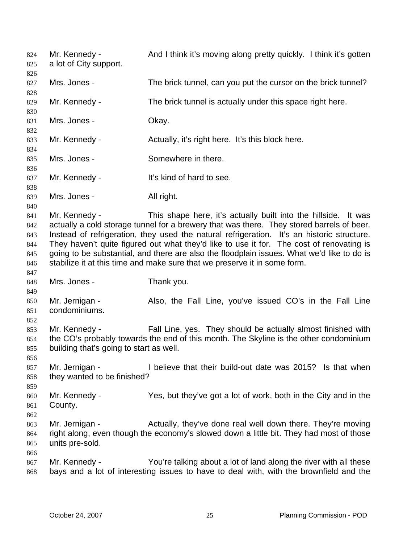Mr. Kennedy - And I think it's moving along pretty quickly. I think it's gotten a lot of City support. 824 825 826 827 828 829 830 831 832 833 834 835 836 837 838 839 840 841 842 843 844 845 846 847 848 849 850 851 852 853 854 855 856 857 858 859 860 861 862 863 864 865 866 867 868 Mrs. Jones - The brick tunnel, can you put the cursor on the brick tunnel? Mr. Kennedy - The brick tunnel is actually under this space right here. Mrs. Jones - Chay. Mr. Kennedy - Actually, it's right here. It's this block here. Mrs. Jones - Somewhere in there. Mr. Kennedy - It's kind of hard to see. Mrs. Jones - All right. Mr. Kennedy - This shape here, it's actually built into the hillside. It was actually a cold storage tunnel for a brewery that was there. They stored barrels of beer. Instead of refrigeration, they used the natural refrigeration. It's an historic structure. They haven't quite figured out what they'd like to use it for. The cost of renovating is going to be substantial, and there are also the floodplain issues. What we'd like to do is stabilize it at this time and make sure that we preserve it in some form. Mrs. Jones - Thank you. Mr. Jernigan - Also, the Fall Line, you've issued CO's in the Fall Line condominiums. Mr. Kennedy - Fall Line, yes. They should be actually almost finished with the CO's probably towards the end of this month. The Skyline is the other condominium building that's going to start as well. Mr. Jernigan - I believe that their build-out date was 2015? Is that when they wanted to be finished? Mr. Kennedy - Yes, but they've got a lot of work, both in the City and in the County. Mr. Jernigan - Actually, they've done real well down there. They're moving right along, even though the economy's slowed down a little bit. They had most of those units pre-sold. Mr. Kennedy - You're talking about a lot of land along the river with all these bays and a lot of interesting issues to have to deal with, with the brownfield and the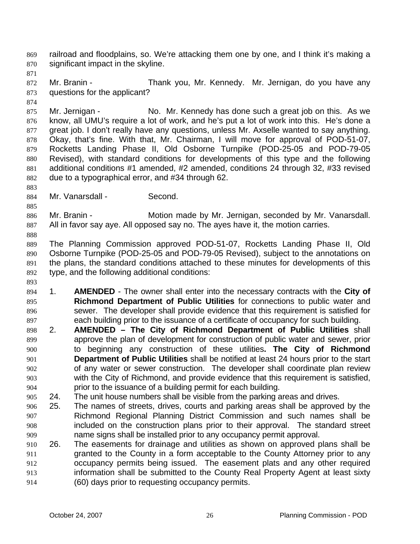railroad and floodplains, so. We're attacking them one by one, and I think it's making a significant impact in the skyline. 869 870

871

874

872 873 Mr. Branin - Thank you, Mr. Kennedy. Mr. Jernigan, do you have any questions for the applicant?

875 876 877 878 879 880 881 882 Mr. Jernigan - No. Mr. Kennedy has done such a great job on this. As we know, all UMU's require a lot of work, and he's put a lot of work into this. He's done a great job. I don't really have any questions, unless Mr. Axselle wanted to say anything. Okay, that's fine. With that, Mr. Chairman, I will move for approval of POD-51-07, Rocketts Landing Phase II, Old Osborne Turnpike (POD-25-05 and POD-79-05 Revised), with standard conditions for developments of this type and the following additional conditions #1 amended, #2 amended, conditions 24 through 32, #33 revised due to a typographical error, and #34 through 62.

883 884

888

893

Mr. Vanarsdall - Second.

885 886 887 Mr. Branin - **Motion made by Mr. Jernigan, seconded by Mr. Vanarsdall.** All in favor say aye. All opposed say no. The ayes have it, the motion carries.

889 890 891 892 The Planning Commission approved POD-51-07, Rocketts Landing Phase II, Old Osborne Turnpike (POD-25-05 and POD-79-05 Revised), subject to the annotations on the plans, the standard conditions attached to these minutes for developments of this type, and the following additional conditions:

894 895 896 897 1. **AMENDED** - The owner shall enter into the necessary contracts with the **City of Richmond Department of Public Utilities** for connections to public water and sewer. The developer shall provide evidence that this requirement is satisfied for each building prior to the issuance of a certificate of occupancy for such building.

- 898 899 900 901 902 903 904 2. **AMENDED – The City of Richmond Department of Public Utilities** shall approve the plan of development for construction of public water and sewer, prior to beginning any construction of these utilities**. The City of Richmond Department of Public Utilities** shall be notified at least 24 hours prior to the start of any water or sewer construction. The developer shall coordinate plan review with the City of Richmond, and provide evidence that this requirement is satisfied, prior to the issuance of a building permit for each building.
- 905 24. The unit house numbers shall be visible from the parking areas and drives.
- 906 907 908 909 25. The names of streets, drives, courts and parking areas shall be approved by the Richmond Regional Planning District Commission and such names shall be included on the construction plans prior to their approval. The standard street name signs shall be installed prior to any occupancy permit approval.
- 910 911 912 913 914 26. The easements for drainage and utilities as shown on approved plans shall be granted to the County in a form acceptable to the County Attorney prior to any occupancy permits being issued. The easement plats and any other required information shall be submitted to the County Real Property Agent at least sixty (60) days prior to requesting occupancy permits.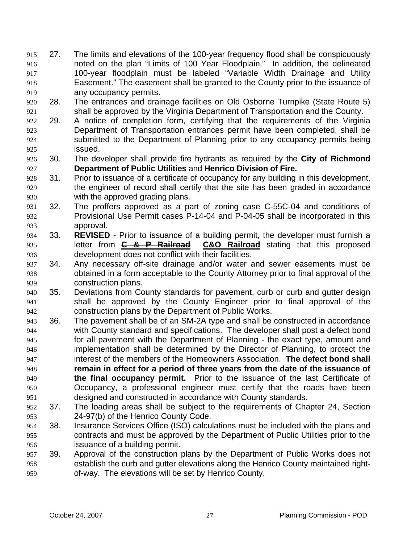- 27. The limits and elevations of the 100-year frequency flood shall be conspicuously noted on the plan "Limits of 100 Year Floodplain." In addition, the delineated 100-year floodplain must be labeled "Variable Width Drainage and Utility Easement." The easement shall be granted to the County prior to the issuance of any occupancy permits. 915 916 917 918 919
- 920 921 28. The entrances and drainage facilities on Old Osborne Turnpike (State Route 5) shall be approved by the Virginia Department of Transportation and the County.
- 922 923 924 925 29. A notice of completion form, certifying that the requirements of the Virginia Department of Transportation entrances permit have been completed, shall be submitted to the Department of Planning prior to any occupancy permits being issued.
- 926 927 30. The developer shall provide fire hydrants as required by the **City of Richmond Department of Public Utilities** and **Henrico Division of Fire.**
- 928 929 930 31. Prior to issuance of a certificate of occupancy for any building in this development, the engineer of record shall certify that the site has been graded in accordance with the approved grading plans.
- 931 932 933 32. The proffers approved as a part of zoning case C-55C-04 and conditions of Provisional Use Permit cases P-14-04 and P-04-05 shall be incorporated in this approval.
- 934 33. **REVISED** - Prior to issuance of a building permit, the developer must furnish a letter from **C & P Railroad C&O Railroad** stating that this proposed development does not conflict with their facilities. 935 936
- 937 938 939 34. Any necessary off-site drainage and/or water and sewer easements must be obtained in a form acceptable to the County Attorney prior to final approval of the construction plans.
- 940 941 942 35. Deviations from County standards for pavement, curb or curb and gutter design shall be approved by the County Engineer prior to final approval of the construction plans by the Department of Public Works.
- 943 944 945 946 947 948 949 950 951 36. The pavement shall be of an SM-2A type and shall be constructed in accordance with County standard and specifications. The developer shall post a defect bond for all pavement with the Department of Planning - the exact type, amount and implementation shall be determined by the Director of Planning, to protect the interest of the members of the Homeowners Association. **The defect bond shall remain in effect for a period of three years from the date of the issuance of the final occupancy permit.** Prior to the issuance of the last Certificate of Occupancy, a professional engineer must certify that the roads have been designed and constructed in accordance with County standards.
- 952 953 37. The loading areas shall be subject to the requirements of Chapter 24, Section 24-97(b) of the Henrico County Code.
- 954 955 956 38. Insurance Services Office (ISO) calculations must be included with the plans and contracts and must be approved by the Department of Public Utilities prior to the issuance of a building permit.
- 957 958 959 39. Approval of the construction plans by the Department of Public Works does not establish the curb and gutter elevations along the Henrico County maintained rightof-way. The elevations will be set by Henrico County.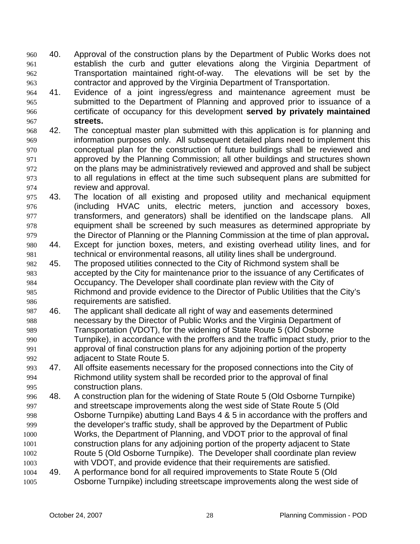40. Approval of the construction plans by the Department of Public Works does not establish the curb and gutter elevations along the Virginia Department of Transportation maintained right-of-way. The elevations will be set by the contractor and approved by the Virginia Department of Transportation. 960 961 962 963

- 964 965 966 967 41. Evidence of a joint ingress/egress and maintenance agreement must be submitted to the Department of Planning and approved prior to issuance of a certificate of occupancy for this development **served by privately maintained streets.**
- 968 969 970 971 972 973 974 42. The conceptual master plan submitted with this application is for planning and information purposes only. All subsequent detailed plans need to implement this conceptual plan for the construction of future buildings shall be reviewed and approved by the Planning Commission; all other buildings and structures shown on the plans may be administratively reviewed and approved and shall be subject to all regulations in effect at the time such subsequent plans are submitted for review and approval.
- 975 976 977 978 979 43. The location of all existing and proposed utility and mechanical equipment (including HVAC units, electric meters, junction and accessory boxes, transformers, and generators) shall be identified on the landscape plans. All equipment shall be screened by such measures as determined appropriate by the Director of Planning or the Planning Commission at the time of plan approval**.**
- 980 981 44. Except for junction boxes, meters, and existing overhead utility lines, and for technical or environmental reasons, all utility lines shall be underground.
- 982 983 984 985 986 45. The proposed utilities connected to the City of Richmond system shall be accepted by the City for maintenance prior to the issuance of any Certificates of Occupancy. The Developer shall coordinate plan review with the City of Richmond and provide evidence to the Director of Public Utilities that the City's requirements are satisfied.
- 987 988 989 990 991 992 46. The applicant shall dedicate all right of way and easements determined necessary by the Director of Public Works and the Virginia Department of Transportation (VDOT), for the widening of State Route 5 (Old Osborne Turnpike), in accordance with the proffers and the traffic impact study, prior to the approval of final construction plans for any adjoining portion of the property adjacent to State Route 5.
- 993 994 995 47. All offsite easements necessary for the proposed connections into the City of Richmond utility system shall be recorded prior to the approval of final construction plans.
- 996 997 998 999 1000 1001 1002 1003 1004 48. A construction plan for the widening of State Route 5 (Old Osborne Turnpike) and streetscape improvements along the west side of State Route 5 (Old Osborne Turnpike) abutting Land Bays 4 & 5 in accordance with the proffers and the developer's traffic study, shall be approved by the Department of Public Works, the Department of Planning, and VDOT prior to the approval of final construction plans for any adjoining portion of the property adjacent to State Route 5 (Old Osborne Turnpike). The Developer shall coordinate plan review with VDOT, and provide evidence that their requirements are satisfied. 49. A performance bond for all required improvements to State Route 5 (Old
- 1005 Osborne Turnpike) including streetscape improvements along the west side of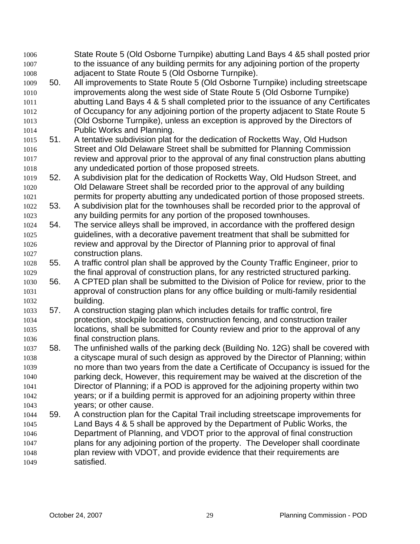State Route 5 (Old Osborne Turnpike) abutting Land Bays 4 &5 shall posted prior to the issuance of any building permits for any adjoining portion of the property adjacent to State Route 5 (Old Osborne Turnpike). 1006 1007 1008 1009 1010 1011 1012 1013 1014 1015 1016 1017 1018 1019 1020 1021 1022 1023 1024 1025 1026 1027 1028 1029 1030 1031 1032 1033 1034 1035 1036 1037 1038 1039 1040 1041 1042 1043 1044 1045 1046 1047 1048 1049 50. All improvements to State Route 5 (Old Osborne Turnpike) including streetscape improvements along the west side of State Route 5 (Old Osborne Turnpike) abutting Land Bays 4 & 5 shall completed prior to the issuance of any Certificates of Occupancy for any adjoining portion of the property adjacent to State Route 5 (Old Osborne Turnpike), unless an exception is approved by the Directors of Public Works and Planning. 51. A tentative subdivision plat for the dedication of Rocketts Way, Old Hudson Street and Old Delaware Street shall be submitted for Planning Commission review and approval prior to the approval of any final construction plans abutting any undedicated portion of those proposed streets. 52. A subdivision plat for the dedication of Rocketts Way, Old Hudson Street, and Old Delaware Street shall be recorded prior to the approval of any building permits for property abutting any undedicated portion of those proposed streets. 53. A subdivision plat for the townhouses shall be recorded prior to the approval of any building permits for any portion of the proposed townhouses. 54. The service alleys shall be improved, in accordance with the proffered design guidelines, with a decorative pavement treatment that shall be submitted for review and approval by the Director of Planning prior to approval of final construction plans. 55. A traffic control plan shall be approved by the County Traffic Engineer, prior to the final approval of construction plans, for any restricted structured parking. 56. A CPTED plan shall be submitted to the Division of Police for review, prior to the approval of construction plans for any office building or multi-family residential building. 57. A construction staging plan which includes details for traffic control, fire protection, stockpile locations, construction fencing, and construction trailer locations, shall be submitted for County review and prior to the approval of any final construction plans. 58. The unfinished walls of the parking deck (Building No. 12G) shall be covered with a cityscape mural of such design as approved by the Director of Planning; within no more than two years from the date a Certificate of Occupancy is issued for the parking deck, However, this requirement may be waived at the discretion of the Director of Planning; if a POD is approved for the adjoining property within two years; or if a building permit is approved for an adjoining property within three years; or other cause. 59. A construction plan for the Capital Trail including streetscape improvements for Land Bays 4 & 5 shall be approved by the Department of Public Works, the Department of Planning, and VDOT prior to the approval of final construction plans for any adjoining portion of the property. The Developer shall coordinate plan review with VDOT, and provide evidence that their requirements are satisfied.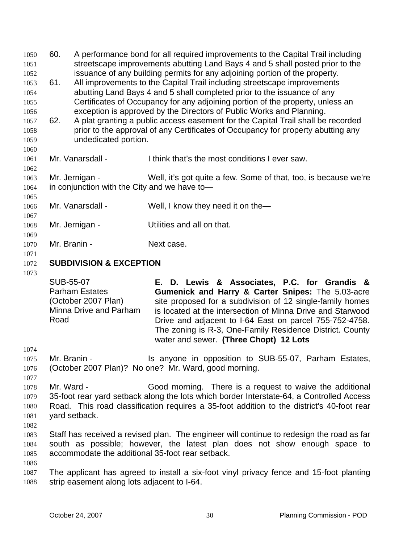60. A performance bond for all required improvements to the Capital Trail including streetscape improvements abutting Land Bays 4 and 5 shall posted prior to the issuance of any building permits for any adjoining portion of the property. 1050 1051 1052 1053 1054 1055 1056 1057 1058 1059 1060 1061 1062 1063 1064 1065 1066 1067 1068 1069 1070 1071 1072 61. All improvements to the Capital Trail including streetscape improvements abutting Land Bays 4 and 5 shall completed prior to the issuance of any Certificates of Occupancy for any adjoining portion of the property, unless an exception is approved by the Directors of Public Works and Planning. 62. A plat granting a public access easement for the Capital Trail shall be recorded prior to the approval of any Certificates of Occupancy for property abutting any undedicated portion. Mr. Vanarsdall - I think that's the most conditions I ever saw. Mr. Jernigan - Well, it's got quite a few. Some of that, too, is because we're in conjunction with the City and we have to— Mr. Vanarsdall - Well, I know they need it on the Mr. Jernigan - Utilities and all on that. Mr. Branin - Next case. **SUBDIVISION & EXCEPTION** 

1073

SUB-55-07 Parham Estates (October 2007 Plan) Minna Drive and Parham Road **E. D. Lewis & Associates, P.C. for Grandis & Gumenick and Harry & Carter Snipes:** The 5.03-acre site proposed for a subdivision of 12 single-family homes is located at the intersection of Minna Drive and Starwood Drive and adjacent to I-64 East on parcel 755-752-4758. The zoning is R-3, One-Family Residence District. County water and sewer. **(Three Chopt) 12 Lots** 

1074

1075 1076 Mr. Branin - The Is anyone in opposition to SUB-55-07, Parham Estates, (October 2007 Plan)? No one? Mr. Ward, good morning.

1077

1078 1079 1080 1081 Mr. Ward - Good morning. There is a request to waive the additional 35-foot rear yard setback along the lots which border Interstate-64, a Controlled Access Road. This road classification requires a 35-foot addition to the district's 40-foot rear yard setback.

1082

1083 1084 1085 Staff has received a revised plan. The engineer will continue to redesign the road as far south as possible; however, the latest plan does not show enough space to accommodate the additional 35-foot rear setback.

1086

1087 1088 The applicant has agreed to install a six-foot vinyl privacy fence and 15-foot planting strip easement along lots adjacent to I-64.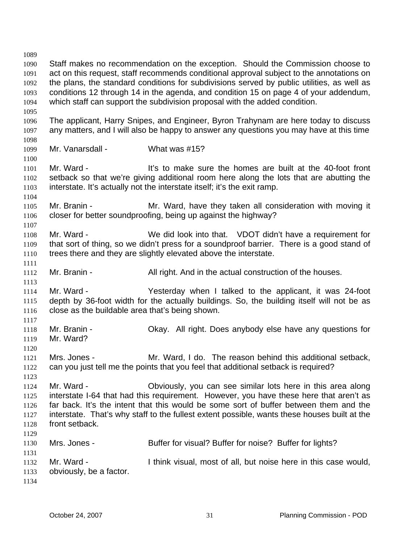1089 1090 1091 1092 1093 1094 1095 1096 1097 1098 1099 1100 1101 1102 1103 1104 1105 1106 1107 1108 1109 1110 1111 1112 1113 1114 1115 1116 1117 1118 1119 1120 1121 1122 1123 1124 1125 1126 1127 1128 1129 1130 1131 1132 1133 1134 Staff makes no recommendation on the exception. Should the Commission choose to act on this request, staff recommends conditional approval subject to the annotations on the plans, the standard conditions for subdivisions served by public utilities, as well as conditions 12 through 14 in the agenda, and condition 15 on page 4 of your addendum, which staff can support the subdivision proposal with the added condition. The applicant, Harry Snipes, and Engineer, Byron Trahynam are here today to discuss any matters, and I will also be happy to answer any questions you may have at this time Mr. Vanarsdall - What was #15? Mr. Ward - The Music of the sure the homes are built at the 40-foot front setback so that we're giving additional room here along the lots that are abutting the interstate. It's actually not the interstate itself; it's the exit ramp. Mr. Branin - Mr. Ward, have they taken all consideration with moving it closer for better soundproofing, being up against the highway? Mr. Ward - We did look into that. VDOT didn't have a requirement for that sort of thing, so we didn't press for a soundproof barrier. There is a good stand of trees there and they are slightly elevated above the interstate. Mr. Branin - All right. And in the actual construction of the houses. Mr. Ward - Yesterday when I talked to the applicant, it was 24-foot depth by 36-foot width for the actually buildings. So, the building itself will not be as close as the buildable area that's being shown. Mr. Branin - Okay. All right. Does anybody else have any questions for Mr. Ward? Mrs. Jones - Mr. Ward, I do. The reason behind this additional setback, can you just tell me the points that you feel that additional setback is required? Mr. Ward - Obviously, you can see similar lots here in this area along interstate I-64 that had this requirement. However, you have these here that aren't as far back. It's the intent that this would be some sort of buffer between them and the interstate. That's why staff to the fullest extent possible, wants these houses built at the front setback. Mrs. Jones - Buffer for visual? Buffer for noise? Buffer for lights? Mr. Ward - Think visual, most of all, but noise here in this case would, obviously, be a factor.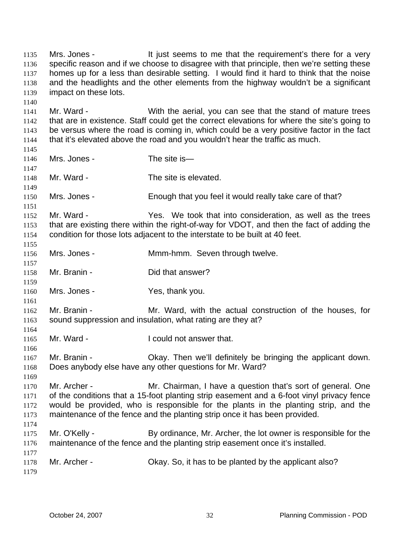Mrs. Jones - The state of the seems to me that the requirement's there for a very specific reason and if we choose to disagree with that principle, then we're setting these homes up for a less than desirable setting. I would find it hard to think that the noise and the headlights and the other elements from the highway wouldn't be a significant impact on these lots. 1135 1136 1137 1138 1139 1140 1141 1142 1143 1144 1145 1146 1147 1148 1149 1150 1151 1152 1153 1154 1155 1156 1157 1158 1159 1160 1161 1162 1163 1164 1165 1166 1167 1168 1169 1170 1171 1172 1173 1174 1175 1176 1177 1178 1179 Mr. Ward - With the aerial, you can see that the stand of mature trees that are in existence. Staff could get the correct elevations for where the site's going to be versus where the road is coming in, which could be a very positive factor in the fact that it's elevated above the road and you wouldn't hear the traffic as much. Mrs. Jones - The site is-Mr. Ward - The site is elevated. Mrs. Jones - Enough that you feel it would really take care of that? Mr. Ward - The Yes. We took that into consideration, as well as the trees that are existing there within the right-of-way for VDOT, and then the fact of adding the condition for those lots adjacent to the interstate to be built at 40 feet. Mrs. Jones - **Mmm-hmm.** Seven through twelve. Mr. Branin - Did that answer? Mrs. Jones - Yes, thank you. Mr. Branin - The Mr. Ward, with the actual construction of the houses, for sound suppression and insulation, what rating are they at? Mr. Ward - The Louid not answer that. Mr. Branin - Ckay. Then we'll definitely be bringing the applicant down. Does anybody else have any other questions for Mr. Ward? Mr. Archer - Mr. Chairman, I have a question that's sort of general. One of the conditions that a 15-foot planting strip easement and a 6-foot vinyl privacy fence would be provided, who is responsible for the plants in the planting strip, and the maintenance of the fence and the planting strip once it has been provided. Mr. O'Kelly - By ordinance, Mr. Archer, the lot owner is responsible for the maintenance of the fence and the planting strip easement once it's installed. Mr. Archer - Chay. So, it has to be planted by the applicant also?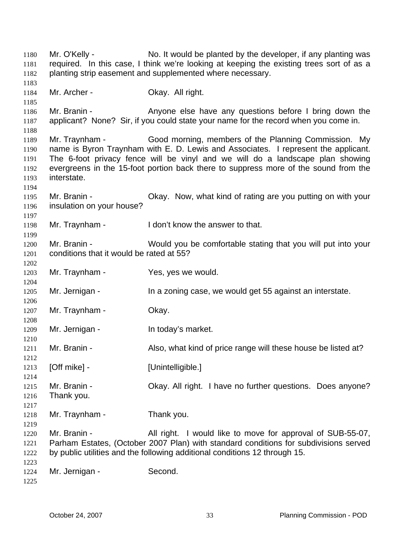Mr. O'Kelly - No. It would be planted by the developer, if any planting was required. In this case, I think we're looking at keeping the existing trees sort of as a planting strip easement and supplemented where necessary. Mr. Archer - **Okay. All right.** Mr. Branin - The Anyone else have any questions before I bring down the applicant? None? Sir, if you could state your name for the record when you come in. Mr. Traynham - Good morning, members of the Planning Commission. My name is Byron Traynham with E. D. Lewis and Associates. I represent the applicant. The 6-foot privacy fence will be vinyl and we will do a landscape plan showing evergreens in the 15-foot portion back there to suppress more of the sound from the interstate. Mr. Branin - Ckay. Now, what kind of rating are you putting on with your insulation on your house? Mr. Traynham - I don't know the answer to that. Mr. Branin - Would you be comfortable stating that you will put into your conditions that it would be rated at 55? Mr. Traynham - Yes, yes we would. Mr. Jernigan - In a zoning case, we would get 55 against an interstate. Mr. Traynham - Okay. Mr. Jernigan - In today's market. Mr. Branin - Also, what kind of price range will these house be listed at? [Off mike] - [Unintelligible.] Mr. Branin - Okay. All right. I have no further questions. Does anyone? Thank you. Mr. Traynham - Thank you. Mr. Branin - **All right.** I would like to move for approval of SUB-55-07, Parham Estates, (October 2007 Plan) with standard conditions for subdivisions served by public utilities and the following additional conditions 12 through 15. Mr. Jernigan - Second.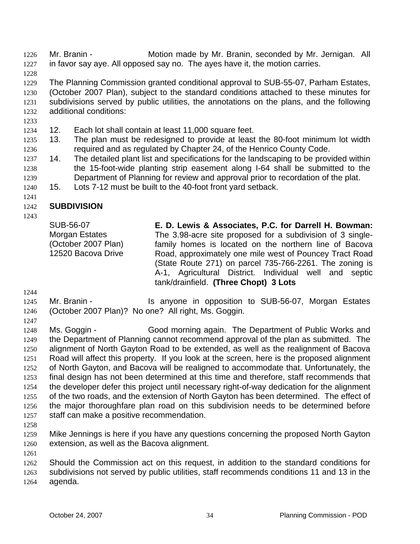Mr. Branin - **Motion made by Mr. Branin, seconded by Mr. Jernigan.** All in favor say aye. All opposed say no. The ayes have it, the motion carries. 1226 1227

1228

1229 1230 1231 1232 The Planning Commission granted conditional approval to SUB-55-07, Parham Estates, (October 2007 Plan), subject to the standard conditions attached to these minutes for subdivisions served by public utilities, the annotations on the plans, and the following additional conditions:

- 1233
- 1234 12. Each lot shall contain at least 11,000 square feet.
- 1235 1236 13. The plan must be redesigned to provide at least the 80-foot minimum lot width required and as regulated by Chapter 24, of the Henrico County Code.
- 1237 1238 1239 14. The detailed plant list and specifications for the landscaping to be provided within the 15-foot-wide planting strip easement along I-64 shall be submitted to the Department of Planning for review and approval prior to recordation of the plat.
- 1240 15. Lots 7-12 must be built to the 40-foot front yard setback.
- 1241

### 1242 **SUBDIVISION**

1243

SUB-56-07 Morgan Estates (October 2007 Plan) 12520 Bacova Drive **E. D. Lewis & Associates, P.C. for Darrell H. Bowman:**  The 3.98-acre site proposed for a subdivision of 3 singlefamily homes is located on the northern line of Bacova Road, approximately one mile west of Pouncey Tract Road (State Route 271) on parcel 735-766-2261. The zoning is A-1, Agricultural District. Individual well and septic tank/drainfield. **(Three Chopt) 3 Lots** 

- 1244
- 1245 1246 Mr. Branin - The Supposition opposition to SUB-56-07, Morgan Estates (October 2007 Plan)? No one? All right, Ms. Goggin.
- 1247

1248 1249 1250 1251 1252 1253 1254 1255 1256 1257 Ms. Goggin - Good morning again. The Department of Public Works and the Department of Planning cannot recommend approval of the plan as submitted. The alignment of North Gayton Road to be extended, as well as the realignment of Bacova Road will affect this property. If you look at the screen, here is the proposed alignment of North Gayton, and Bacova will be realigned to accommodate that. Unfortunately, the final design has not been determined at this time and therefore, staff recommends that the developer defer this project until necessary right-of-way dedication for the alignment of the two roads, and the extension of North Gayton has been determined. The effect of the major thoroughfare plan road on this subdivision needs to be determined before staff can make a positive recommendation.

1258

1261

1259 1260 Mike Jennings is here if you have any questions concerning the proposed North Gayton extension, as well as the Bacova alignment.

1262 1263 1264 Should the Commission act on this request, in addition to the standard conditions for subdivisions not served by public utilities, staff recommends conditions 11 and 13 in the agenda.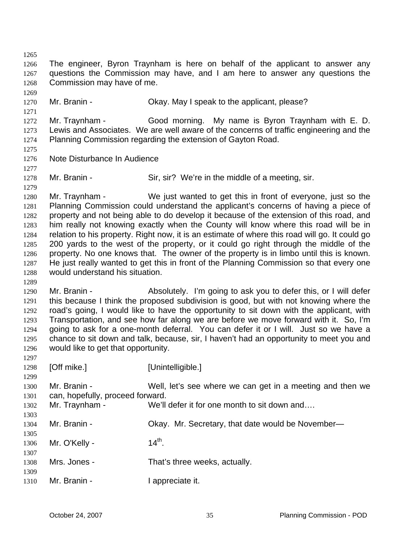1265 1266 1267 1268 1269 1270 1271 1272 1273 1274 1275 1276 1277 1278 1279 1280 1281 1282 1283 1284 1285 1286 1287 1288 1289 1290 1291 1292 1293 1294 1295 1296 1297 1298 1299 1300 1301 1302 1303 1304 1305 1306 1307 1308 1309 1310 The engineer, Byron Traynham is here on behalf of the applicant to answer any questions the Commission may have, and I am here to answer any questions the Commission may have of me. Mr. Branin - Ckay. May I speak to the applicant, please? Mr. Traynham - Good morning. My name is Byron Traynham with E. D. Lewis and Associates. We are well aware of the concerns of traffic engineering and the Planning Commission regarding the extension of Gayton Road. Note Disturbance In Audience Mr. Branin - Sir, sir? We're in the middle of a meeting, sir. Mr. Traynham - We just wanted to get this in front of everyone, just so the Planning Commission could understand the applicant's concerns of having a piece of property and not being able to do develop it because of the extension of this road, and him really not knowing exactly when the County will know where this road will be in relation to his property. Right now, it is an estimate of where this road will go. It could go 200 yards to the west of the property, or it could go right through the middle of the property. No one knows that. The owner of the property is in limbo until this is known. He just really wanted to get this in front of the Planning Commission so that every one would understand his situation. Mr. Branin - Absolutely. I'm going to ask you to defer this, or I will defer this because I think the proposed subdivision is good, but with not knowing where the road's going, I would like to have the opportunity to sit down with the applicant, with Transportation, and see how far along we are before we move forward with it. So, I'm going to ask for a one-month deferral. You can defer it or I will. Just so we have a chance to sit down and talk, because, sir, I haven't had an opportunity to meet you and would like to get that opportunity. [Off mike.] [Unintelligible.] Mr. Branin - Well, let's see where we can get in a meeting and then we can, hopefully, proceed forward. Mr. Traynham - We'll defer it for one month to sit down and.... Mr. Branin - Chay. Mr. Secretary, that date would be November-Mr. O'Kelly -  $14<sup>th</sup>$ . Mrs. Jones - That's three weeks, actually. Mr. Branin - The Repreciate it.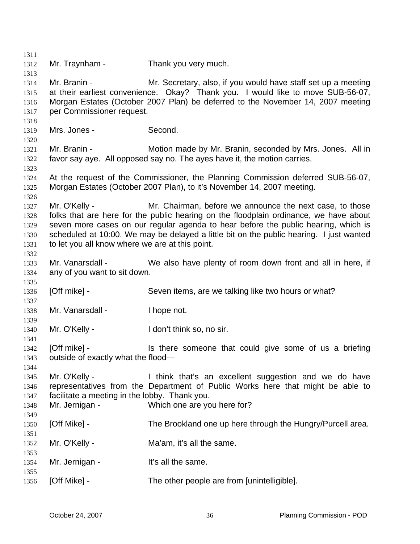1311 1312 1313 1314 1315 1316 1317 1318 1319 1320 1321 1322 1323 1324 1325 1326 1327 1328 1329 1330 1331 1332 1333 1334 1335 1336 1337 1338 1339 1340 1341 1342 1343 1344 1345 1346 1347 1348 1349 1350 1351 1352 1353 1354 1355 1356 Mr. Traynham - Thank you very much. Mr. Branin - Mr. Secretary, also, if you would have staff set up a meeting at their earliest convenience. Okay? Thank you. I would like to move SUB-56-07, Morgan Estates (October 2007 Plan) be deferred to the November 14, 2007 meeting per Commissioner request. Mrs. Jones - Second. Mr. Branin - Motion made by Mr. Branin, seconded by Mrs. Jones. All in favor say aye. All opposed say no. The ayes have it, the motion carries. At the request of the Commissioner, the Planning Commission deferred SUB-56-07, Morgan Estates (October 2007 Plan), to it's November 14, 2007 meeting. Mr. O'Kelly - Mr. Chairman, before we announce the next case, to those folks that are here for the public hearing on the floodplain ordinance, we have about seven more cases on our regular agenda to hear before the public hearing, which is scheduled at 10:00. We may be delayed a little bit on the public hearing. I just wanted to let you all know where we are at this point. Mr. Vanarsdall - We also have plenty of room down front and all in here, if any of you want to sit down. [Off mike] - Seven items, are we talking like two hours or what? Mr. Vanarsdall - I hope not. Mr. O'Kelly - The Muslim Hell don't think so, no sir. [Off mike] - Is there someone that could give some of us a briefing outside of exactly what the flood— Mr. O'Kelly - Think that's an excellent suggestion and we do have representatives from the Department of Public Works here that might be able to facilitate a meeting in the lobby. Thank you. Mr. Jernigan - Which one are you here for? [Off Mike] - The Brookland one up here through the Hungry/Purcell area. Mr. O'Kelly - Ma'am, it's all the same. Mr. Jernigan - It's all the same. [Off Mike] - The other people are from [unintelligible].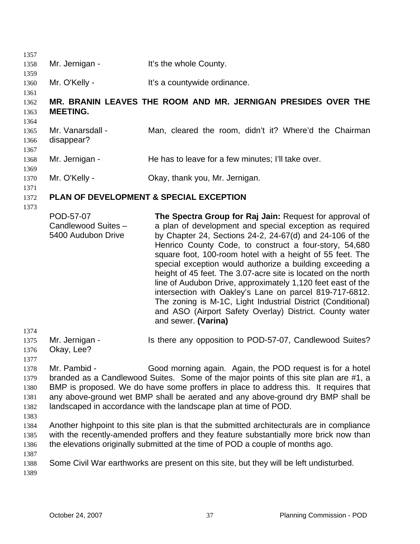| 1357<br>1358                                                                                         | Mr. Jernigan -                                         | It's the whole County.                                                                                                                                                                                                                                                                                                                                                                                                                                                                                                                                                                                                                                                                                                                                              |  |
|------------------------------------------------------------------------------------------------------|--------------------------------------------------------|---------------------------------------------------------------------------------------------------------------------------------------------------------------------------------------------------------------------------------------------------------------------------------------------------------------------------------------------------------------------------------------------------------------------------------------------------------------------------------------------------------------------------------------------------------------------------------------------------------------------------------------------------------------------------------------------------------------------------------------------------------------------|--|
| 1359<br>1360                                                                                         | Mr. O'Kelly -                                          | It's a countywide ordinance.                                                                                                                                                                                                                                                                                                                                                                                                                                                                                                                                                                                                                                                                                                                                        |  |
| 1361<br>1362<br>1363                                                                                 | <b>MEETING.</b>                                        | MR. BRANIN LEAVES THE ROOM AND MR. JERNIGAN PRESIDES OVER THE                                                                                                                                                                                                                                                                                                                                                                                                                                                                                                                                                                                                                                                                                                       |  |
| 1364<br>1365<br>1366<br>1367                                                                         | Mr. Vanarsdall -<br>disappear?                         | Man, cleared the room, didn't it? Where'd the Chairman                                                                                                                                                                                                                                                                                                                                                                                                                                                                                                                                                                                                                                                                                                              |  |
| 1368                                                                                                 | Mr. Jernigan -                                         | He has to leave for a few minutes; I'll take over.                                                                                                                                                                                                                                                                                                                                                                                                                                                                                                                                                                                                                                                                                                                  |  |
| 1369<br>1370<br>1371<br>1372<br>1373<br>1374<br>1375<br>1376                                         | Mr. O'Kelly -                                          | Okay, thank you, Mr. Jernigan.                                                                                                                                                                                                                                                                                                                                                                                                                                                                                                                                                                                                                                                                                                                                      |  |
|                                                                                                      | <b>PLAN OF DEVELOPMENT &amp; SPECIAL EXCEPTION</b>     |                                                                                                                                                                                                                                                                                                                                                                                                                                                                                                                                                                                                                                                                                                                                                                     |  |
|                                                                                                      | POD-57-07<br>Candlewood Suites -<br>5400 Audubon Drive | The Spectra Group for Raj Jain: Request for approval of<br>a plan of development and special exception as required<br>by Chapter 24, Sections 24-2, 24-67(d) and 24-106 of the<br>Henrico County Code, to construct a four-story, 54,680<br>square foot, 100-room hotel with a height of 55 feet. The<br>special exception would authorize a building exceeding a<br>height of 45 feet. The 3.07-acre site is located on the north<br>line of Audubon Drive, approximately 1,120 feet east of the<br>intersection with Oakley's Lane on parcel 819-717-6812.<br>The zoning is M-1C, Light Industrial District (Conditional)<br>and ASO (Airport Safety Overlay) District. County water<br>and sewer. (Varina)                                                       |  |
|                                                                                                      | Mr. Jernigan -<br>Okay, Lee?                           | Is there any opposition to POD-57-07, Candlewood Suites?                                                                                                                                                                                                                                                                                                                                                                                                                                                                                                                                                                                                                                                                                                            |  |
| 1377<br>1378<br>1379<br>1380<br>1381<br>1382<br>1383<br>1384<br>1385<br>1386<br>1387<br>1388<br>1389 | Mr. Pambid -                                           | Good morning again. Again, the POD request is for a hotel<br>branded as a Candlewood Suites. Some of the major points of this site plan are #1, a<br>BMP is proposed. We do have some proffers in place to address this. It requires that<br>any above-ground wet BMP shall be aerated and any above-ground dry BMP shall be<br>landscaped in accordance with the landscape plan at time of POD.<br>Another highpoint to this site plan is that the submitted architecturals are in compliance<br>with the recently-amended proffers and they feature substantially more brick now than<br>the elevations originally submitted at the time of POD a couple of months ago.<br>Some Civil War earthworks are present on this site, but they will be left undisturbed. |  |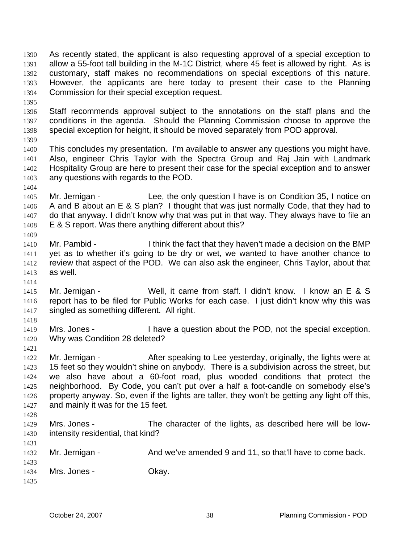As recently stated, the applicant is also requesting approval of a special exception to allow a 55-foot tall building in the M-1C District, where 45 feet is allowed by right. As is customary, staff makes no recommendations on special exceptions of this nature. However, the applicants are here today to present their case to the Planning Commission for their special exception request. 1390 1391 1392 1393 1394

1395

1396 1397 1398 Staff recommends approval subject to the annotations on the staff plans and the conditions in the agenda. Should the Planning Commission choose to approve the special exception for height, it should be moved separately from POD approval.

1399

1404

1409

1414

1418

1421

1400 1401 1402 1403 This concludes my presentation. I'm available to answer any questions you might have. Also, engineer Chris Taylor with the Spectra Group and Raj Jain with Landmark Hospitality Group are here to present their case for the special exception and to answer any questions with regards to the POD.

- 1405 1406 1407 1408 Mr. Jernigan - Lee, the only question I have is on Condition 35, I notice on A and B about an E & S plan? I thought that was just normally Code, that they had to do that anyway. I didn't know why that was put in that way. They always have to file an E & S report. Was there anything different about this?
- 1410 1411 1412 1413 Mr. Pambid - I think the fact that they haven't made a decision on the BMP yet as to whether it's going to be dry or wet, we wanted to have another chance to review that aspect of the POD. We can also ask the engineer, Chris Taylor, about that as well.
- 1415 1416 1417 Mr. Jernigan - Well, it came from staff. I didn't know. I know an E & S report has to be filed for Public Works for each case. I just didn't know why this was singled as something different. All right.
- 1419 1420 Mrs. Jones - I have a question about the POD, not the special exception. Why was Condition 28 deleted?
- 1422 1423 1424 1425 1426 1427 Mr. Jernigan - The After speaking to Lee yesterday, originally, the lights were at 15 feet so they wouldn't shine on anybody. There is a subdivision across the street, but we also have about a 60-foot road, plus wooded conditions that protect the neighborhood. By Code, you can't put over a half a foot-candle on somebody else's property anyway. So, even if the lights are taller, they won't be getting any light off this, and mainly it was for the 15 feet.
- 1428

- 1429 1430 Mrs. Jones - The character of the lights, as described here will be lowintensity residential, that kind?
- 1432 Mr. Jernigan - And we've amended 9 and 11, so that'll have to come back.
- 1433 1434 Mrs. Jones - Ckay.
- 1435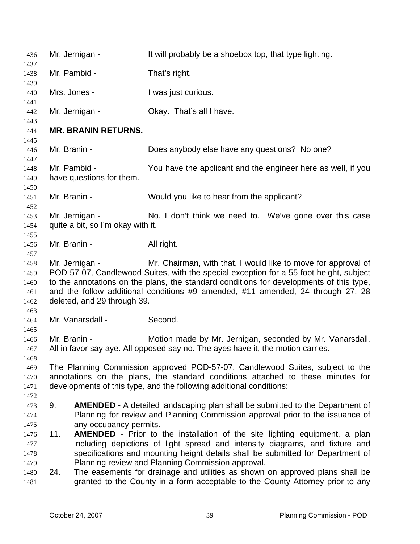| 1436                                         | Mr. Jernigan -                                                                                                                                                                                                                                                                                                                                                                         | It will probably be a shoebox top, that type lighting.                                                                                                                                                                                               |  |
|----------------------------------------------|----------------------------------------------------------------------------------------------------------------------------------------------------------------------------------------------------------------------------------------------------------------------------------------------------------------------------------------------------------------------------------------|------------------------------------------------------------------------------------------------------------------------------------------------------------------------------------------------------------------------------------------------------|--|
| 1437<br>1438                                 | Mr. Pambid -                                                                                                                                                                                                                                                                                                                                                                           | That's right.                                                                                                                                                                                                                                        |  |
| 1439                                         |                                                                                                                                                                                                                                                                                                                                                                                        |                                                                                                                                                                                                                                                      |  |
| 1440<br>1441                                 | Mrs. Jones -                                                                                                                                                                                                                                                                                                                                                                           | I was just curious.                                                                                                                                                                                                                                  |  |
| 1442                                         | Mr. Jernigan -                                                                                                                                                                                                                                                                                                                                                                         | Okay. That's all I have.                                                                                                                                                                                                                             |  |
| 1443<br>1444                                 | <b>MR. BRANIN RETURNS.</b>                                                                                                                                                                                                                                                                                                                                                             |                                                                                                                                                                                                                                                      |  |
| 1445                                         |                                                                                                                                                                                                                                                                                                                                                                                        |                                                                                                                                                                                                                                                      |  |
| 1446<br>1447                                 | Mr. Branin -                                                                                                                                                                                                                                                                                                                                                                           | Does anybody else have any questions? No one?                                                                                                                                                                                                        |  |
| 1448<br>1449                                 | Mr. Pambid -<br>have questions for them.                                                                                                                                                                                                                                                                                                                                               | You have the applicant and the engineer here as well, if you                                                                                                                                                                                         |  |
| 1450<br>1451<br>1452                         | Mr. Branin -                                                                                                                                                                                                                                                                                                                                                                           | Would you like to hear from the applicant?                                                                                                                                                                                                           |  |
| 1453<br>1454<br>1455                         | Mr. Jernigan -<br>quite a bit, so I'm okay with it.                                                                                                                                                                                                                                                                                                                                    | No, I don't think we need to. We've gone over this case                                                                                                                                                                                              |  |
| 1456<br>1457                                 | Mr. Branin -                                                                                                                                                                                                                                                                                                                                                                           | All right.                                                                                                                                                                                                                                           |  |
| 1458<br>1459<br>1460<br>1461<br>1462<br>1463 | Mr. Chairman, with that, I would like to move for approval of<br>Mr. Jernigan -<br>POD-57-07, Candlewood Suites, with the special exception for a 55-foot height, subject<br>to the annotations on the plans, the standard conditions for developments of this type,<br>and the follow additional conditions #9 amended, #11 amended, 24 through 27, 28<br>deleted, and 29 through 39. |                                                                                                                                                                                                                                                      |  |
| 1464                                         | Mr. Vanarsdall -                                                                                                                                                                                                                                                                                                                                                                       | Second.                                                                                                                                                                                                                                              |  |
| 1465<br>1466<br>1467<br>1468                 | Mr. Branin -                                                                                                                                                                                                                                                                                                                                                                           | Motion made by Mr. Jernigan, seconded by Mr. Vanarsdall.<br>All in favor say aye. All opposed say no. The ayes have it, the motion carries.                                                                                                          |  |
| 1469<br>1470<br>1471<br>1472                 |                                                                                                                                                                                                                                                                                                                                                                                        | The Planning Commission approved POD-57-07, Candlewood Suites, subject to the<br>annotations on the plans, the standard conditions attached to these minutes for<br>developments of this type, and the following additional conditions:              |  |
| 1473<br>1474                                 | 9.                                                                                                                                                                                                                                                                                                                                                                                     | <b>AMENDED</b> - A detailed landscaping plan shall be submitted to the Department of<br>Planning for review and Planning Commission approval prior to the issuance of                                                                                |  |
| 1475<br>1476<br>1477<br>1478                 | any occupancy permits.<br>11.                                                                                                                                                                                                                                                                                                                                                          | <b>AMENDED</b> - Prior to the installation of the site lighting equipment, a plan<br>including depictions of light spread and intensity diagrams, and fixture and<br>specifications and mounting height details shall be submitted for Department of |  |
| 1479<br>1480<br>1481                         | 24.                                                                                                                                                                                                                                                                                                                                                                                    | Planning review and Planning Commission approval.<br>The easements for drainage and utilities as shown on approved plans shall be<br>granted to the County in a form acceptable to the County Attorney prior to any                                  |  |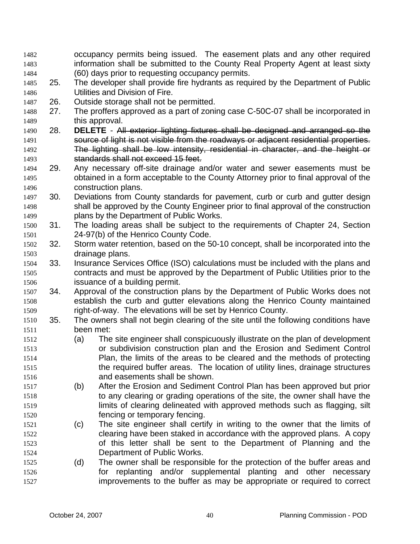- occupancy permits being issued. The easement plats and any other required information shall be submitted to the County Real Property Agent at least sixty (60) days prior to requesting occupancy permits. 1482 1483 1484
- 1485 1486 25. The developer shall provide fire hydrants as required by the Department of Public Utilities and Division of Fire.
- 1487 26. Outside storage shall not be permitted.
- 1488 1489 27. The proffers approved as a part of zoning case C-50C-07 shall be incorporated in this approval.
- 1490 28. **DELETE** All exterior lighting fixtures shall be designed and arranged so the 1491 **Source of light is not visible from the roadways or adjacent residential properties.** 1492 The lighting shall be low intensity, residential in character, and the height or 1493 standards shall not exceed 15 feet.
- 1494 1495 1496 29. Any necessary off-site drainage and/or water and sewer easements must be obtained in a form acceptable to the County Attorney prior to final approval of the construction plans.
- 1497 1498 1499 30. Deviations from County standards for pavement, curb or curb and gutter design shall be approved by the County Engineer prior to final approval of the construction plans by the Department of Public Works.
- 1500 1501 31. The loading areas shall be subject to the requirements of Chapter 24, Section 24-97(b) of the Henrico County Code.
- 1502 1503 32. Storm water retention, based on the 50-10 concept, shall be incorporated into the drainage plans.
- 1504 1505 1506 33. Insurance Services Office (ISO) calculations must be included with the plans and contracts and must be approved by the Department of Public Utilities prior to the issuance of a building permit.
- 1507 1508 1509 34. Approval of the construction plans by the Department of Public Works does not establish the curb and gutter elevations along the Henrico County maintained right-of-way. The elevations will be set by Henrico County.
- 1510 1511 35. The owners shall not begin clearing of the site until the following conditions have been met:
- 1512 1513 1514 1515 1516 (a) The site engineer shall conspicuously illustrate on the plan of development or subdivision construction plan and the Erosion and Sediment Control Plan, the limits of the areas to be cleared and the methods of protecting the required buffer areas. The location of utility lines, drainage structures and easements shall be shown.
- 1517 1518 1519 1520 (b) After the Erosion and Sediment Control Plan has been approved but prior to any clearing or grading operations of the site, the owner shall have the limits of clearing delineated with approved methods such as flagging, silt fencing or temporary fencing.
- 1521 1522 1523 1524 (c) The site engineer shall certify in writing to the owner that the limits of clearing have been staked in accordance with the approved plans. A copy of this letter shall be sent to the Department of Planning and the Department of Public Works.
- 1525 1526 1527 (d) The owner shall be responsible for the protection of the buffer areas and for replanting and/or supplemental planting and other necessary improvements to the buffer as may be appropriate or required to correct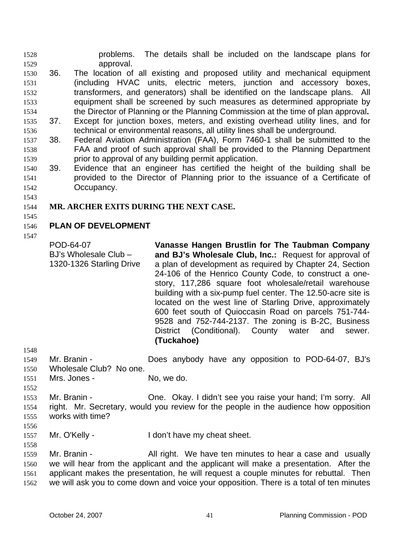problems. The details shall be included on the landscape plans for approval. 1528 1529

- 1530 1531 1532 1533 1534 1535 1536 36. The location of all existing and proposed utility and mechanical equipment (including HVAC units, electric meters, junction and accessory boxes, transformers, and generators) shall be identified on the landscape plans. All equipment shall be screened by such measures as determined appropriate by the Director of Planning or the Planning Commission at the time of plan approval**.**  37. Except for junction boxes, meters, and existing overhead utility lines, and for technical or environmental reasons, all utility lines shall be underground.
- 1537 1538 1539 38. Federal Aviation Administration (FAA), Form 7460-1 shall be submitted to the FAA and proof of such approval shall be provided to the Planning Department prior to approval of any building permit application.
- 1540 1541 1542 39. Evidence that an engineer has certified the height of the building shall be provided to the Director of Planning prior to the issuance of a Certificate of Occupancy.
- 1543

#### 1544 **MR. ARCHER EXITS DURING THE NEXT CASE.**

1545

## 1546 **PLAN OF DEVELOPMENT**

1547

POD-64-07 BJ's Wholesale Club – 1320-1326 Starling Drive **Vanasse Hangen Brustlin for The Taubman Company and BJ's Wholesale Club, Inc.:** Request for approval of a plan of development as required by Chapter 24, Section 24-106 of the Henrico County Code, to construct a onestory, 117,286 square foot wholesale/retail warehouse building with a six-pump fuel center. The 12.50-acre site is located on the west line of Starling Drive, approximately 600 feet south of Quioccasin Road on parcels 751-744- 9528 and 752-744-2137. The zoning is B-2C, Business District (Conditional). County water and sewer. **(Tuckahoe)** 

- 1548
- 1549 1550 Mr. Branin - **Does anybody have any opposition to POD-64-07, BJ's** Wholesale Club? No one.
- 1551 Mrs. Jones - No, we do.
- 1552 1553 Mr. Branin - Che. Okay. I didn't see you raise your hand; I'm sorry. All
	- 1554 1555 right. Mr. Secretary, would you review for the people in the audience how opposition works with time?
	- 1556

- 1557 Mr. O'Kelly - I don't have my cheat sheet.
- 1559 1560 1561 1562 Mr. Branin - The All right. We have ten minutes to hear a case and usually we will hear from the applicant and the applicant will make a presentation. After the applicant makes the presentation, he will request a couple minutes for rebuttal. Then we will ask you to come down and voice your opposition. There is a total of ten minutes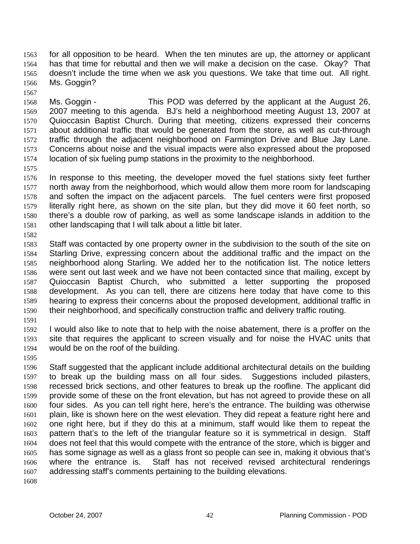for all opposition to be heard. When the ten minutes are up, the attorney or applicant has that time for rebuttal and then we will make a decision on the case. Okay? That doesn't include the time when we ask you questions. We take that time out. All right. Ms. Goggin? 1563 1564 1565 1566

1567

1568 1569 1570 1571 1572 1573 1574 Ms. Goggin - This POD was deferred by the applicant at the August 26, 2007 meeting to this agenda. BJ's held a neighborhood meeting August 13, 2007 at Quioccasin Baptist Church. During that meeting, citizens expressed their concerns about additional traffic that would be generated from the store, as well as cut-through traffic through the adjacent neighborhood on Farmington Drive and Blue Jay Lane. Concerns about noise and the visual impacts were also expressed about the proposed location of six fueling pump stations in the proximity to the neighborhood.

1575

1576 1577 1578 1579 1580 1581 In response to this meeting, the developer moved the fuel stations sixty feet further north away from the neighborhood, which would allow them more room for landscaping and soften the impact on the adjacent parcels. The fuel centers were first proposed literally right here, as shown on the site plan, but they did move it 60 feet north, so there's a double row of parking, as well as some landscape islands in addition to the other landscaping that I will talk about a little bit later.

1582

1583 1584 1585 1586 1587 1588 1589 1590 Staff was contacted by one property owner in the subdivision to the south of the site on Starling Drive, expressing concern about the additional traffic and the impact on the neighborhood along Starling. We added her to the notification list. The notice letters were sent out last week and we have not been contacted since that mailing, except by Quioccasin Baptist Church, who submitted a letter supporting the proposed development. As you can tell, there are citizens here today that have come to this hearing to express their concerns about the proposed development, additional traffic in their neighborhood, and specifically construction traffic and delivery traffic routing.

1591

1592 1593 1594 I would also like to note that to help with the noise abatement, there is a proffer on the site that requires the applicant to screen visually and for noise the HVAC units that would be on the roof of the building.

1595

1596 1597 1598 1599 1600 1601 1602 1603 1604 1605 1606 1607 Staff suggested that the applicant include additional architectural details on the building to break up the building mass on all four sides. Suggestions included pilasters, recessed brick sections, and other features to break up the roofline. The applicant did provide some of these on the front elevation, but has not agreed to provide these on all four sides. As you can tell right here, here's the entrance. The building was otherwise plain, like is shown here on the west elevation. They did repeat a feature right here and one right here, but if they do this at a minimum, staff would like them to repeat the pattern that's to the left of the triangular feature so it is symmetrical in design. Staff does not feel that this would compete with the entrance of the store, which is bigger and has some signage as well as a glass front so people can see in, making it obvious that's where the entrance is. Staff has not received revised architectural renderings addressing staff's comments pertaining to the building elevations.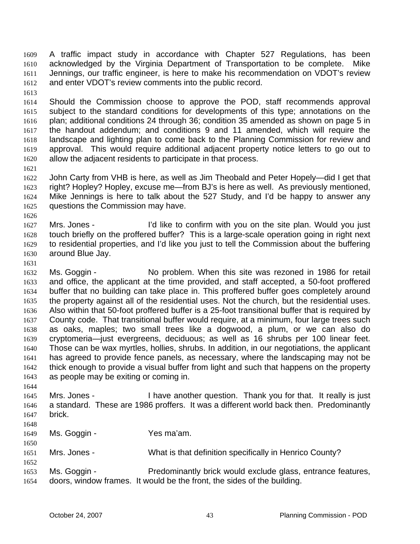A traffic impact study in accordance with Chapter 527 Regulations, has been acknowledged by the Virginia Department of Transportation to be complete. Mike Jennings, our traffic engineer, is here to make his recommendation on VDOT's review and enter VDOT's review comments into the public record. 1609 1610 1611 1612

1613

1621

1614 1615 1616 1617 1618 1619 1620 Should the Commission choose to approve the POD, staff recommends approval subject to the standard conditions for developments of this type; annotations on the plan; additional conditions 24 through 36; condition 35 amended as shown on page 5 in the handout addendum; and conditions 9 and 11 amended, which will require the landscape and lighting plan to come back to the Planning Commission for review and approval. This would require additional adjacent property notice letters to go out to allow the adjacent residents to participate in that process.

1622 1623 1624 1625 John Carty from VHB is here, as well as Jim Theobald and Peter Hopely—did I get that right? Hopley? Hopley, excuse me—from BJ's is here as well. As previously mentioned, Mike Jennings is here to talk about the 527 Study, and I'd be happy to answer any questions the Commission may have.

- 1626 1627 1628 1629 1630 Mrs. Jones - I'd like to confirm with you on the site plan. Would you just touch briefly on the proffered buffer? This is a large-scale operation going in right next to residential properties, and I'd like you just to tell the Commission about the buffering around Blue Jay.
- 1631

1632 1633 1634 1635 1636 1637 1638 1639 1640 1641 1642 1643 Ms. Goggin - No problem. When this site was rezoned in 1986 for retail and office, the applicant at the time provided, and staff accepted, a 50-foot proffered buffer that no building can take place in. This proffered buffer goes completely around the property against all of the residential uses. Not the church, but the residential uses. Also within that 50-foot proffered buffer is a 25-foot transitional buffer that is required by County code. That transitional buffer would require, at a minimum, four large trees such as oaks, maples; two small trees like a dogwood, a plum, or we can also do cryptomeria—just evergreens, deciduous; as well as 16 shrubs per 100 linear feet. Those can be wax myrtles, hollies, shrubs. In addition, in our negotiations, the applicant has agreed to provide fence panels, as necessary, where the landscaping may not be thick enough to provide a visual buffer from light and such that happens on the property as people may be exiting or coming in.

- 1645 1646 1647 Mrs. Jones - I have another question. Thank you for that. It really is just a standard. These are 1986 proffers. It was a different world back then. Predominantly brick.
- 1648

1650

1652

- 1649 Ms. Goggin - Yes ma'am.
- 1651 Mrs. Jones - What is that definition specifically in Henrico County?
- 1653 1654 Ms. Goggin - Predominantly brick would exclude glass, entrance features, doors, window frames. It would be the front, the sides of the building.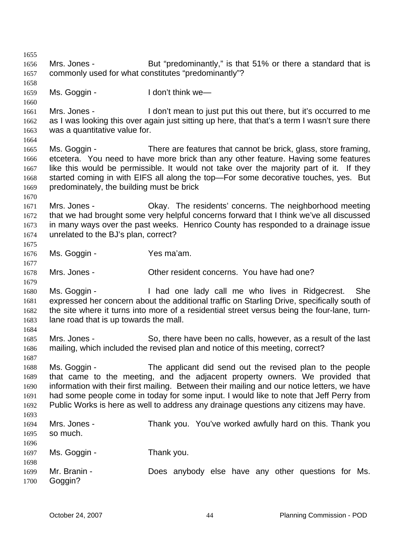1655 1656 1657 1658 1659 1660 1661 1662 1663 1664 1665 1666 1667 1668 1669 1670 1671 1672 1673 1674 1675 1676 1677 1678 1679 1680 1681 1682 1683 1684 1685 1686 1687 1688 1689 1690 1691 1692 1693 1694 1695 1696 1697 1698 1699 1700 Mrs. Jones - **But "predominantly,"** is that 51% or there a standard that is commonly used for what constitutes "predominantly"? Ms. Goggin - The Unit think we— Mrs. Jones - I don't mean to just put this out there, but it's occurred to me as I was looking this over again just sitting up here, that that's a term I wasn't sure there was a quantitative value for. Ms. Goggin - There are features that cannot be brick, glass, store framing, etcetera. You need to have more brick than any other feature. Having some features like this would be permissible. It would not take over the majority part of it. If they started coming in with EIFS all along the top—For some decorative touches, yes. But predominately, the building must be brick Mrs. Jones - Ckay. The residents' concerns. The neighborhood meeting that we had brought some very helpful concerns forward that I think we've all discussed in many ways over the past weeks. Henrico County has responded to a drainage issue unrelated to the BJ's plan, correct? Ms. Goggin - Yes ma'am. Mrs. Jones - Other resident concerns. You have had one? Ms. Goggin - Thad one lady call me who lives in Ridgecrest. She expressed her concern about the additional traffic on Starling Drive, specifically south of the site where it turns into more of a residential street versus being the four-lane, turnlane road that is up towards the mall. Mrs. Jones - So, there have been no calls, however, as a result of the last mailing, which included the revised plan and notice of this meeting, correct? Ms. Goggin - The applicant did send out the revised plan to the people that came to the meeting, and the adjacent property owners. We provided that information with their first mailing. Between their mailing and our notice letters, we have had some people come in today for some input. I would like to note that Jeff Perry from Public Works is here as well to address any drainage questions any citizens may have. Mrs. Jones - Thank you. You've worked awfully hard on this. Thank you so much. Ms. Goggin - Thank you. Mr. Branin - The Does anybody else have any other questions for Ms. Goggin?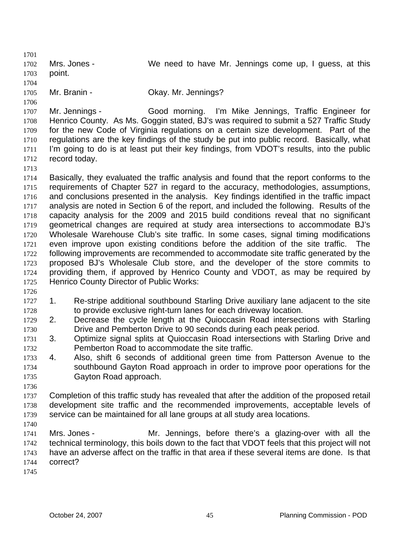1701 1702 1703 1704 1705 1706 1707 1708 1709 1710 1711 1712 1713 1714 1715 1716 1717 1718 1719 1720 1721 1722 1723 1724 1725 1726 1727 1728 1729 1730 1731 1732 1733 1734 1735 1736 1737 1738 1739 1740 1741 1742 1743 1744 1745 Mrs. Jones - We need to have Mr. Jennings come up, I guess, at this point. Mr. Branin - **Okay. Mr. Jennings?** Mr. Jennings - Good morning. I'm Mike Jennings, Traffic Engineer for Henrico County. As Ms. Goggin stated, BJ's was required to submit a 527 Traffic Study for the new Code of Virginia regulations on a certain size development. Part of the regulations are the key findings of the study be put into public record. Basically, what I'm going to do is at least put their key findings, from VDOT's results, into the public record today. Basically, they evaluated the traffic analysis and found that the report conforms to the requirements of Chapter 527 in regard to the accuracy, methodologies, assumptions, and conclusions presented in the analysis. Key findings identified in the traffic impact analysis are noted in Section 6 of the report, and included the following. Results of the capacity analysis for the 2009 and 2015 build conditions reveal that no significant geometrical changes are required at study area intersections to accommodate BJ's Wholesale Warehouse Club's site traffic. In some cases, signal timing modifications even improve upon existing conditions before the addition of the site traffic. The following improvements are recommended to accommodate site traffic generated by the proposed BJ's Wholesale Club store, and the developer of the store commits to providing them, if approved by Henrico County and VDOT, as may be required by Henrico County Director of Public Works: 1. Re-stripe additional southbound Starling Drive auxiliary lane adjacent to the site to provide exclusive right-turn lanes for each driveway location. 2. Decrease the cycle length at the Quioccasin Road intersections with Starling Drive and Pemberton Drive to 90 seconds during each peak period. 3. Optimize signal splits at Quioccasin Road intersections with Starling Drive and Pemberton Road to accommodate the site traffic. 4. Also, shift 6 seconds of additional green time from Patterson Avenue to the southbound Gayton Road approach in order to improve poor operations for the Gayton Road approach. Completion of this traffic study has revealed that after the addition of the proposed retail development site traffic and the recommended improvements, acceptable levels of service can be maintained for all lane groups at all study area locations. Mrs. Jones - The Mr. Jennings, before there's a glazing-over with all the technical terminology, this boils down to the fact that VDOT feels that this project will not have an adverse affect on the traffic in that area if these several items are done. Is that correct?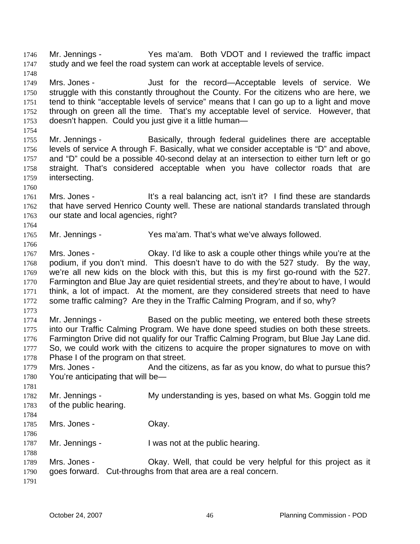Mr. Jennings - Yes ma'am. Both VDOT and I reviewed the traffic impact study and we feel the road system can work at acceptable levels of service. 1746 1747

- 1749 1750 1751 1752 1753 Mrs. Jones - The Just for the record—Acceptable levels of service. We struggle with this constantly throughout the County. For the citizens who are here, we tend to think "acceptable levels of service" means that I can go up to a light and move through on green all the time. That's my acceptable level of service. However, that doesn't happen. Could you just give it a little human—
- 1754 1755 1756 1757 1758 1759 Mr. Jennings - Basically, through federal guidelines there are acceptable levels of service A through F. Basically, what we consider acceptable is "D" and above, and "D" could be a possible 40-second delay at an intersection to either turn left or go straight. That's considered acceptable when you have collector roads that are intersecting.
- 1761 1762 1763 Mrs. Jones - It's a real balancing act, isn't it? I find these are standards that have served Henrico County well. These are national standards translated through our state and local agencies, right?
- 1765 Mr. Jennings - Yes ma'am. That's what we've always followed.
- 1767 1768 1769 1770 1771 1772 Mrs. Jones - Ckay. I'd like to ask a couple other things while you're at the podium, if you don't mind. This doesn't have to do with the 527 study. By the way, we're all new kids on the block with this, but this is my first go-round with the 527. Farmington and Blue Jay are quiet residential streets, and they're about to have, I would think, a lot of impact. At the moment, are they considered streets that need to have some traffic calming? Are they in the Traffic Calming Program, and if so, why?
- 1773

1748

1760

1764

1766

- 1774 1775 1776 1777 1778 Mr. Jennings - Based on the public meeting, we entered both these streets into our Traffic Calming Program. We have done speed studies on both these streets. Farmington Drive did not qualify for our Traffic Calming Program, but Blue Jay Lane did. So, we could work with the citizens to acquire the proper signatures to move on with Phase I of the program on that street.
- 1779 1780 Mrs. Jones - And the citizens, as far as you know, do what to pursue this? You're anticipating that will be—
- 1781 1782 1783 Mr. Jennings - My understanding is yes, based on what Ms. Goggin told me of the public hearing.
- 1784

1786

- 1785 Mrs. Jones - Ckay.
- 1787 Mr. Jennings - I was not at the public hearing.
- 1789 1790 Mrs. Jones - Okay. Well, that could be very helpful for this project as it goes forward. Cut-throughs from that area are a real concern.
- 1791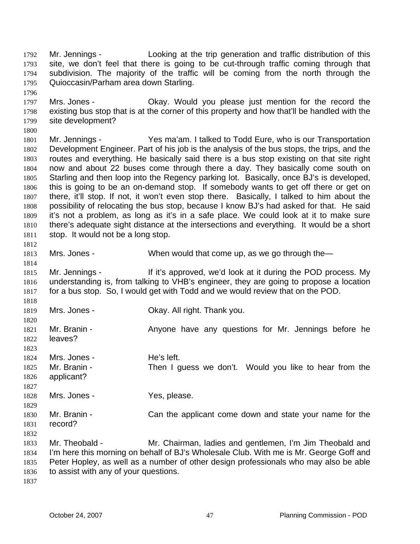Mr. Jennings - Looking at the trip generation and traffic distribution of this site, we don't feel that there is going to be cut-through traffic coming through that subdivision. The majority of the traffic will be coming from the north through the Quioccasin/Parham area down Starling. 1792 1793 1794 1795

1797 1798 1799 Mrs. Jones - Ckay. Would you please just mention for the record the existing bus stop that is at the corner of this property and how that'll be handled with the site development?

1800 1801 1802 1803 1804 1805 1806 1807 1808 1809 1810 1811 Mr. Jennings - Yes ma'am. I talked to Todd Eure, who is our Transportation Development Engineer. Part of his job is the analysis of the bus stops, the trips, and the routes and everything. He basically said there is a bus stop existing on that site right now and about 22 buses come through there a day. They basically come south on Starling and then loop into the Regency parking lot. Basically, once BJ's is developed, this is going to be an on-demand stop. If somebody wants to get off there or get on there, it'll stop. If not, it won't even stop there. Basically, I talked to him about the possibility of relocating the bus stop, because I know BJ's had asked for that. He said it's not a problem, as long as it's in a safe place. We could look at it to make sure there's adequate sight distance at the intersections and everything. It would be a short stop. It would not be a long stop.

1813 Mrs. Jones - When would that come up, as we go through the—

1815 1816 1817 Mr. Jennings - If it's approved, we'd look at it during the POD process. My understanding is, from talking to VHB's engineer, they are going to propose a location for a bus stop. So, I would get with Todd and we would review that on the POD.

1819 Mrs. Jones - Ckay. All right. Thank you.

1820 1821 1822 1823 1824 1825 1826 1827 1828 1829 Mr. Branin - The Anyone have any questions for Mr. Jennings before he leaves? Mrs. Jones - The's left. Mr. Branin - Then I guess we don't. Would you like to hear from the applicant? Mrs. Jones - Yes, please.

1830 1831 Mr. Branin - Can the applicant come down and state your name for the record?

1832

1796

1812

1814

1818

1833 1834 1835 1836 Mr. Theobald - Mr. Chairman, ladies and gentlemen, I'm Jim Theobald and I'm here this morning on behalf of BJ's Wholesale Club. With me is Mr. George Goff and Peter Hopley, as well as a number of other design professionals who may also be able to assist with any of your questions.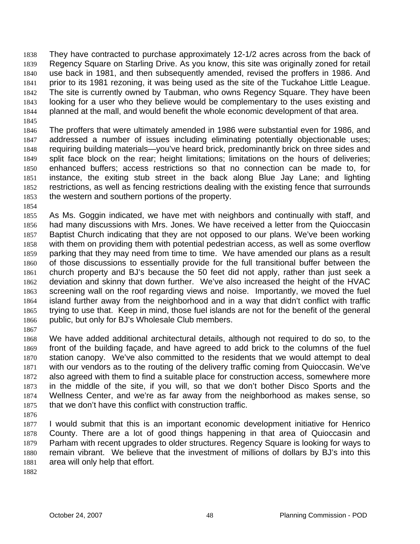They have contracted to purchase approximately 12-1/2 acres across from the back of Regency Square on Starling Drive. As you know, this site was originally zoned for retail use back in 1981, and then subsequently amended, revised the proffers in 1986. And prior to its 1981 rezoning, it was being used as the site of the Tuckahoe Little League. The site is currently owned by Taubman, who owns Regency Square. They have been looking for a user who they believe would be complementary to the uses existing and planned at the mall, and would benefit the whole economic development of that area. 1838 1839 1840 1841 1842 1843 1844 1845

- 1846 1847 1848 1849 1850 1851 1852 1853 The proffers that were ultimately amended in 1986 were substantial even for 1986, and addressed a number of issues including eliminating potentially objectionable uses; requiring building materials—you've heard brick, predominantly brick on three sides and split face block on the rear; height limitations; limitations on the hours of deliveries; enhanced buffers; access restrictions so that no connection can be made to, for instance, the exiting stub street in the back along Blue Jay Lane; and lighting restrictions, as well as fencing restrictions dealing with the existing fence that surrounds the western and southern portions of the property.
- 1854
- 1855 1856 1857 1858 1859 1860 1861 1862 1863 1864 1865 1866 As Ms. Goggin indicated, we have met with neighbors and continually with staff, and had many discussions with Mrs. Jones. We have received a letter from the Quioccasin Baptist Church indicating that they are not opposed to our plans. We've been working with them on providing them with potential pedestrian access, as well as some overflow parking that they may need from time to time. We have amended our plans as a result of those discussions to essentially provide for the full transitional buffer between the church property and BJ's because the 50 feet did not apply, rather than just seek a deviation and skinny that down further. We've also increased the height of the HVAC screening wall on the roof regarding views and noise. Importantly, we moved the fuel island further away from the neighborhood and in a way that didn't conflict with traffic trying to use that. Keep in mind, those fuel islands are not for the benefit of the general public, but only for BJ's Wholesale Club members.
- 1867

1868 1869 1870 1871 1872 1873 1874 1875 We have added additional architectural details, although not required to do so, to the front of the building façade, and have agreed to add brick to the columns of the fuel station canopy. We've also committed to the residents that we would attempt to deal with our vendors as to the routing of the delivery traffic coming from Quioccasin. We've also agreed with them to find a suitable place for construction access, somewhere more in the middle of the site, if you will, so that we don't bother Disco Sports and the Wellness Center, and we're as far away from the neighborhood as makes sense, so that we don't have this conflict with construction traffic.

1876

1877 1878 1879 1880 1881 I would submit that this is an important economic development initiative for Henrico County. There are a lot of good things happening in that area of Quioccasin and Parham with recent upgrades to older structures. Regency Square is looking for ways to remain vibrant. We believe that the investment of millions of dollars by BJ's into this area will only help that effort.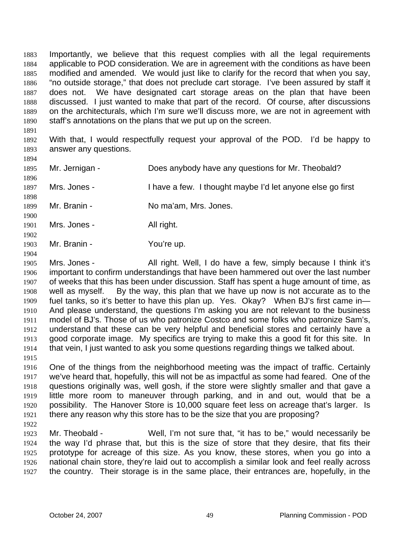Importantly, we believe that this request complies with all the legal requirements applicable to POD consideration. We are in agreement with the conditions as have been modified and amended. We would just like to clarify for the record that when you say, "no outside storage," that does not preclude cart storage. I've been assured by staff it does not. We have designated cart storage areas on the plan that have been discussed. I just wanted to make that part of the record. Of course, after discussions on the architecturals, which I'm sure we'll discuss more, we are not in agreement with staff's annotations on the plans that we put up on the screen. 1883 1884 1885 1886 1887 1888 1889 1890

- 1892 1893 With that, I would respectfully request your approval of the POD. I'd be happy to answer any questions.
- 1894

1891

- 1895 Mr. Jernigan - Does anybody have any questions for Mr. Theobald?
- 1896
- 1897 1898 Mrs. Jones - I have a few. I thought maybe I'd let anyone else go first
- 1899 Mr. Branin - No ma'am, Mrs. Jones.
- 1901 Mrs. Jones - All right.
- 1903 Mr. Branin - You're up.
- 1904

1900

1902

1905 1906 1907 1908 1909 1910 1911 1912 1913 1914 1915 Mrs. Jones - All right. Well, I do have a few, simply because I think it's important to confirm understandings that have been hammered out over the last number of weeks that this has been under discussion. Staff has spent a huge amount of time, as well as myself. By the way, this plan that we have up now is not accurate as to the fuel tanks, so it's better to have this plan up. Yes. Okay? When BJ's first came in— And please understand, the questions I'm asking you are not relevant to the business model of BJ's. Those of us who patronize Costco and some folks who patronize Sam's, understand that these can be very helpful and beneficial stores and certainly have a good corporate image. My specifics are trying to make this a good fit for this site. In that vein, I just wanted to ask you some questions regarding things we talked about.

- 1916 1917 1918 1919 1920 1921 One of the things from the neighborhood meeting was the impact of traffic. Certainly we've heard that, hopefully, this will not be as impactful as some had feared. One of the questions originally was, well gosh, if the store were slightly smaller and that gave a little more room to maneuver through parking, and in and out, would that be a possibility. The Hanover Store is 10,000 square feet less on acreage that's larger. Is there any reason why this store has to be the size that you are proposing?
- 1922

1923 1924 1925 1926 1927 Mr. Theobald - Well, I'm not sure that, "it has to be," would necessarily be the way I'd phrase that, but this is the size of store that they desire, that fits their prototype for acreage of this size. As you know, these stores, when you go into a national chain store, they're laid out to accomplish a similar look and feel really across the country. Their storage is in the same place, their entrances are, hopefully, in the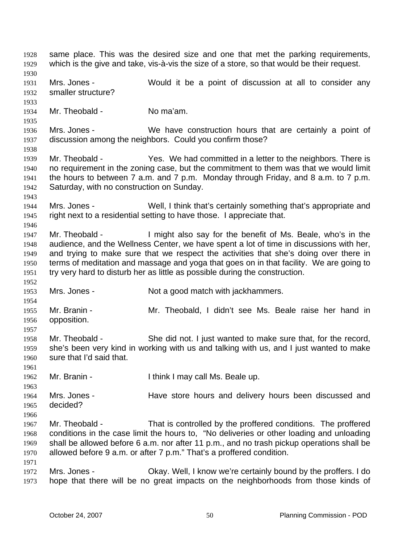same place. This was the desired size and one that met the parking requirements, which is the give and take, vis-à-vis the size of a store, so that would be their request. 1928 1929 1930 1931 1932 1933 1934 1935 1936 1937 1938 1939 1940 1941 1942 1943 1944 1945 1946 1947 1948 1949 1950 1951 1952 1953 1954 1955 1956 1957 1958 1959 1960 1961 1962 1963 1964 1965 1966 1967 1968 1969 1970 1971 1972 1973 Mrs. Jones - Would it be a point of discussion at all to consider any smaller structure? Mr. Theobald - No ma'am. Mrs. Jones - We have construction hours that are certainly a point of discussion among the neighbors. Could you confirm those? Mr. Theobald - Yes. We had committed in a letter to the neighbors. There is no requirement in the zoning case, but the commitment to them was that we would limit the hours to between 7 a.m. and 7 p.m. Monday through Friday, and 8 a.m. to 7 p.m. Saturday, with no construction on Sunday. Mrs. Jones - Well, I think that's certainly something that's appropriate and right next to a residential setting to have those. I appreciate that. Mr. Theobald - I might also say for the benefit of Ms. Beale, who's in the audience, and the Wellness Center, we have spent a lot of time in discussions with her, and trying to make sure that we respect the activities that she's doing over there in terms of meditation and massage and yoga that goes on in that facility. We are going to try very hard to disturb her as little as possible during the construction. Mrs. Jones - Not a good match with jackhammers. Mr. Branin - Mr. Theobald, I didn't see Ms. Beale raise her hand in opposition. Mr. Theobald - She did not. I just wanted to make sure that, for the record, she's been very kind in working with us and talking with us, and I just wanted to make sure that I'd said that. Mr. Branin - Ithink I may call Ms. Beale up. Mrs. Jones - The Have store hours and delivery hours been discussed and decided? Mr. Theobald - That is controlled by the proffered conditions. The proffered conditions in the case limit the hours to, "No deliveries or other loading and unloading shall be allowed before 6 a.m. nor after 11 p.m., and no trash pickup operations shall be allowed before 9 a.m. or after 7 p.m." That's a proffered condition. Mrs. Jones - Okay. Well, I know we're certainly bound by the proffers. I do hope that there will be no great impacts on the neighborhoods from those kinds of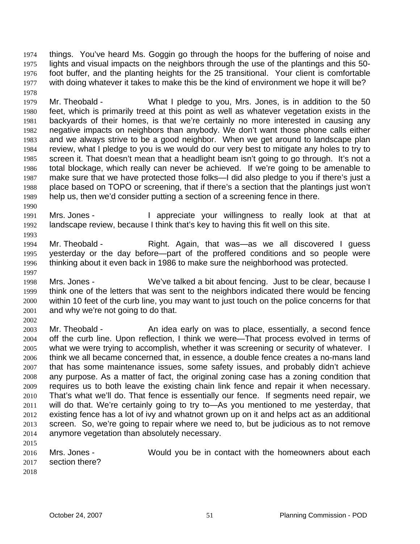things. You've heard Ms. Goggin go through the hoops for the buffering of noise and lights and visual impacts on the neighbors through the use of the plantings and this 50 foot buffer, and the planting heights for the 25 transitional. Your client is comfortable with doing whatever it takes to make this be the kind of environment we hope it will be? 1974 1975 1976 1977

1979 1980 1981 1982 1983 1984 1985 1986 1987 1988 1989 Mr. Theobald - What I pledge to you, Mrs. Jones, is in addition to the 50 feet, which is primarily treed at this point as well as whatever vegetation exists in the backyards of their homes, is that we're certainly no more interested in causing any negative impacts on neighbors than anybody. We don't want those phone calls either and we always strive to be a good neighbor. When we get around to landscape plan review, what I pledge to you is we would do our very best to mitigate any holes to try to screen it. That doesn't mean that a headlight beam isn't going to go through. It's not a total blockage, which really can never be achieved. If we're going to be amenable to make sure that we have protected those folks—I did also pledge to you if there's just a place based on TOPO or screening, that if there's a section that the plantings just won't help us, then we'd consider putting a section of a screening fence in there.

1990 1991 1992 Mrs. Jones - The appreciate your willingness to really look at that at landscape review, because I think that's key to having this fit well on this site.

- 1994 1995 1996 Mr. Theobald - Right. Again, that was—as we all discovered I guess yesterday or the day before—part of the proffered conditions and so people were thinking about it even back in 1986 to make sure the neighborhood was protected.
- 1998 1999 2000 2001 Mrs. Jones - We've talked a bit about fencing. Just to be clear, because I think one of the letters that was sent to the neighbors indicated there would be fencing within 10 feet of the curb line, you may want to just touch on the police concerns for that and why we're not going to do that.
- 2002 2003 2004 2005 2006 2007 2008 2009 2010 2011 2012 2013 2014 2015 Mr. Theobald - An idea early on was to place, essentially, a second fence off the curb line. Upon reflection, I think we were—That process evolved in terms of what we were trying to accomplish, whether it was screening or security of whatever. I think we all became concerned that, in essence, a double fence creates a no-mans land that has some maintenance issues, some safety issues, and probably didn't achieve any purpose. As a matter of fact, the original zoning case has a zoning condition that requires us to both leave the existing chain link fence and repair it when necessary. That's what we'll do. That fence is essentially our fence. If segments need repair, we will do that. We're certainly going to try to—As you mentioned to me yesterday, that existing fence has a lot of ivy and whatnot grown up on it and helps act as an additional screen. So, we're going to repair where we need to, but be judicious as to not remove anymore vegetation than absolutely necessary.
- 2016 2017 Mrs. Jones - **Would you be in contact with the homeowners about each** section there?
- 2018

1978

1993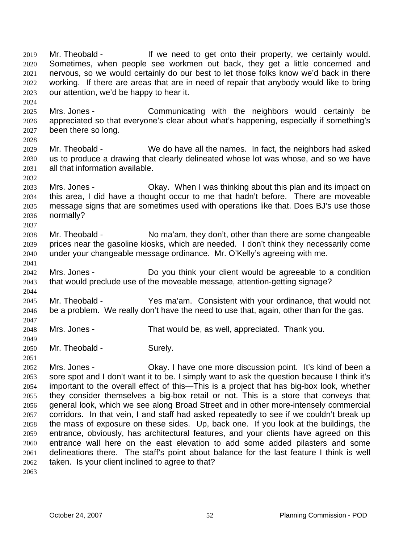Mr. Theobald - Theorem 15 If we need to get onto their property, we certainly would. Sometimes, when people see workmen out back, they get a little concerned and nervous, so we would certainly do our best to let those folks know we'd back in there working. If there are areas that are in need of repair that anybody would like to bring our attention, we'd be happy to hear it. 2019 2020 2021 2022 2023

2025 2026 2027 2028 Mrs. Jones - Communicating with the neighbors would certainly be appreciated so that everyone's clear about what's happening, especially if something's been there so long.

- 2029 2030 2031 Mr. Theobald - We do have all the names. In fact, the neighbors had asked us to produce a drawing that clearly delineated whose lot was whose, and so we have all that information available.
- 2033 2034 2035 2036 Mrs. Jones - Chay. When I was thinking about this plan and its impact on this area, I did have a thought occur to me that hadn't before. There are moveable message signs that are sometimes used with operations like that. Does BJ's use those normally?
- 2038 2039 2040 Mr. Theobald - No ma'am, they don't, other than there are some changeable prices near the gasoline kiosks, which are needed. I don't think they necessarily come under your changeable message ordinance. Mr. O'Kelly's agreeing with me.
- 2042 2043 Mrs. Jones - **Do** you think your client would be agreeable to a condition that would preclude use of the moveable message, attention-getting signage?
- 2045 2046 Mr. Theobald - Yes ma'am. Consistent with your ordinance, that would not be a problem. We really don't have the need to use that, again, other than for the gas.
- 2048 Mrs. Jones - That would be, as well, appreciated. Thank you.
- 2050 Mr. Theobald - Surely.

2024

2032

2037

2041

2044

2047

2049

2051 2052 2053 2054 2055 2056 2057 2058 Mrs. Jones - Ckay. I have one more discussion point. It's kind of been a sore spot and I don't want it to be. I simply want to ask the question because I think it's important to the overall effect of this—This is a project that has big-box look, whether they consider themselves a big-box retail or not. This is a store that conveys that

2059 2060 2061 2062 2063 general look, which we see along Broad Street and in other more-intensely commercial corridors. In that vein, I and staff had asked repeatedly to see if we couldn't break up the mass of exposure on these sides. Up, back one. If you look at the buildings, the entrance, obviously, has architectural features, and your clients have agreed on this entrance wall here on the east elevation to add some added pilasters and some delineations there. The staff's point about balance for the last feature I think is well taken. Is your client inclined to agree to that?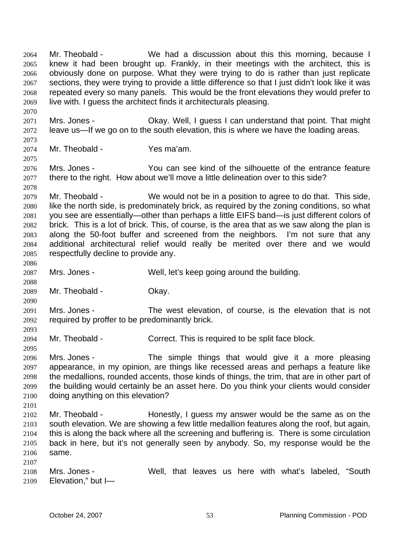Mr. Theobald - We had a discussion about this this morning, because I knew it had been brought up. Frankly, in their meetings with the architect, this is obviously done on purpose. What they were trying to do is rather than just replicate sections, they were trying to provide a little difference so that I just didn't look like it was repeated every so many panels. This would be the front elevations they would prefer to live with. I guess the architect finds it architecturals pleasing. 2064 2065 2066 2067 2068 2069

2071 2072 Mrs. Jones - Chay. Well, I guess I can understand that point. That might leave us—If we go on to the south elevation, this is where we have the loading areas.

2073 2074

2075

2078

2086

2088

2090

2093

2095

2101

2107

2070

Mr. Theobald - Yes ma'am.

2076 2077 Mrs. Jones - You can see kind of the silhouette of the entrance feature there to the right. How about we'll move a little delineation over to this side?

2079 2080 2081 2082 2083 2084 2085 Mr. Theobald - We would not be in a position to agree to do that. This side, like the north side, is predominately brick, as required by the zoning conditions, so what you see are essentially—other than perhaps a little EIFS band—is just different colors of brick. This is a lot of brick. This, of course, is the area that as we saw along the plan is along the 50-foot buffer and screened from the neighbors. I'm not sure that any additional architectural relief would really be merited over there and we would respectfully decline to provide any.

2087 Mrs. Jones - Well, let's keep going around the building.

2089 Mr. Theobald - Okay.

2091 2092 Mrs. Jones - The west elevation, of course, is the elevation that is not required by proffer to be predominantly brick.

2094 Mr. Theobald - Correct. This is required to be split face block.

2096 2097 2098 2099 2100 Mrs. Jones - The simple things that would give it a more pleasing appearance, in my opinion, are things like recessed areas and perhaps a feature like the medallions, rounded accents, those kinds of things, the trim, that are in other part of the building would certainly be an asset here. Do you think your clients would consider doing anything on this elevation?

- 2102 2103 2104 2105 2106 Mr. Theobald - Theorestly, I guess my answer would be the same as on the south elevation. We are showing a few little medallion features along the roof, but again, this is along the back where all the screening and buffering is. There is some circulation back in here, but it's not generally seen by anybody. So, my response would be the same.
- 2108 2109 Mrs. Jones - Well, that leaves us here with what's labeled, "South Elevation," but I—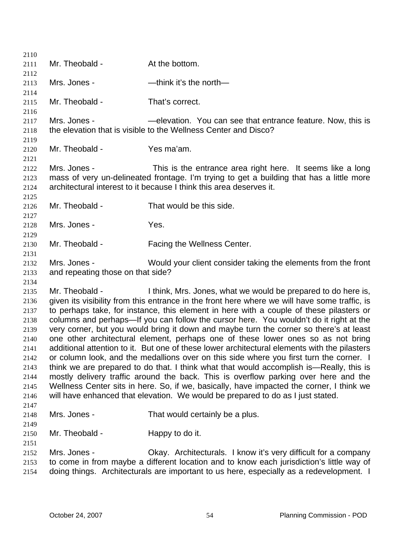| 2110         |                                                                                          |                                                                                               |  |
|--------------|------------------------------------------------------------------------------------------|-----------------------------------------------------------------------------------------------|--|
| 2111         | Mr. Theobald -                                                                           | At the bottom.                                                                                |  |
| 2112         |                                                                                          |                                                                                               |  |
| 2113         | Mrs. Jones -                                                                             | -think it's the north-                                                                        |  |
| 2114         |                                                                                          |                                                                                               |  |
| 2115         | Mr. Theobald -                                                                           | That's correct.                                                                               |  |
| 2116         |                                                                                          |                                                                                               |  |
| 2117         | Mrs. Jones -                                                                             | -elevation. You can see that entrance feature. Now, this is                                   |  |
| 2118         |                                                                                          | the elevation that is visible to the Wellness Center and Disco?                               |  |
| 2119         |                                                                                          |                                                                                               |  |
| 2120         | Mr. Theobald -                                                                           | Yes ma'am.                                                                                    |  |
| 2121         |                                                                                          |                                                                                               |  |
| 2122         | Mrs. Jones -                                                                             | This is the entrance area right here. It seems like a long                                    |  |
| 2123         |                                                                                          | mass of very un-delineated frontage. I'm trying to get a building that has a little more      |  |
| 2124         |                                                                                          | architectural interest to it because I think this area deserves it.                           |  |
| 2125         | Mr. Theobald -                                                                           | That would be this side.                                                                      |  |
| 2126<br>2127 |                                                                                          |                                                                                               |  |
| 2128         | Mrs. Jones -                                                                             | Yes.                                                                                          |  |
| 2129         |                                                                                          |                                                                                               |  |
| 2130         | Mr. Theobald -                                                                           | Facing the Wellness Center.                                                                   |  |
| 2131         |                                                                                          |                                                                                               |  |
| 2132         | Mrs. Jones -                                                                             | Would your client consider taking the elements from the front                                 |  |
| 2133         | and repeating those on that side?                                                        |                                                                                               |  |
| 2134         |                                                                                          |                                                                                               |  |
| 2135         | Mr. Theobald -                                                                           | I think, Mrs. Jones, what we would be prepared to do here is,                                 |  |
| 2136         |                                                                                          | given its visibility from this entrance in the front here where we will have some traffic, is |  |
| 2137         |                                                                                          | to perhaps take, for instance, this element in here with a couple of these pilasters or       |  |
| 2138         |                                                                                          | columns and perhaps—If you can follow the cursor here. You wouldn't do it right at the        |  |
| 2139         |                                                                                          | very corner, but you would bring it down and maybe turn the corner so there's at least        |  |
| 2140         |                                                                                          | one other architectural element, perhaps one of these lower ones so as not bring              |  |
| 2141         |                                                                                          | additional attention to it. But one of these lower architectural elements with the pilasters  |  |
| 2142         |                                                                                          | or column look, and the medallions over on this side where you first turn the corner. I       |  |
| 2143         |                                                                                          | think we are prepared to do that. I think what that would accomplish is—Really, this is       |  |
| 2144         | mostly delivery traffic around the back. This is overflow parking over here and the      |                                                                                               |  |
| 2145         | Wellness Center sits in here. So, if we, basically, have impacted the corner, I think we |                                                                                               |  |
| 2146         |                                                                                          | will have enhanced that elevation. We would be prepared to do as I just stated.               |  |
| 2147         |                                                                                          |                                                                                               |  |
| 2148         | Mrs. Jones -                                                                             | That would certainly be a plus.                                                               |  |
| 2149<br>2150 | Mr. Theobald -                                                                           | Happy to do it.                                                                               |  |
| 2151         |                                                                                          |                                                                                               |  |
| 2152         | Mrs. Jones -                                                                             | Okay. Architecturals. I know it's very difficult for a company                                |  |
| 2153         |                                                                                          | to come in from maybe a different location and to know each jurisdiction's little way of      |  |
| 2154         |                                                                                          | doing things. Architecturals are important to us here, especially as a redevelopment. I       |  |
|              |                                                                                          |                                                                                               |  |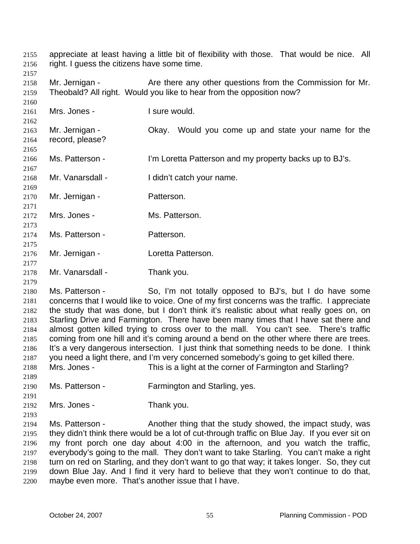appreciate at least having a little bit of flexibility with those. That would be nice. All right. I guess the citizens have some time. 2155 2156

2157

2160

2167

2169

2171

2173

2175

2177

2158 2159 Mr. Jernigan - Are there any other questions from the Commission for Mr. Theobald? All right. Would you like to hear from the opposition now?

2161 Mrs. Jones - I sure would.

> Mr. Jernigan - Ckay. Would you come up and state your name for the record, please?

- 2166 Ms. Patterson - I'm Loretta Patterson and my property backs up to BJ's.
- 2168 Mr. Vanarsdall - I didn't catch your name.
- 2170 Mr. Jernigan - Patterson.
- 2172 Mrs. Jones - Ms. Patterson.
- 2174 Ms. Patterson - Patterson.
- 2176 Mr. Jernigan - **Loretta Patterson.**
- 2178 Mr. Vanarsdall - Thank you.
- 2179

2180 2181 2182 2183 2184 2185 2186 2187 Ms. Patterson - So, I'm not totally opposed to BJ's, but I do have some concerns that I would like to voice. One of my first concerns was the traffic. I appreciate the study that was done, but I don't think it's realistic about what really goes on, on Starling Drive and Farmington. There have been many times that I have sat there and almost gotten killed trying to cross over to the mall. You can't see. There's traffic coming from one hill and it's coming around a bend on the other where there are trees. It's a very dangerous intersection. I just think that something needs to be done. I think you need a light there, and I'm very concerned somebody's going to get killed there. Mrs. Jones - This is a light at the corner of Farmington and Starling?

- 2188 2189
- 2190 Ms. Patterson - Farmington and Starling, yes.
- 2191 2192

Mrs. Jones - Thank you.

2193 2194 2195 2196 2197 2198 2199 2200 Ms. Patterson - Another thing that the study showed, the impact study, was they didn't think there would be a lot of cut-through traffic on Blue Jay. If you ever sit on my front porch one day about 4:00 in the afternoon, and you watch the traffic, everybody's going to the mall. They don't want to take Starling. You can't make a right turn on red on Starling, and they don't want to go that way; it takes longer. So, they cut down Blue Jay. And I find it very hard to believe that they won't continue to do that, maybe even more. That's another issue that I have.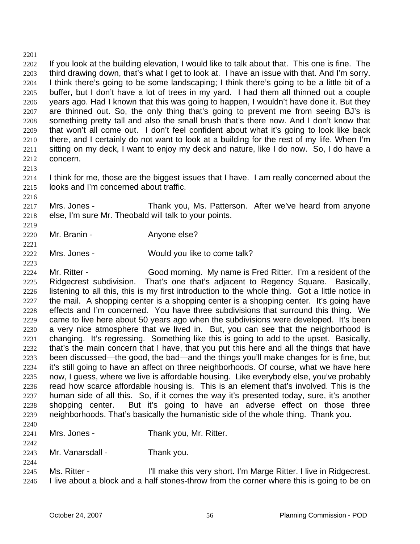2201 2202 2203 2204 2205 2206 2207 2208 2209 2210 2211 2212 If you look at the building elevation, I would like to talk about that. This one is fine. The third drawing down, that's what I get to look at. I have an issue with that. And I'm sorry. I think there's going to be some landscaping; I think there's going to be a little bit of a buffer, but I don't have a lot of trees in my yard. I had them all thinned out a couple years ago. Had I known that this was going to happen, I wouldn't have done it. But they are thinned out. So, the only thing that's going to prevent me from seeing BJ's is something pretty tall and also the small brush that's there now. And I don't know that that won't all come out. I don't feel confident about what it's going to look like back there, and I certainly do not want to look at a building for the rest of my life. When I'm sitting on my deck, I want to enjoy my deck and nature, like I do now. So, I do have a concern.

2214 2215 I think for me, those are the biggest issues that I have. I am really concerned about the looks and I'm concerned about traffic.

2217 2218 Mrs. Jones - Thank you, Ms. Patterson. After we've heard from anyone else, I'm sure Mr. Theobald will talk to your points.

2220 Mr. Branin - **Anyone else?** 

2213

2216

2219

2221

2223

2242

2244

2222 Mrs. Jones - Would you like to come talk?

2224 2225 2226 2227 2228 2229 2230 2231 2232 2233 2234 2235 2236 2237 2238 2239 2240 Mr. Ritter - Good morning. My name is Fred Ritter. I'm a resident of the Ridgecrest subdivision. That's one that's adjacent to Regency Square. Basically, listening to all this, this is my first introduction to the whole thing. Got a little notice in the mail. A shopping center is a shopping center is a shopping center. It's going have effects and I'm concerned. You have three subdivisions that surround this thing. We came to live here about 50 years ago when the subdivisions were developed. It's been a very nice atmosphere that we lived in. But, you can see that the neighborhood is changing. It's regressing. Something like this is going to add to the upset. Basically, that's the main concern that I have, that you put this here and all the things that have been discussed—the good, the bad—and the things you'll make changes for is fine, but it's still going to have an affect on three neighborhoods. Of course, what we have here now, I guess, where we live is affordable housing. Like everybody else, you've probably read how scarce affordable housing is. This is an element that's involved. This is the human side of all this. So, if it comes the way it's presented today, sure, it's another shopping center. But it's going to have an adverse effect on those three neighborhoods. That's basically the humanistic side of the whole thing. Thank you.

- 2241 Mrs. Jones - Thank you, Mr. Ritter.
- 2243 Mr. Vanarsdall - Thank you.
- 2245 2246 Ms. Ritter - **I'll make this very short. I'm Marge Ritter. I live in Ridgecrest.** I live about a block and a half stones-throw from the corner where this is going to be on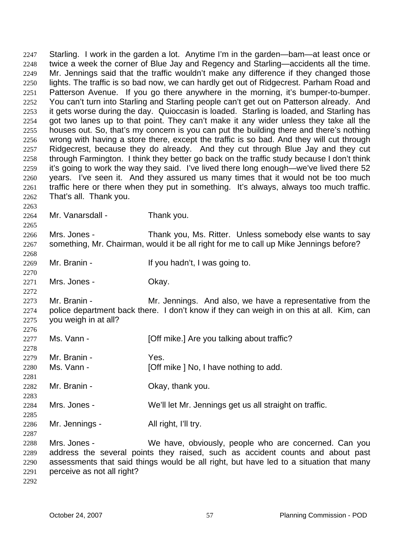Starling. I work in the garden a lot. Anytime I'm in the garden—bam—at least once or twice a week the corner of Blue Jay and Regency and Starling—accidents all the time. Mr. Jennings said that the traffic wouldn't make any difference if they changed those lights. The traffic is so bad now, we can hardly get out of Ridgecrest. Parham Road and Patterson Avenue. If you go there anywhere in the morning, it's bumper-to-bumper. You can't turn into Starling and Starling people can't get out on Patterson already. And it gets worse during the day. Quioccasin is loaded. Starling is loaded, and Starling has got two lanes up to that point. They can't make it any wider unless they take all the houses out. So, that's my concern is you can put the building there and there's nothing wrong with having a store there, except the traffic is so bad. And they will cut through Ridgecrest, because they do already. And they cut through Blue Jay and they cut through Farmington. I think they better go back on the traffic study because I don't think it's going to work the way they said. I've lived there long enough—we've lived there 52 years. I've seen it. And they assured us many times that it would not be too much traffic here or there when they put in something. It's always, always too much traffic. That's all. Thank you. 2247 2248 2249 2250 2251 2252 2253 2254 2255 2256 2257 2258 2259 2260 2261 2262 2263 2264 2265 2266 2267 2268 2269 2270 2271 2272 2273 2274 2275 2276 2277 2278 2279 Mr. Vanarsdall - Thank you. Mrs. Jones - Thank you, Ms. Ritter. Unless somebody else wants to say something, Mr. Chairman, would it be all right for me to call up Mike Jennings before? Mr. Branin - The Mullet of Mr. Branin - If you hadn't, I was going to. Mrs. Jones - Ckay. Mr. Branin - The Mr. Jennings. And also, we have a representative from the police department back there. I don't know if they can weigh in on this at all. Kim, can you weigh in at all? Ms. Vann - [Off mike.] Are you talking about traffic? Mr. Branin - Yes.

- 2280 2281 Ms. Vann - [Off mike ] No, I have nothing to add.
- 2282 Mr. Branin - Ckay, thank you.
- 2284 Mrs. Jones - We'll let Mr. Jennings get us all straight on traffic.
- 2286 Mr. Jennings - All right, I'll try.

2288 2289 2290 2291 Mrs. Jones - We have, obviously, people who are concerned. Can you address the several points they raised, such as accident counts and about past assessments that said things would be all right, but have led to a situation that many perceive as not all right?

2292

2283

2285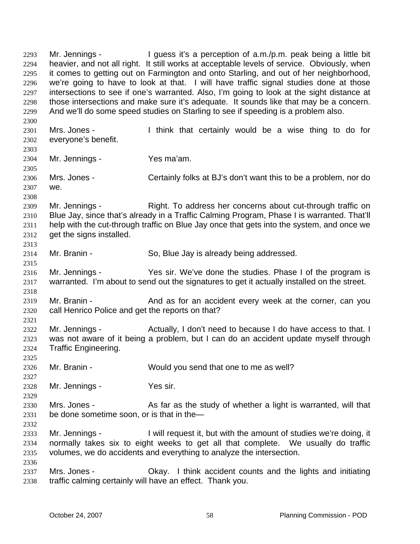Mr. Jennings - I guess it's a perception of a.m./p.m. peak being a little bit heavier, and not all right. It still works at acceptable levels of service. Obviously, when it comes to getting out on Farmington and onto Starling, and out of her neighborhood, we're going to have to look at that. I will have traffic signal studies done at those intersections to see if one's warranted. Also, I'm going to look at the sight distance at those intersections and make sure it's adequate. It sounds like that may be a concern. And we'll do some speed studies on Starling to see if speeding is a problem also. 2293 2294 2295 2296 2297 2298 2299 2300 2301 2302 2303 2304 2305 2306 2307 2308 2309 2310 2311 2312 2313 2314 2315 2316 2317 2318 2319 2320 2321 2322 2323 2324 2325 2326 2327 2328 2329 2330 2331 2332 2333 2334 2335 2336 2337 2338 Mrs. Jones - I think that certainly would be a wise thing to do for everyone's benefit. Mr. Jennings - Yes ma'am. Mrs. Jones - Certainly folks at BJ's don't want this to be a problem, nor do we. Mr. Jennings - Right. To address her concerns about cut-through traffic on Blue Jay, since that's already in a Traffic Calming Program, Phase I is warranted. That'll help with the cut-through traffic on Blue Jay once that gets into the system, and once we get the signs installed. Mr. Branin - So, Blue Jay is already being addressed. Mr. Jennings - Yes sir. We've done the studies. Phase I of the program is warranted. I'm about to send out the signatures to get it actually installed on the street. Mr. Branin - The And as for an accident every week at the corner, can you call Henrico Police and get the reports on that? Mr. Jennings - Actually, I don't need to because I do have access to that. I was not aware of it being a problem, but I can do an accident update myself through Traffic Engineering. Mr. Branin - Would you send that one to me as well? Mr. Jennings - Yes sir. Mrs. Jones - As far as the study of whether a light is warranted, will that be done sometime soon, or is that in the— Mr. Jennings - I will request it, but with the amount of studies we're doing, it normally takes six to eight weeks to get all that complete. We usually do traffic volumes, we do accidents and everything to analyze the intersection. Mrs. Jones - Ckay. I think accident counts and the lights and initiating traffic calming certainly will have an effect. Thank you.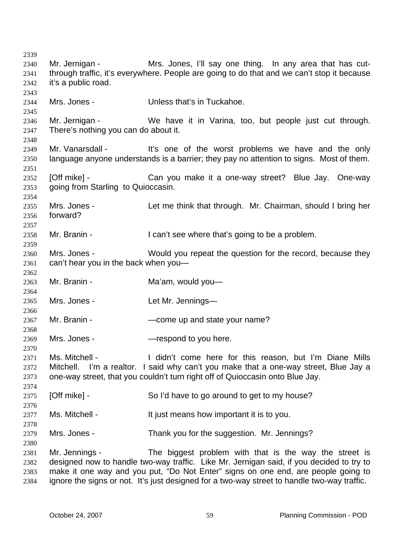Mr. Jernigan - The Mrs. Jones, I'll say one thing. In any area that has cutthrough traffic, it's everywhere. People are going to do that and we can't stop it because it's a public road. Mrs. Jones - The Unless that's in Tuckahoe. Mr. Jernigan - We have it in Varina, too, but people just cut through. There's nothing you can do about it. Mr. Vanarsdall - It's one of the worst problems we have and the only language anyone understands is a barrier; they pay no attention to signs. Most of them. [Off mike] - Can you make it a one-way street? Blue Jay. One-way going from Starling to Quioccasin. Mrs. Jones - Let me think that through. Mr. Chairman, should I bring her forward? Mr. Branin - I can't see where that's going to be a problem. Mrs. Jones - Would you repeat the question for the record, because they can't hear you in the back when you— Mr. Branin - **Ma'am**, would you— Mrs. Jones - The Let Mr. Jennings— Mr. Branin - The School — come up and state your name? Mrs. Jones - The Sepsies — respond to you here. Ms. Mitchell - I didn't come here for this reason, but I'm Diane Mills Mitchell. I'm a realtor. I said why can't you make that a one-way street, Blue Jay a one-way street, that you couldn't turn right off of Quioccasin onto Blue Jay. [Off mike] - So I'd have to go around to get to my house? Ms. Mitchell - It just means how important it is to you. Mrs. Jones - Thank you for the suggestion. Mr. Jennings? Mr. Jennings - The biggest problem with that is the way the street is designed now to handle two-way traffic. Like Mr. Jernigan said, if you decided to try to make it one way and you put, "Do Not Enter" signs on one end, are people going to ignore the signs or not. It's just designed for a two-way street to handle two-way traffic.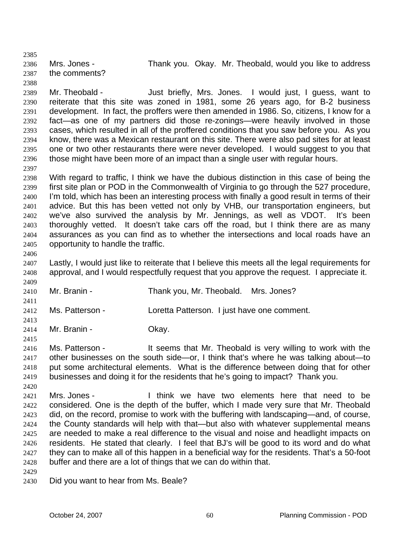2385 2386 2387 2388 2389 Mrs. Jones - Thank you. Okay. Mr. Theobald, would you like to address the comments?

2390 2391 2392 2393 2394 2395 2396 Mr. Theobald - Just briefly, Mrs. Jones. I would just, I guess, want to reiterate that this site was zoned in 1981, some 26 years ago, for B-2 business development. In fact, the proffers were then amended in 1986. So, citizens, I know for a fact—as one of my partners did those re-zonings—were heavily involved in those cases, which resulted in all of the proffered conditions that you saw before you. As you know, there was a Mexican restaurant on this site. There were also pad sites for at least one or two other restaurants there were never developed. I would suggest to you that those might have been more of an impact than a single user with regular hours.

2398 2399 2400 2401 2402 2403 2404 2405 With regard to traffic, I think we have the dubious distinction in this case of being the first site plan or POD in the Commonwealth of Virginia to go through the 527 procedure, I'm told, which has been an interesting process with finally a good result in terms of their advice. But this has been vetted not only by VHB, our transportation engineers, but we've also survived the analysis by Mr. Jennings, as well as VDOT. It's been thoroughly vetted. It doesn't take cars off the road, but I think there are as many assurances as you can find as to whether the intersections and local roads have an opportunity to handle the traffic.

2406

2409

2411

2413

2415

2420

2397

2407 2408 Lastly, I would just like to reiterate that I believe this meets all the legal requirements for approval, and I would respectfully request that you approve the request. I appreciate it.

- 2410 Mr. Branin - Thank you, Mr. Theobald. Mrs. Jones?
- 2412 Ms. Patterson - Loretta Patterson. I just have one comment.
- 2414 Mr. Branin - Chay.

2416 2417 2418 2419 Ms. Patterson - It seems that Mr. Theobald is very willing to work with the other businesses on the south side—or, I think that's where he was talking about—to put some architectural elements. What is the difference between doing that for other businesses and doing it for the residents that he's going to impact? Thank you.

2421 2422 2423 2424 2425 2426 2427 2428 Mrs. Jones - I think we have two elements here that need to be considered. One is the depth of the buffer, which I made very sure that Mr. Theobald did, on the record, promise to work with the buffering with landscaping—and, of course, the County standards will help with that—but also with whatever supplemental means are needed to make a real difference to the visual and noise and headlight impacts on residents. He stated that clearly. I feel that BJ's will be good to its word and do what they can to make all of this happen in a beneficial way for the residents. That's a 50-foot buffer and there are a lot of things that we can do within that.

2429

2430 Did you want to hear from Ms. Beale?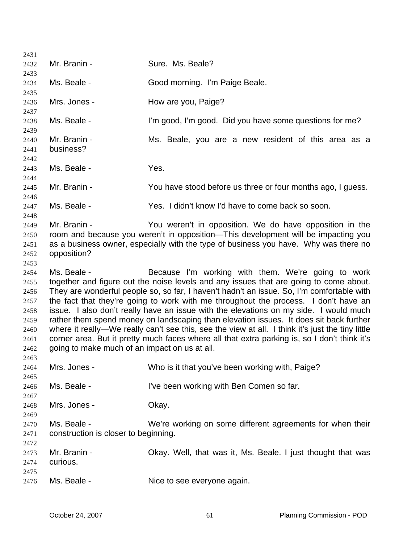| 2431         |                                                                                      |                                                                                                  |  |
|--------------|--------------------------------------------------------------------------------------|--------------------------------------------------------------------------------------------------|--|
| 2432         | Mr. Branin -                                                                         | Sure. Ms. Beale?                                                                                 |  |
| 2433         |                                                                                      |                                                                                                  |  |
| 2434         | Ms. Beale -                                                                          | Good morning. I'm Paige Beale.                                                                   |  |
| 2435<br>2436 | Mrs. Jones -                                                                         | How are you, Paige?                                                                              |  |
| 2437         |                                                                                      |                                                                                                  |  |
| 2438<br>2439 | Ms. Beale -                                                                          | I'm good, I'm good. Did you have some questions for me?                                          |  |
| 2440         | Mr. Branin -                                                                         | Ms. Beale, you are a new resident of this area as a                                              |  |
| 2441         | business?                                                                            |                                                                                                  |  |
| 2442         |                                                                                      |                                                                                                  |  |
| 2443         | Ms. Beale -                                                                          | Yes.                                                                                             |  |
| 2444         | Mr. Branin -                                                                         |                                                                                                  |  |
| 2445<br>2446 |                                                                                      | You have stood before us three or four months ago, I guess.                                      |  |
| 2447         | Ms. Beale -                                                                          | Yes. I didn't know I'd have to come back so soon.                                                |  |
| 2448         |                                                                                      |                                                                                                  |  |
| 2449         | Mr. Branin -                                                                         | You weren't in opposition. We do have opposition in the                                          |  |
| 2450         |                                                                                      | room and because you weren't in opposition—This development will be impacting you                |  |
| 2451         | as a business owner, especially with the type of business you have. Why was there no |                                                                                                  |  |
| 2452         | opposition?                                                                          |                                                                                                  |  |
| 2453         |                                                                                      |                                                                                                  |  |
| 2454         | Ms. Beale -                                                                          | Because I'm working with them. We're going to work                                               |  |
| 2455         |                                                                                      | together and figure out the noise levels and any issues that are going to come about.            |  |
| 2456         |                                                                                      | They are wonderful people so, so far, I haven't hadn't an issue. So, I'm comfortable with        |  |
| 2457         |                                                                                      | the fact that they're going to work with me throughout the process. I don't have an              |  |
| 2458         |                                                                                      | issue. I also don't really have an issue with the elevations on my side. I would much            |  |
| 2459         |                                                                                      | rather them spend money on landscaping than elevation issues. It does sit back further           |  |
| 2460         |                                                                                      | where it really—We really can't see this, see the view at all. I think it's just the tiny little |  |
| 2461         |                                                                                      | corner area. But it pretty much faces where all that extra parking is, so I don't think it's     |  |
| 2462         | going to make much of an impact on us at all.                                        |                                                                                                  |  |
| 2463         |                                                                                      |                                                                                                  |  |
| 2464         | Mrs. Jones -                                                                         | Who is it that you've been working with, Paige?                                                  |  |
| 2465         |                                                                                      |                                                                                                  |  |
| 2466         | Ms. Beale -                                                                          | I've been working with Ben Comen so far.                                                         |  |
| 2467         |                                                                                      |                                                                                                  |  |
| 2468         | Mrs. Jones -                                                                         | Okay.                                                                                            |  |
| 2469         |                                                                                      |                                                                                                  |  |
| 2470         | Ms. Beale -                                                                          | We're working on some different agreements for when their                                        |  |
| 2471         | construction is closer to beginning.                                                 |                                                                                                  |  |
| 2472         |                                                                                      |                                                                                                  |  |
| 2473         | Mr. Branin -                                                                         | Okay. Well, that was it, Ms. Beale. I just thought that was                                      |  |
| 2474         | curious.                                                                             |                                                                                                  |  |
| 2475<br>2476 | Ms. Beale -                                                                          | Nice to see everyone again.                                                                      |  |
|              |                                                                                      |                                                                                                  |  |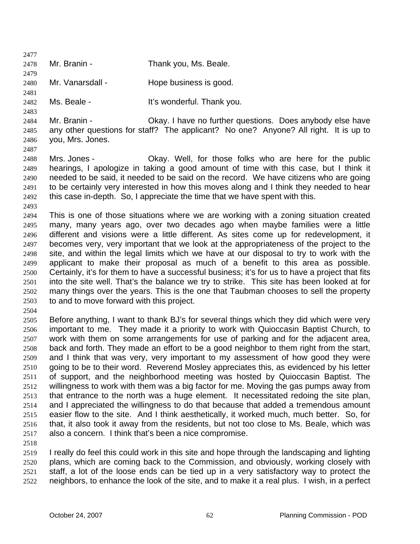2477 2478 2479 2480 2481 2482 2483 2484 2485 2486 2487 2488 2489 2490 2491 2492 2493 2494 2495 2496 2497 2498 2499 2500 2501 2502 2503 2504 2505 2506 2507 2508 2509 2510 2511 2512 2513 2514 2515 2516 2517 2518 2519 2520 2521 2522 Mr. Branin - Thank you, Ms. Beale. Mr. Vanarsdall - Hope business is good. Ms. Beale - The Music Hit's wonderful. Thank you. Mr. Branin - Ckay. I have no further questions. Does anybody else have any other questions for staff? The applicant? No one? Anyone? All right. It is up to you, Mrs. Jones. Mrs. Jones - Ckay. Well, for those folks who are here for the public hearings, I apologize in taking a good amount of time with this case, but I think it needed to be said, it needed to be said on the record. We have citizens who are going to be certainly very interested in how this moves along and I think they needed to hear this case in-depth. So, I appreciate the time that we have spent with this. This is one of those situations where we are working with a zoning situation created many, many years ago, over two decades ago when maybe families were a little different and visions were a little different. As sites come up for redevelopment, it becomes very, very important that we look at the appropriateness of the project to the site, and within the legal limits which we have at our disposal to try to work with the applicant to make their proposal as much of a benefit to this area as possible. Certainly, it's for them to have a successful business; it's for us to have a project that fits into the site well. That's the balance we try to strike. This site has been looked at for many things over the years. This is the one that Taubman chooses to sell the property to and to move forward with this project. Before anything, I want to thank BJ's for several things which they did which were very important to me. They made it a priority to work with Quioccasin Baptist Church, to work with them on some arrangements for use of parking and for the adjacent area, back and forth. They made an effort to be a good neighbor to them right from the start, and I think that was very, very important to my assessment of how good they were going to be to their word. Reverend Mosley appreciates this, as evidenced by his letter of support, and the neighborhood meeting was hosted by Quioccasin Baptist. The willingness to work with them was a big factor for me. Moving the gas pumps away from that entrance to the north was a huge element. It necessitated redoing the site plan, and I appreciated the willingness to do that because that added a tremendous amount easier flow to the site. And I think aesthetically, it worked much, much better. So, for that, it also took it away from the residents, but not too close to Ms. Beale, which was also a concern. I think that's been a nice compromise. I really do feel this could work in this site and hope through the landscaping and lighting plans, which are coming back to the Commission, and obviously, working closely with staff, a lot of the loose ends can be tied up in a very satisfactory way to protect the neighbors, to enhance the look of the site, and to make it a real plus. I wish, in a perfect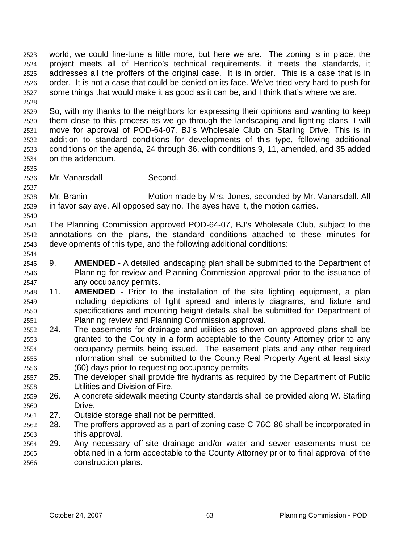world, we could fine-tune a little more, but here we are. The zoning is in place, the project meets all of Henrico's technical requirements, it meets the standards, it addresses all the proffers of the original case. It is in order. This is a case that is in order. It is not a case that could be denied on its face. We've tried very hard to push for some things that would make it as good as it can be, and I think that's where we are. 2523 2524 2525 2526 2527 2528

2529 2530 2531 2532 2533 2534 So, with my thanks to the neighbors for expressing their opinions and wanting to keep them close to this process as we go through the landscaping and lighting plans, I will move for approval of POD-64-07, BJ's Wholesale Club on Starling Drive. This is in addition to standard conditions for developments of this type, following additional conditions on the agenda, 24 through 36, with conditions 9, 11, amended, and 35 added on the addendum.

2536 Mr. Vanarsdall - Second.

2535

2537

2540

2544

2538 2539 Mr. Branin - **Motion made by Mrs. Jones, seconded by Mr. Vanarsdall. All** in favor say aye. All opposed say no. The ayes have it, the motion carries.

2541 2542 2543 The Planning Commission approved POD-64-07, BJ's Wholesale Club, subject to the annotations on the plans, the standard conditions attached to these minutes for developments of this type, and the following additional conditions:

- 2545 2546 2547 9. **AMENDED** - A detailed landscaping plan shall be submitted to the Department of Planning for review and Planning Commission approval prior to the issuance of any occupancy permits.
- 2548 2549 2550 2551 11. **AMENDED** - Prior to the installation of the site lighting equipment, a plan including depictions of light spread and intensity diagrams, and fixture and specifications and mounting height details shall be submitted for Department of Planning review and Planning Commission approval.
- 2552 2553 2554 2555 2556 24. The easements for drainage and utilities as shown on approved plans shall be granted to the County in a form acceptable to the County Attorney prior to any occupancy permits being issued. The easement plats and any other required information shall be submitted to the County Real Property Agent at least sixty (60) days prior to requesting occupancy permits.
- 2557 2558 25. The developer shall provide fire hydrants as required by the Department of Public Utilities and Division of Fire.
- 2559 2560 26. A concrete sidewalk meeting County standards shall be provided along W. Starling Drive.
- 2561 27. Outside storage shall not be permitted.
- 2562 2563 28. The proffers approved as a part of zoning case C-76C-86 shall be incorporated in this approval.
- 2564 2565 2566 29. Any necessary off-site drainage and/or water and sewer easements must be obtained in a form acceptable to the County Attorney prior to final approval of the construction plans.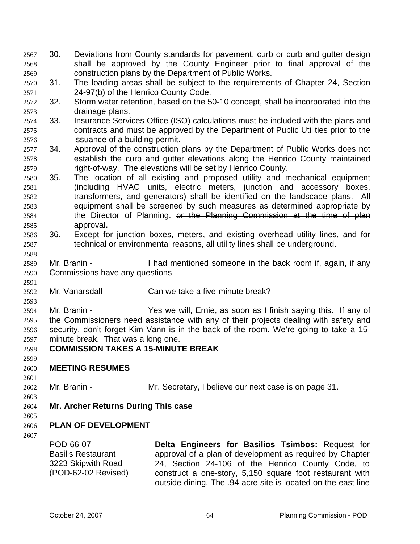- 30. Deviations from County standards for pavement, curb or curb and gutter design shall be approved by the County Engineer prior to final approval of the construction plans by the Department of Public Works. 2567 2568 2569
- 2570 2571 31. The loading areas shall be subject to the requirements of Chapter 24, Section 24-97(b) of the Henrico County Code.
- 2572 2573 32. Storm water retention, based on the 50-10 concept, shall be incorporated into the drainage plans.
- 2574 2575 2576 33. Insurance Services Office (ISO) calculations must be included with the plans and contracts and must be approved by the Department of Public Utilities prior to the issuance of a building permit.
- 2577 2578 2579 34. Approval of the construction plans by the Department of Public Works does not establish the curb and gutter elevations along the Henrico County maintained right-of-way. The elevations will be set by Henrico County.
- 2580 2581 2582 2583 35. The location of all existing and proposed utility and mechanical equipment (including HVAC units, electric meters, junction and accessory boxes, transformers, and generators) shall be identified on the landscape plans. All equipment shall be screened by such measures as determined appropriate by 2584 the Director of Planning. or the Planning Commission at the time of plan 2585 approval**.**
- 2586 2587 36. Except for junction boxes, meters, and existing overhead utility lines, and for technical or environmental reasons, all utility lines shall be underground.
- 2589 2590 Mr. Branin - Thad mentioned someone in the back room if, again, if any Commissions have any questions—
- 2592 Mr. Vanarsdall - Can we take a five-minute break?
- 2594 2595 2596 2597 Mr. Branin - Yes we will, Ernie, as soon as I finish saying this. If any of the Commissioners need assistance with any of their projects dealing with safety and security, don't forget Kim Vann is in the back of the room. We're going to take a 15 minute break. That was a long one.
- 2598 **COMMISSION TAKES A 15-MINUTE BREAK**
- 2599

2588

2591

2593

- 2600 **MEETING RESUMES**
- 2601

2603

2602

- Mr. Branin Mr. Secretary, I believe our next case is on page 31.
- 2604 **Mr. Archer Returns During This case**
- 2605 **PLAN OF DEVELOPMENT**
- 2606
- 2607

POD-66-07 Basilis Restaurant 3223 Skipwith Road (POD-62-02 Revised) **Delta Engineers for Basilios Tsimbos:** Request for approval of a plan of development as required by Chapter 24, Section 24-106 of the Henrico County Code, to construct a one-story, 5,150 square foot restaurant with outside dining. The .94-acre site is located on the east line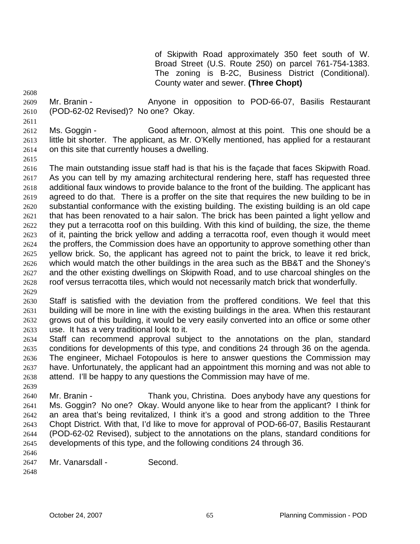of Skipwith Road approximately 350 feet south of W. Broad Street (U.S. Route 250) on parcel 761-754-1383. The zoning is B-2C, Business District (Conditional). County water and sewer. **(Three Chopt)** 

2608

2609 2610 Mr. Branin - The Anyone in opposition to POD-66-07, Basilis Restaurant (POD-62-02 Revised)? No one? Okay.

2611

2612 2613 2614 Ms. Goggin - Good afternoon, almost at this point. This one should be a little bit shorter. The applicant, as Mr. O'Kelly mentioned, has applied for a restaurant on this site that currently houses a dwelling.

2615

2616 2617 2618 2619 2620 2621 2622 2623 2624 2625 2626 2627 2628 2629 The main outstanding issue staff had is that his is the façade that faces Skipwith Road. As you can tell by my amazing architectural rendering here, staff has requested three additional faux windows to provide balance to the front of the building. The applicant has agreed to do that. There is a proffer on the site that requires the new building to be in substantial conformance with the existing building. The existing building is an old cape that has been renovated to a hair salon. The brick has been painted a light yellow and they put a terracotta roof on this building. With this kind of building, the size, the theme of it, painting the brick yellow and adding a terracotta roof, even though it would meet the proffers, the Commission does have an opportunity to approve something other than yellow brick. So, the applicant has agreed not to paint the brick, to leave it red brick, which would match the other buildings in the area such as the BB&T and the Shoney's and the other existing dwellings on Skipwith Road, and to use charcoal shingles on the roof versus terracotta tiles, which would not necessarily match brick that wonderfully.

2630 2631 2632 2633 Staff is satisfied with the deviation from the proffered conditions. We feel that this building will be more in line with the existing buildings in the area. When this restaurant grows out of this building, it would be very easily converted into an office or some other use. It has a very traditional look to it.

2634 2635 2636 2637 2638 2639 Staff can recommend approval subject to the annotations on the plan, standard conditions for developments of this type, and conditions 24 through 36 on the agenda. The engineer, Michael Fotopoulos is here to answer questions the Commission may have. Unfortunately, the applicant had an appointment this morning and was not able to attend. I'll be happy to any questions the Commission may have of me.

2640 2641 2642 2643 2644 2645 2646 Mr. Branin - Thank you, Christina. Does anybody have any questions for Ms. Goggin? No one? Okay. Would anyone like to hear from the applicant? I think for an area that's being revitalized, I think it's a good and strong addition to the Three Chopt District. With that, I'd like to move for approval of POD-66-07, Basilis Restaurant (POD-62-02 Revised), subject to the annotations on the plans, standard conditions for developments of this type, and the following conditions 24 through 36.

2647 Mr. Vanarsdall - Second.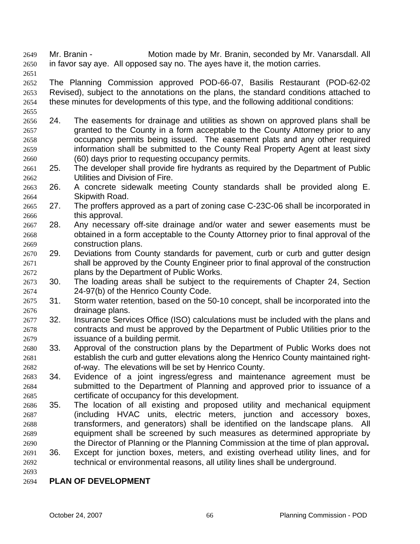Mr. Branin - Motion made by Mr. Branin, seconded by Mr. Vanarsdall. All in favor say aye. All opposed say no. The ayes have it, the motion carries. 2649 2650

2651

2655

2652 2653 2654 The Planning Commission approved POD-66-07, Basilis Restaurant (POD-62-02 Revised), subject to the annotations on the plans, the standard conditions attached to these minutes for developments of this type, and the following additional conditions:

2656 2657 2658 2659 2660 24. The easements for drainage and utilities as shown on approved plans shall be granted to the County in a form acceptable to the County Attorney prior to any occupancy permits being issued. The easement plats and any other required information shall be submitted to the County Real Property Agent at least sixty (60) days prior to requesting occupancy permits.

- 2661 2662 25. The developer shall provide fire hydrants as required by the Department of Public Utilities and Division of Fire.
- 2663 2664 26. A concrete sidewalk meeting County standards shall be provided along E. Skipwith Road.
- 2665 2666 27. The proffers approved as a part of zoning case C-23C-06 shall be incorporated in this approval.
- 2667 2668 2669 28. Any necessary off-site drainage and/or water and sewer easements must be obtained in a form acceptable to the County Attorney prior to final approval of the construction plans.
- 2670 2671 2672 29. Deviations from County standards for pavement, curb or curb and gutter design shall be approved by the County Engineer prior to final approval of the construction plans by the Department of Public Works.
- 2673 2674 30. The loading areas shall be subject to the requirements of Chapter 24, Section 24-97(b) of the Henrico County Code.
- 2675 2676 31. Storm water retention, based on the 50-10 concept, shall be incorporated into the drainage plans.
- 2677 2678 2679 32. Insurance Services Office (ISO) calculations must be included with the plans and contracts and must be approved by the Department of Public Utilities prior to the issuance of a building permit.
- 2680 2681 2682 33. Approval of the construction plans by the Department of Public Works does not establish the curb and gutter elevations along the Henrico County maintained rightof-way. The elevations will be set by Henrico County.
- 2683 2684 2685 34. Evidence of a joint ingress/egress and maintenance agreement must be submitted to the Department of Planning and approved prior to issuance of a certificate of occupancy for this development.
- 2686 2687 2688 2689 2690 35. The location of all existing and proposed utility and mechanical equipment (including HVAC units, electric meters, junction and accessory boxes, transformers, and generators) shall be identified on the landscape plans. All equipment shall be screened by such measures as determined appropriate by the Director of Planning or the Planning Commission at the time of plan approval**.**
- 2691 2692 36. Except for junction boxes, meters, and existing overhead utility lines, and for technical or environmental reasons, all utility lines shall be underground.
- 2693

# 2694 **PLAN OF DEVELOPMENT**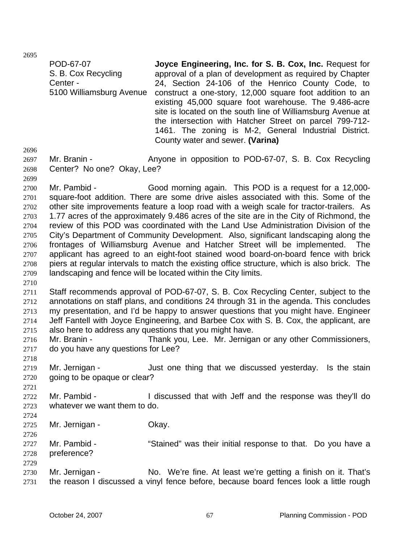2695

POD-67-07 S. B. Cox Recycling Center - 5100 Williamsburg Avenue **Joyce Engineering, Inc. for S. B. Cox, Inc.** Request for approval of a plan of development as required by Chapter 24, Section 24-106 of the Henrico County Code, to construct a one-story, 12,000 square foot addition to an existing 45,000 square foot warehouse. The 9.486-acre site is located on the south line of Williamsburg Avenue at the intersection with Hatcher Street on parcel 799-712- 1461. The zoning is M-2, General Industrial District. County water and sewer. **(Varina)**  Mr. Branin - Anyone in opposition to POD-67-07, S. B. Cox Recycling

2696

2699

2697 2698 Center? No one? Okay, Lee?

2700 2701 2702 2703 2704 2705 2706 2707 2708 2709 Mr. Pambid - Good morning again. This POD is a request for a 12,000square-foot addition. There are some drive aisles associated with this. Some of the other site improvements feature a loop road with a weigh scale for tractor-trailers. As 1.77 acres of the approximately 9.486 acres of the site are in the City of Richmond, the review of this POD was coordinated with the Land Use Administration Division of the City's Department of Community Development. Also, significant landscaping along the frontages of Williamsburg Avenue and Hatcher Street will be implemented. The applicant has agreed to an eight-foot stained wood board-on-board fence with brick piers at regular intervals to match the existing office structure, which is also brick. The landscaping and fence will be located within the City limits.

2710

2711 2712 2713 2714 2715 Staff recommends approval of POD-67-07, S. B. Cox Recycling Center, subject to the annotations on staff plans, and conditions 24 through 31 in the agenda. This concludes my presentation, and I'd be happy to answer questions that you might have. Engineer Jeff Fantell with Joyce Engineering, and Barbee Cox with S. B. Cox, the applicant, are also here to address any questions that you might have.

2716 2717 Mr. Branin - Thank you, Lee. Mr. Jernigan or any other Commissioners, do you have any questions for Lee?

- 2719 2720 Mr. Jernigan - The stain superfield one thing that we discussed vesterday. Is the stain going to be opaque or clear?
- 2722 2723 Mr. Pambid - I discussed that with Jeff and the response was they'll do whatever we want them to do.
- 2724

2726

2729

2718

2721

2725 Mr. Jernigan - Ckay.

- 2727 2728 Mr. Pambid - "Stained" was their initial response to that. Do you have a preference?
- 2730 2731 Mr. Jernigan - No. We're fine. At least we're getting a finish on it. That's the reason I discussed a vinyl fence before, because board fences look a little rough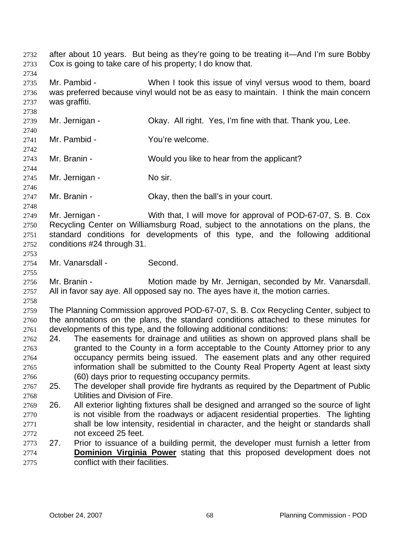after about 10 years. But being as they're going to be treating it—And I'm sure Bobby Cox is going to take care of his property; I do know that. 2732 2733 2734 2735 2736 2737 2738 2739 2740 2741 2742 2743 2744 2745 2746 2747 2748 2749 2750 2751 2752 2753 2754 2755 2756 2757 2758 2759 2760 2761 2762 2763 2764 2765 2766 2767 2768 2769 2770 2771 2772 2773 Mr. Pambid - When I took this issue of vinyl versus wood to them, board was preferred because vinyl would not be as easy to maintain. I think the main concern was graffiti. Mr. Jernigan - Ckay. All right. Yes, I'm fine with that. Thank you, Lee. Mr. Pambid - You're welcome. Mr. Branin - Would you like to hear from the applicant? Mr. Jernigan - No sir. Mr. Branin - Ckay, then the ball's in your court. Mr. Jernigan - With that, I will move for approval of POD-67-07, S. B. Cox Recycling Center on Williamsburg Road, subject to the annotations on the plans, the standard conditions for developments of this type, and the following additional conditions #24 through 31. Mr. Vanarsdall - Second. Mr. Branin - **Motion made by Mr. Jernigan, seconded by Mr. Vanarsdall.** All in favor say aye. All opposed say no. The ayes have it, the motion carries. The Planning Commission approved POD-67-07, S. B. Cox Recycling Center, subject to the annotations on the plans, the standard conditions attached to these minutes for developments of this type, and the following additional conditions: 24. The easements for drainage and utilities as shown on approved plans shall be granted to the County in a form acceptable to the County Attorney prior to any occupancy permits being issued. The easement plats and any other required information shall be submitted to the County Real Property Agent at least sixty (60) days prior to requesting occupancy permits. 25. The developer shall provide fire hydrants as required by the Department of Public Utilities and Division of Fire. 26. All exterior lighting fixtures shall be designed and arranged so the source of light is not visible from the roadways or adjacent residential properties. The lighting shall be low intensity, residential in character, and the height or standards shall not exceed 25 feet. 27. Prior to issuance of a building permit, the developer must furnish a letter from **Dominion Virginia Power** stating that this proposed development does not conflict with their facilities. 2774 2775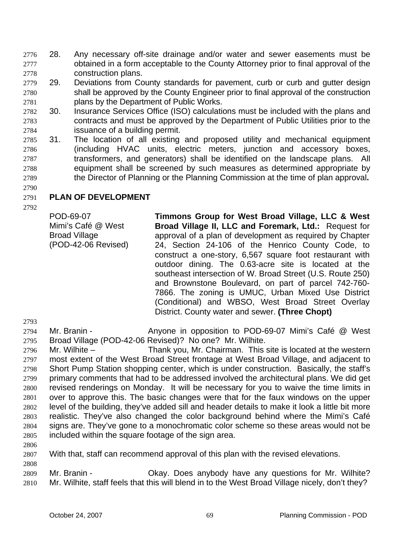- 28. Any necessary off-site drainage and/or water and sewer easements must be obtained in a form acceptable to the County Attorney prior to final approval of the construction plans. 2776 2777 2778
- 2779 2780 2781 29. Deviations from County standards for pavement, curb or curb and gutter design shall be approved by the County Engineer prior to final approval of the construction plans by the Department of Public Works.
- 2782 2783 2784 30. Insurance Services Office (ISO) calculations must be included with the plans and contracts and must be approved by the Department of Public Utilities prior to the issuance of a building permit.
- 2785 2786 2787 2788 2789 31. The location of all existing and proposed utility and mechanical equipment (including HVAC units, electric meters, junction and accessory boxes, transformers, and generators) shall be identified on the landscape plans. All equipment shall be screened by such measures as determined appropriate by the Director of Planning or the Planning Commission at the time of plan approval**.**

## 2791 **PLAN OF DEVELOPMENT**

2792

2790

POD-69-07 Mimi's Café @ West Broad Village (POD-42-06 Revised) **Timmons Group for West Broad Village, LLC & West Broad Village II, LLC and Foremark, Ltd.:** Request for approval of a plan of development as required by Chapter 24, Section 24-106 of the Henrico County Code, to construct a one-story, 6,567 square foot restaurant with outdoor dining. The 0.63-acre site is located at the southeast intersection of W. Broad Street (U.S. Route 250) and Brownstone Boulevard, on part of parcel 742-760- 7866. The zoning is UMUC, Urban Mixed Use District (Conditional) and WBSO, West Broad Street Overlay District. County water and sewer. **(Three Chopt)** 

2793

2808

2794 2795 Mr. Branin - **Anyone in opposition to POD-69-07 Mimi's Café @ West** Broad Village (POD-42-06 Revised)? No one? Mr. Wilhite.

2796 2797 2798 2799 2800 2801 2802 2803 2804 2805 2806 Mr. Wilhite – Thank you, Mr. Chairman. This site is located at the western most extent of the West Broad Street frontage at West Broad Village, and adjacent to Short Pump Station shopping center, which is under construction. Basically, the staff's primary comments that had to be addressed involved the architectural plans. We did get revised renderings on Monday. It will be necessary for you to waive the time limits in over to approve this. The basic changes were that for the faux windows on the upper level of the building, they've added sill and header details to make it look a little bit more realistic. They've also changed the color background behind where the Mimi's Café signs are. They've gone to a monochromatic color scheme so these areas would not be included within the square footage of the sign area.

2807 With that, staff can recommend approval of this plan with the revised elevations.

2809 2810 Mr. Branin - Ckay. Does anybody have any questions for Mr. Wilhite? Mr. Wilhite, staff feels that this will blend in to the West Broad Village nicely, don't they?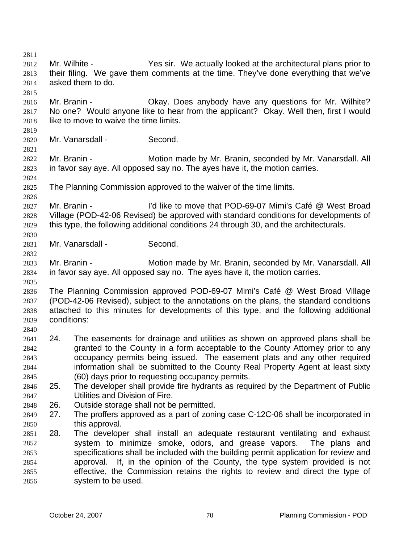2811 2812 2813 2814 2815 2816 2817 2818 2819 2820 2821 2822 2823 2824 2825 2826 2827 2828 2829 2830 2831 2832 2833 2834 2835 2836 2837 2838 2839 2840 2841 2842 2843 2844 2845 2846 2847 2848 2849 2850 2851 2852 2853 2854 2855 2856 Mr. Wilhite - Yes sir. We actually looked at the architectural plans prior to their filing. We gave them comments at the time. They've done everything that we've asked them to do. Mr. Branin - Ckay. Does anybody have any questions for Mr. Wilhite? No one? Would anyone like to hear from the applicant? Okay. Well then, first I would like to move to waive the time limits. Mr. Vanarsdall - Second. Mr. Branin - **Motion made by Mr. Branin, seconded by Mr. Vanarsdall. All** in favor say aye. All opposed say no. The ayes have it, the motion carries. The Planning Commission approved to the waiver of the time limits. Mr. Branin - The I'd like to move that POD-69-07 Mimi's Café @ West Broad Village (POD-42-06 Revised) be approved with standard conditions for developments of this type, the following additional conditions 24 through 30, and the architecturals. Mr. Vanarsdall - Second. Mr. Branin - Motion made by Mr. Branin, seconded by Mr. Vanarsdall. All in favor say aye. All opposed say no. The ayes have it, the motion carries. The Planning Commission approved POD-69-07 Mimi's Café @ West Broad Village (POD-42-06 Revised), subject to the annotations on the plans, the standard conditions attached to this minutes for developments of this type, and the following additional conditions: 24. The easements for drainage and utilities as shown on approved plans shall be granted to the County in a form acceptable to the County Attorney prior to any occupancy permits being issued. The easement plats and any other required information shall be submitted to the County Real Property Agent at least sixty (60) days prior to requesting occupancy permits. 25. The developer shall provide fire hydrants as required by the Department of Public Utilities and Division of Fire. 26. Outside storage shall not be permitted. 27. The proffers approved as a part of zoning case C-12C-06 shall be incorporated in this approval. 28. The developer shall install an adequate restaurant ventilating and exhaust system to minimize smoke, odors, and grease vapors. The plans and specifications shall be included with the building permit application for review and approval. If, in the opinion of the County, the type system provided is not effective, the Commission retains the rights to review and direct the type of system to be used.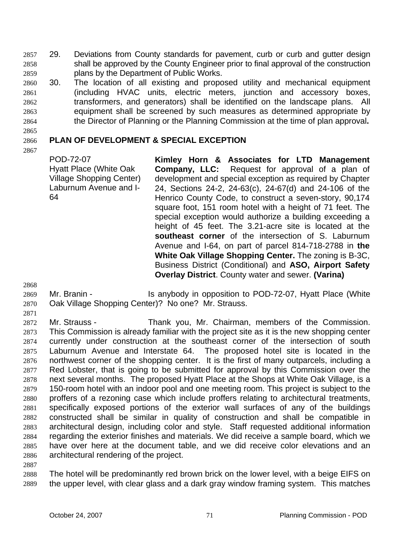29. Deviations from County standards for pavement, curb or curb and gutter design shall be approved by the County Engineer prior to final approval of the construction plans by the Department of Public Works. 2857 2858 2859

- 2860 2861 2862 2863 2864 30. The location of all existing and proposed utility and mechanical equipment (including HVAC units, electric meters, junction and accessory boxes, transformers, and generators) shall be identified on the landscape plans. All equipment shall be screened by such measures as determined appropriate by the Director of Planning or the Planning Commission at the time of plan approval**.**
- 2865

## 2866 **PLAN OF DEVELOPMENT & SPECIAL EXCEPTION**

2867

POD-72-07 Hyatt Place (White Oak Village Shopping Center) Laburnum Avenue and I-64

**Kimley Horn & Associates for LTD Management Company, LLC:** Request for approval of a plan of development and special exception as required by Chapter 24, Sections 24-2, 24-63(c), 24-67(d) and 24-106 of the Henrico County Code, to construct a seven-story, 90,174 square foot, 151 room hotel with a height of 71 feet. The special exception would authorize a building exceeding a height of 45 feet. The 3.21-acre site is located at the **southeast corner** of the intersection of S. Laburnum Avenue and I-64, on part of parcel 814-718-2788 in **the White Oak Village Shopping Center.** The zoning is B-3C, Business District (Conditional) and **ASO, Airport Safety Overlay District**. County water and sewer. **(Varina)** 

2868

- 2869 2870 Mr. Branin - The Is anybody in opposition to POD-72-07, Hyatt Place (White Oak Village Shopping Center)? No one? Mr. Strauss.
- 2871 2872 2873 2874 2875 2876 2877 2878 2879 2880 2881 2882 2883 2884 2885 2886 2887 Mr. Strauss - Thank you, Mr. Chairman, members of the Commission. This Commission is already familiar with the project site as it is the new shopping center currently under construction at the southeast corner of the intersection of south Laburnum Avenue and Interstate 64. The proposed hotel site is located in the northwest corner of the shopping center. It is the first of many outparcels, including a Red Lobster, that is going to be submitted for approval by this Commission over the next several months. The proposed Hyatt Place at the Shops at White Oak Village, is a 150-room hotel with an indoor pool and one meeting room. This project is subject to the proffers of a rezoning case which include proffers relating to architectural treatments, specifically exposed portions of the exterior wall surfaces of any of the buildings constructed shall be similar in quality of construction and shall be compatible in architectural design, including color and style. Staff requested additional information regarding the exterior finishes and materials. We did receive a sample board, which we have over here at the document table, and we did receive color elevations and an architectural rendering of the project.

2888 2889 The hotel will be predominantly red brown brick on the lower level, with a beige EIFS on the upper level, with clear glass and a dark gray window framing system. This matches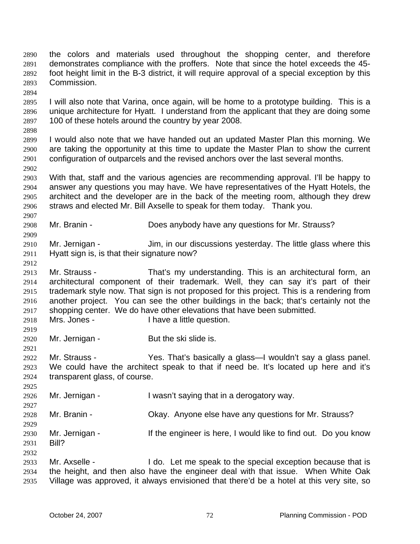the colors and materials used throughout the shopping center, and therefore demonstrates compliance with the proffers. Note that since the hotel exceeds the 45 foot height limit in the B-3 district, it will require approval of a special exception by this Commission. 2890 2891 2892 2893 2894 2895 2896 2897 2898 2899 2900 2901 2902 2903 2904 2905 2906 2907 2908 2909 2910 2911 2912 2913 2914 2915 2916 2917 2918 2919 2920 2921 2922 2923 2924 2925 2926 2927 2928 2929 2930 2931 2932 2933 2934 2935 I will also note that Varina, once again, will be home to a prototype building. This is a unique architecture for Hyatt. I understand from the applicant that they are doing some 100 of these hotels around the country by year 2008. I would also note that we have handed out an updated Master Plan this morning. We are taking the opportunity at this time to update the Master Plan to show the current configuration of outparcels and the revised anchors over the last several months. With that, staff and the various agencies are recommending approval. I'll be happy to answer any questions you may have. We have representatives of the Hyatt Hotels, the architect and the developer are in the back of the meeting room, although they drew straws and elected Mr. Bill Axselle to speak for them today. Thank you. Mr. Branin - **Does anybody have any questions for Mr. Strauss?** Mr. Jernigan - Jim, in our discussions yesterday. The little glass where this Hyatt sign is, is that their signature now? Mr. Strauss - That's my understanding. This is an architectural form, an architectural component of their trademark. Well, they can say it's part of their trademark style now. That sign is not proposed for this project. This is a rendering from another project. You can see the other buildings in the back; that's certainly not the shopping center. We do have other elevations that have been submitted. Mrs. Jones - Thave a little question. Mr. Jernigan - But the ski slide is. Mr. Strauss - Yes. That's basically a glass—I wouldn't say a glass panel. We could have the architect speak to that if need be. It's located up here and it's transparent glass, of course. Mr. Jernigan - I wasn't saying that in a derogatory way. Mr. Branin - Okay. Anyone else have any questions for Mr. Strauss? Mr. Jernigan - If the engineer is here, I would like to find out. Do you know Bill? Mr. Axselle - I do. Let me speak to the special exception because that is the height, and then also have the engineer deal with that issue. When White Oak Village was approved, it always envisioned that there'd be a hotel at this very site, so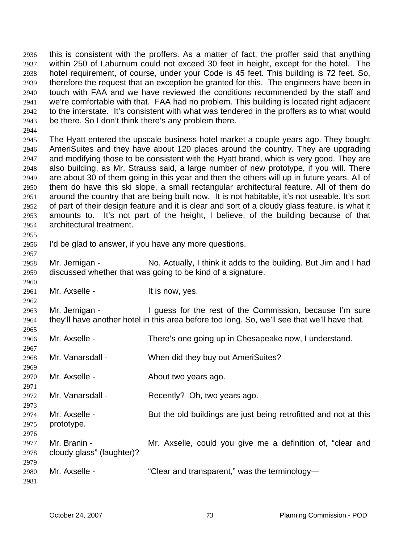this is consistent with the proffers. As a matter of fact, the proffer said that anything within 250 of Laburnum could not exceed 30 feet in height, except for the hotel. The hotel requirement, of course, under your Code is 45 feet. This building is 72 feet. So, therefore the request that an exception be granted for this. The engineers have been in touch with FAA and we have reviewed the conditions recommended by the staff and we're comfortable with that. FAA had no problem. This building is located right adjacent to the interstate. It's consistent with what was tendered in the proffers as to what would be there. So I don't think there's any problem there. 2936 2937 2938 2939 2940 2941 2942 2943

2945 2946 2947 2948 2949 2950 2951 2952 2953 2954 The Hyatt entered the upscale business hotel market a couple years ago. They bought AmeriSuites and they have about 120 places around the country. They are upgrading and modifying those to be consistent with the Hyatt brand, which is very good. They are also building, as Mr. Strauss said, a large number of new prototype, if you will. There are about 30 of them going in this year and then the others will up in future years. All of them do have this ski slope, a small rectangular architectural feature. All of them do around the country that are being built now. It is not habitable, it's not useable. It's sort of part of their design feature and it is clear and sort of a cloudy glass feature, is what it amounts to. It's not part of the height, I believe, of the building because of that architectural treatment.

2956 I'd be glad to answer, if you have any more questions.

2958 2959 Mr. Jernigan - No. Actually, I think it adds to the building. But Jim and I had discussed whether that was going to be kind of a signature.

2961 Mr. Axselle - The Mr. Axselle - The Mr. Ses.

2963 2964 Mr. Jernigan - I guess for the rest of the Commission, because I'm sure they'll have another hotel in this area before too long. So, we'll see that we'll have that.

- 2966 Mr. Axselle - There's one going up in Chesapeake now, I understand.
- 2968 Mr. Vanarsdall - When did they buy out AmeriSuites?
- 2970 Mr. Axselle - About two years ago.

2972 Mr. Vanarsdall - Recently? Oh, two years ago.

- 2974 2975 Mr. Axselle - But the old buildings are just being retrofitted and not at this prototype.
- 2977 2978 Mr. Branin - **Mr. Axselle, could you give me a definition of, "clear and** cloudy glass" (laughter)?
- 2980 Mr. Axselle - "Clear and transparent," was the terminology-

2981

2979

2944

2955

2957

2960

2962

2965

2967

2969

2971

2973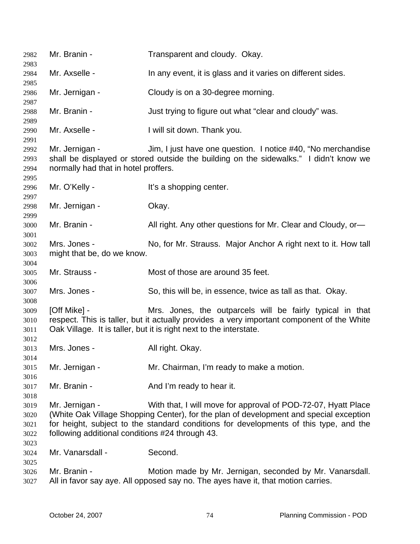| 2982<br>2983                         | Mr. Branin -                                                                                                                                                                                                                                                                                                          | Transparent and cloudy. Okay.                                                                                                                |
|--------------------------------------|-----------------------------------------------------------------------------------------------------------------------------------------------------------------------------------------------------------------------------------------------------------------------------------------------------------------------|----------------------------------------------------------------------------------------------------------------------------------------------|
| 2984<br>2985                         | Mr. Axselle -                                                                                                                                                                                                                                                                                                         | In any event, it is glass and it varies on different sides.                                                                                  |
| 2986<br>2987                         | Mr. Jernigan -                                                                                                                                                                                                                                                                                                        | Cloudy is on a 30-degree morning.                                                                                                            |
| 2988<br>2989                         | Mr. Branin -                                                                                                                                                                                                                                                                                                          | Just trying to figure out what "clear and cloudy" was.                                                                                       |
| 2990<br>2991                         | Mr. Axselle -                                                                                                                                                                                                                                                                                                         | I will sit down. Thank you.                                                                                                                  |
| 2992<br>2993<br>2994<br>2995         | Mr. Jernigan -<br>Jim, I just have one question. I notice #40, "No merchandise<br>shall be displayed or stored outside the building on the sidewalks." I didn't know we<br>normally had that in hotel proffers.                                                                                                       |                                                                                                                                              |
| 2996<br>2997                         | Mr. O'Kelly -                                                                                                                                                                                                                                                                                                         | It's a shopping center.                                                                                                                      |
| 2998<br>2999                         | Mr. Jernigan -                                                                                                                                                                                                                                                                                                        | Okay.                                                                                                                                        |
| 3000<br>3001                         | Mr. Branin -                                                                                                                                                                                                                                                                                                          | All right. Any other questions for Mr. Clear and Cloudy, or-                                                                                 |
| 3002<br>3003<br>3004                 | Mrs. Jones -<br>No, for Mr. Strauss. Major Anchor A right next to it. How tall<br>might that be, do we know.                                                                                                                                                                                                          |                                                                                                                                              |
| 3005<br>3006                         | Mr. Strauss -                                                                                                                                                                                                                                                                                                         | Most of those are around 35 feet.                                                                                                            |
| 3007<br>3008                         | Mrs. Jones -                                                                                                                                                                                                                                                                                                          | So, this will be, in essence, twice as tall as that. Okay.                                                                                   |
| 3009<br>3010<br>3011<br>3012         | [Off Mike] -<br>Mrs. Jones, the outparcels will be fairly typical in that<br>respect. This is taller, but it actually provides a very important component of the White<br>Oak Village. It is taller, but it is right next to the interstate.                                                                          |                                                                                                                                              |
| 3013<br>3014                         | Mrs. Jones -                                                                                                                                                                                                                                                                                                          | All right. Okay.                                                                                                                             |
| 3015<br>3016                         | Mr. Jernigan -                                                                                                                                                                                                                                                                                                        | Mr. Chairman, I'm ready to make a motion.                                                                                                    |
| 3017<br>3018                         | Mr. Branin -                                                                                                                                                                                                                                                                                                          | And I'm ready to hear it.                                                                                                                    |
| 3019<br>3020<br>3021<br>3022<br>3023 | Mr. Jernigan -<br>With that, I will move for approval of POD-72-07, Hyatt Place<br>(White Oak Village Shopping Center), for the plan of development and special exception<br>for height, subject to the standard conditions for developments of this type, and the<br>following additional conditions #24 through 43. |                                                                                                                                              |
| 3024<br>3025                         | Mr. Vanarsdall -                                                                                                                                                                                                                                                                                                      | Second.                                                                                                                                      |
| 3026<br>3027                         | Mr. Branin -                                                                                                                                                                                                                                                                                                          | Motion made by Mr. Jernigan, seconded by Mr. Vanarsdall.<br>All in favor say aye. All opposed say no. The ayes have it, that motion carries. |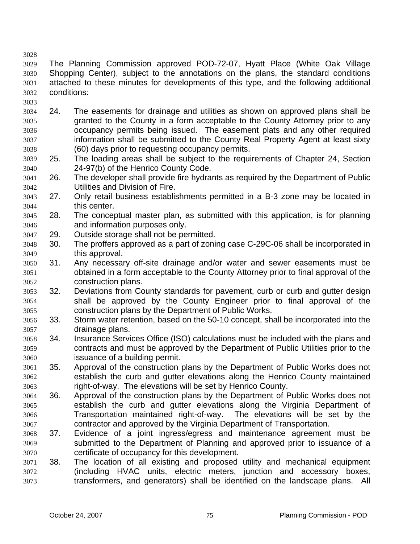3028 3029 3030 3031 3032 The Planning Commission approved POD-72-07, Hyatt Place (White Oak Village Shopping Center), subject to the annotations on the plans, the standard conditions attached to these minutes for developments of this type, and the following additional conditions:

- 3034 3035 3036 3037 3038 24. The easements for drainage and utilities as shown on approved plans shall be granted to the County in a form acceptable to the County Attorney prior to any occupancy permits being issued. The easement plats and any other required information shall be submitted to the County Real Property Agent at least sixty (60) days prior to requesting occupancy permits.
- 3039 3040 25. The loading areas shall be subject to the requirements of Chapter 24, Section 24-97(b) of the Henrico County Code.
- 3041 3042 26. The developer shall provide fire hydrants as required by the Department of Public Utilities and Division of Fire.
- 3043 3044 27. Only retail business establishments permitted in a B-3 zone may be located in this center.
- 3045 3046 28. The conceptual master plan, as submitted with this application, is for planning and information purposes only.
- 3047 29. Outside storage shall not be permitted.

- 3048 3049 30. The proffers approved as a part of zoning case C-29C-06 shall be incorporated in this approval.
- 3050 3051 3052 31. Any necessary off-site drainage and/or water and sewer easements must be obtained in a form acceptable to the County Attorney prior to final approval of the construction plans.
- 3053 3054 3055 32. Deviations from County standards for pavement, curb or curb and gutter design shall be approved by the County Engineer prior to final approval of the construction plans by the Department of Public Works.
- 3056 3057 33. Storm water retention, based on the 50-10 concept, shall be incorporated into the drainage plans.
- 3058 3059 3060 34. Insurance Services Office (ISO) calculations must be included with the plans and contracts and must be approved by the Department of Public Utilities prior to the issuance of a building permit.
- 3061 3062 3063 35. Approval of the construction plans by the Department of Public Works does not establish the curb and gutter elevations along the Henrico County maintained right-of-way. The elevations will be set by Henrico County.
- 3064 3065 3066 3067 36. Approval of the construction plans by the Department of Public Works does not establish the curb and gutter elevations along the Virginia Department of Transportation maintained right-of-way. The elevations will be set by the contractor and approved by the Virginia Department of Transportation.
- 3068 3069 3070 37. Evidence of a joint ingress/egress and maintenance agreement must be submitted to the Department of Planning and approved prior to issuance of a certificate of occupancy for this development.
- 3071 3072 3073 38. The location of all existing and proposed utility and mechanical equipment (including HVAC units, electric meters, junction and accessory boxes, transformers, and generators) shall be identified on the landscape plans. All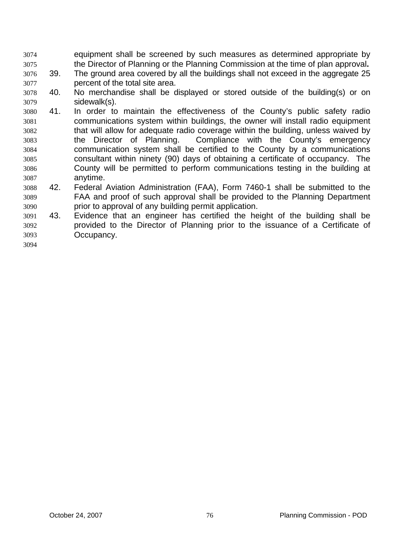- equipment shall be screened by such measures as determined appropriate by the Director of Planning or the Planning Commission at the time of plan approval**.**  3074 3075
- 3076 3077 39. The ground area covered by all the buildings shall not exceed in the aggregate 25 percent of the total site area.
- 3078 3079 40. No merchandise shall be displayed or stored outside of the building(s) or on sidewalk(s).
- 3080 3081 3082 3083 3084 3085 3086 3087 41. In order to maintain the effectiveness of the County's public safety radio communications system within buildings, the owner will install radio equipment that will allow for adequate radio coverage within the building, unless waived by the Director of Planning. Compliance with the County's emergency communication system shall be certified to the County by a communications consultant within ninety (90) days of obtaining a certificate of occupancy. The County will be permitted to perform communications testing in the building at anytime.
- 3088 3089 3090 42. Federal Aviation Administration (FAA), Form 7460-1 shall be submitted to the FAA and proof of such approval shall be provided to the Planning Department prior to approval of any building permit application.
- 3091 3092 3093 43. Evidence that an engineer has certified the height of the building shall be provided to the Director of Planning prior to the issuance of a Certificate of Occupancy.
- 3094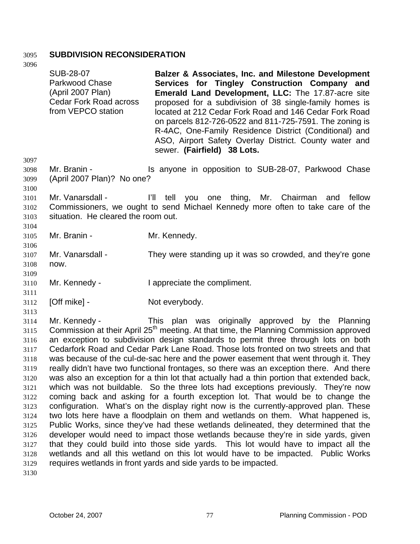## 3095 **SUBDIVISION RECONSIDERATION**

3096 3097 3098 3099 3100 3101 3102 3103 3104 3105 3106 3107 3108 3109 3110 3111 3112 3113 3114 3115 3116 3117 3118 3119 3120 3121 3122 3123 3124 3125 3126 3127 3128 3129 3130 SUB-28-07 Parkwood Chase (April 2007 Plan) Cedar Fork Road across from VEPCO station **Balzer & Associates, Inc. and Milestone Development Services for Tingley Construction Company and Emerald Land Development, LLC:** The 17.87-acre site proposed for a subdivision of 38 single-family homes is located at 212 Cedar Fork Road and 146 Cedar Fork Road on parcels 812-726-0522 and 811-725-7591. The zoning is R-4AC, One-Family Residence District (Conditional) and ASO, Airport Safety Overlay District. County water and sewer. **(Fairfield) 38 Lots.**  Mr. Branin - The Supposition to SUB-28-07, Parkwood Chase (April 2007 Plan)? No one? Mr. Vanarsdall - I'll tell you one thing, Mr. Chairman and fellow Commissioners, we ought to send Michael Kennedy more often to take care of the situation. He cleared the room out. Mr. Branin - Mr. Kennedy. Mr. Vanarsdall - They were standing up it was so crowded, and they're gone now. Mr. Kennedy - **I** appreciate the compliment. [Off mike] - Not everybody. Mr. Kennedy - This plan was originally approved by the Planning Commission at their April 25<sup>th</sup> meeting. At that time, the Planning Commission approved an exception to subdivision design standards to permit three through lots on both Cedarfork Road and Cedar Park Lane Road. Those lots fronted on two streets and that was because of the cul-de-sac here and the power easement that went through it. They really didn't have two functional frontages, so there was an exception there. And there was also an exception for a thin lot that actually had a thin portion that extended back, which was not buildable. So the three lots had exceptions previously. They're now coming back and asking for a fourth exception lot. That would be to change the configuration. What's on the display right now is the currently-approved plan. These two lots here have a floodplain on them and wetlands on them. What happened is, Public Works, since they've had these wetlands delineated, they determined that the developer would need to impact those wetlands because they're in side yards, given that they could build into those side yards. This lot would have to impact all the wetlands and all this wetland on this lot would have to be impacted. Public Works requires wetlands in front yards and side yards to be impacted.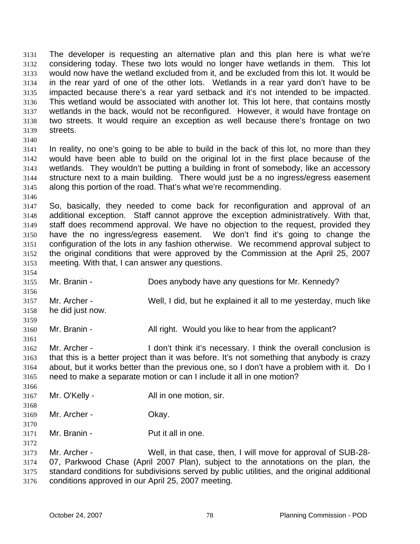The developer is requesting an alternative plan and this plan here is what we're considering today. These two lots would no longer have wetlands in them. This lot would now have the wetland excluded from it, and be excluded from this lot. It would be in the rear yard of one of the other lots. Wetlands in a rear yard don't have to be impacted because there's a rear yard setback and it's not intended to be impacted. This wetland would be associated with another lot. This lot here, that contains mostly wetlands in the back, would not be reconfigured. However, it would have frontage on two streets. It would require an exception as well because there's frontage on two streets. 3131 3132 3133 3134 3135 3136 3137 3138 3139

3140

3141 3142 3143 3144 3145 In reality, no one's going to be able to build in the back of this lot, no more than they would have been able to build on the original lot in the first place because of the wetlands. They wouldn't be putting a building in front of somebody, like an accessory structure next to a main building. There would just be a no ingress/egress easement along this portion of the road. That's what we're recommending.

3146

3154

3159

3161

3147 3148 3149 3150 3151 3152 3153 So, basically, they needed to come back for reconfiguration and approval of an additional exception. Staff cannot approve the exception administratively. With that, staff does recommend approval. We have no objection to the request, provided they have the no ingress/egress easement. We don't find it's going to change the configuration of the lots in any fashion otherwise. We recommend approval subject to the original conditions that were approved by the Commission at the April 25, 2007 meeting. With that, I can answer any questions.

- 3155 Mr. Branin - **Does anybody have any questions for Mr. Kennedy?**
- 3156 3157 3158 Mr. Archer - Well, I did, but he explained it all to me yesterday, much like he did just now.
- 3160 Mr. Branin - All right. Would you like to hear from the applicant?

3162 3163 3164 3165 Mr. Archer - I don't think it's necessary. I think the overall conclusion is that this is a better project than it was before. It's not something that anybody is crazy about, but it works better than the previous one, so I don't have a problem with it. Do I need to make a separate motion or can I include it all in one motion?

- 3167 Mr. O'Kelly - All in one motion, sir.
- 3169 Mr. Archer - Ckay.
- 3170

3172

3166

3168

3171 Mr. Branin - Put it all in one.

3173 3174 3175 3176 Mr. Archer - Well, in that case, then, I will move for approval of SUB-28- 07, Parkwood Chase (April 2007 Plan), subject to the annotations on the plan, the standard conditions for subdivisions served by public utilities, and the original additional conditions approved in our April 25, 2007 meeting.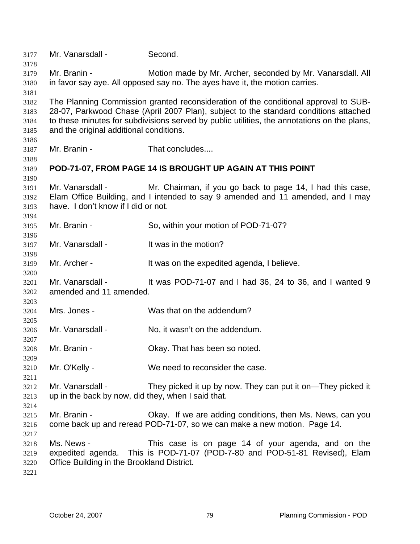| 3177         | Mr. Vanarsdall -                                                            | Second.                                                                                     |  |
|--------------|-----------------------------------------------------------------------------|---------------------------------------------------------------------------------------------|--|
| 3178         | Mr. Branin -                                                                | Motion made by Mr. Archer, seconded by Mr. Vanarsdall. All                                  |  |
| 3179         |                                                                             |                                                                                             |  |
| 3180<br>3181 | in favor say aye. All opposed say no. The ayes have it, the motion carries. |                                                                                             |  |
| 3182         |                                                                             | The Planning Commission granted reconsideration of the conditional approval to SUB-         |  |
| 3183         |                                                                             | 28-07, Parkwood Chase (April 2007 Plan), subject to the standard conditions attached        |  |
| 3184         |                                                                             | to these minutes for subdivisions served by public utilities, the annotations on the plans, |  |
| 3185         | and the original additional conditions.                                     |                                                                                             |  |
| 3186         |                                                                             |                                                                                             |  |
| 3187         | Mr. Branin -                                                                | That concludes                                                                              |  |
| 3188         |                                                                             |                                                                                             |  |
| 3189         |                                                                             | POD-71-07, FROM PAGE 14 IS BROUGHT UP AGAIN AT THIS POINT                                   |  |
| 3190         |                                                                             |                                                                                             |  |
| 3191         | Mr. Vanarsdall -                                                            | Mr. Chairman, if you go back to page 14, I had this case,                                   |  |
| 3192         |                                                                             | Elam Office Building, and I intended to say 9 amended and 11 amended, and I may             |  |
| 3193         | have. I don't know if I did or not.                                         |                                                                                             |  |
| 3194         |                                                                             |                                                                                             |  |
| 3195         | Mr. Branin -                                                                | So, within your motion of POD-71-07?                                                        |  |
| 3196         |                                                                             |                                                                                             |  |
| 3197         | Mr. Vanarsdall -                                                            | It was in the motion?                                                                       |  |
| 3198         |                                                                             |                                                                                             |  |
| 3199         | Mr. Archer -                                                                | It was on the expedited agenda, I believe.                                                  |  |
| 3200         |                                                                             |                                                                                             |  |
| 3201         | Mr. Vanarsdall -                                                            | It was POD-71-07 and I had 36, 24 to 36, and I wanted 9                                     |  |
| 3202         | amended and 11 amended.                                                     |                                                                                             |  |
| 3203         | Mrs. Jones -                                                                | Was that on the addendum?                                                                   |  |
| 3204         |                                                                             |                                                                                             |  |
| 3205<br>3206 | Mr. Vanarsdall -                                                            | No, it wasn't on the addendum.                                                              |  |
| 3207         |                                                                             |                                                                                             |  |
| 3208         | Mr. Branin -                                                                | Okay. That has been so noted.                                                               |  |
| 3209         |                                                                             |                                                                                             |  |
| 3210         | Mr. O'Kelly -                                                               | We need to reconsider the case.                                                             |  |
| 3211         |                                                                             |                                                                                             |  |
| 3212         | Mr. Vanarsdall -                                                            | They picked it up by now. They can put it on—They picked it                                 |  |
| 3213         | up in the back by now, did they, when I said that.                          |                                                                                             |  |
| 3214         |                                                                             |                                                                                             |  |
| 3215         | Mr. Branin -                                                                | Okay. If we are adding conditions, then Ms. News, can you                                   |  |
| 3216         |                                                                             | come back up and reread POD-71-07, so we can make a new motion. Page 14.                    |  |
| 3217         |                                                                             |                                                                                             |  |
| 3218         | Ms. News -                                                                  | This case is on page 14 of your agenda, and on the                                          |  |
| 3219         |                                                                             | expedited agenda. This is POD-71-07 (POD-7-80 and POD-51-81 Revised), Elam                  |  |
| 3220         | Office Building in the Brookland District.                                  |                                                                                             |  |
| 3221         |                                                                             |                                                                                             |  |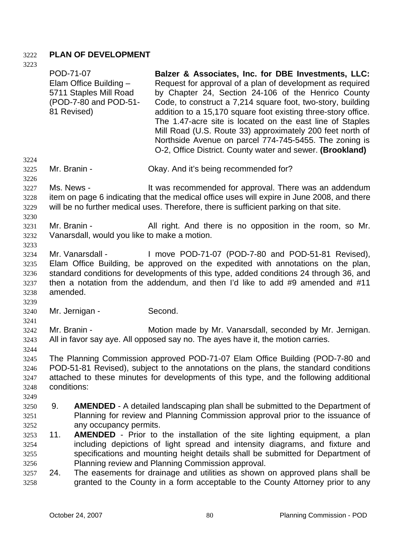## 3222 **PLAN OF DEVELOPMENT**

| 3223                                         | POD-71-07                                                                                                                                                                                                                                                   |                                                                                                                                                                                                                                                                                                    | Balzer & Associates, Inc. for DBE Investments, LLC:                                                                                                                                                                                                                                                                                                                                                                                                                                               |
|----------------------------------------------|-------------------------------------------------------------------------------------------------------------------------------------------------------------------------------------------------------------------------------------------------------------|----------------------------------------------------------------------------------------------------------------------------------------------------------------------------------------------------------------------------------------------------------------------------------------------------|---------------------------------------------------------------------------------------------------------------------------------------------------------------------------------------------------------------------------------------------------------------------------------------------------------------------------------------------------------------------------------------------------------------------------------------------------------------------------------------------------|
|                                              | 81 Revised)                                                                                                                                                                                                                                                 | Elam Office Building -<br>5711 Staples Mill Road<br>(POD-7-80 and POD-51-                                                                                                                                                                                                                          | Request for approval of a plan of development as required<br>by Chapter 24, Section 24-106 of the Henrico County<br>Code, to construct a 7,214 square foot, two-story, building<br>addition to a 15,170 square foot existing three-story office.<br>The 1.47-acre site is located on the east line of Staples<br>Mill Road (U.S. Route 33) approximately 200 feet north of<br>Northside Avenue on parcel 774-745-5455. The zoning is<br>O-2, Office District. County water and sewer. (Brookland) |
| 3224<br>3225<br>3226                         | Mr. Branin -                                                                                                                                                                                                                                                |                                                                                                                                                                                                                                                                                                    | Okay. And it's being recommended for?                                                                                                                                                                                                                                                                                                                                                                                                                                                             |
| 3227<br>3228<br>3229<br>3230                 | Ms. News -<br>It was recommended for approval. There was an addendum<br>item on page 6 indicating that the medical office uses will expire in June 2008, and there<br>will be no further medical uses. Therefore, there is sufficient parking on that site. |                                                                                                                                                                                                                                                                                                    |                                                                                                                                                                                                                                                                                                                                                                                                                                                                                                   |
| 3231<br>3232<br>3233                         | Mr. Branin -                                                                                                                                                                                                                                                | Vanarsdall, would you like to make a motion.                                                                                                                                                                                                                                                       | All right. And there is no opposition in the room, so Mr.                                                                                                                                                                                                                                                                                                                                                                                                                                         |
| 3234<br>3235<br>3236<br>3237<br>3238<br>3239 | amended.                                                                                                                                                                                                                                                    | Mr. Vanarsdall -                                                                                                                                                                                                                                                                                   | I move POD-71-07 (POD-7-80 and POD-51-81 Revised),<br>Elam Office Building, be approved on the expedited with annotations on the plan,<br>standard conditions for developments of this type, added conditions 24 through 36, and<br>then a notation from the addendum, and then I'd like to add #9 amended and #11                                                                                                                                                                                |
| 3240<br>3241                                 |                                                                                                                                                                                                                                                             | Mr. Jernigan -                                                                                                                                                                                                                                                                                     | Second.                                                                                                                                                                                                                                                                                                                                                                                                                                                                                           |
| 3242<br>3243<br>3244                         | Mr. Branin -                                                                                                                                                                                                                                                |                                                                                                                                                                                                                                                                                                    | Motion made by Mr. Vanarsdall, seconded by Mr. Jernigan.<br>All in favor say aye. All opposed say no. The ayes have it, the motion carries.                                                                                                                                                                                                                                                                                                                                                       |
| 3245<br>3246<br>3247<br>3248<br>3249         | conditions:                                                                                                                                                                                                                                                 |                                                                                                                                                                                                                                                                                                    | The Planning Commission approved POD-71-07 Elam Office Building (POD-7-80 and<br>POD-51-81 Revised), subject to the annotations on the plans, the standard conditions<br>attached to these minutes for developments of this type, and the following additional                                                                                                                                                                                                                                    |
| 3250<br>3251<br>3252                         | 9.                                                                                                                                                                                                                                                          | any occupancy permits.                                                                                                                                                                                                                                                                             | <b>AMENDED</b> - A detailed landscaping plan shall be submitted to the Department of<br>Planning for review and Planning Commission approval prior to the issuance of                                                                                                                                                                                                                                                                                                                             |
| 3253<br>3254<br>3255<br>3256                 | 11.                                                                                                                                                                                                                                                         | AMENDED - Prior to the installation of the site lighting equipment, a plan<br>including depictions of light spread and intensity diagrams, and fixture and<br>specifications and mounting height details shall be submitted for Department of<br>Planning review and Planning Commission approval. |                                                                                                                                                                                                                                                                                                                                                                                                                                                                                                   |
| 3257<br>3258                                 | 24.                                                                                                                                                                                                                                                         |                                                                                                                                                                                                                                                                                                    | The easements for drainage and utilities as shown on approved plans shall be<br>granted to the County in a form acceptable to the County Attorney prior to any                                                                                                                                                                                                                                                                                                                                    |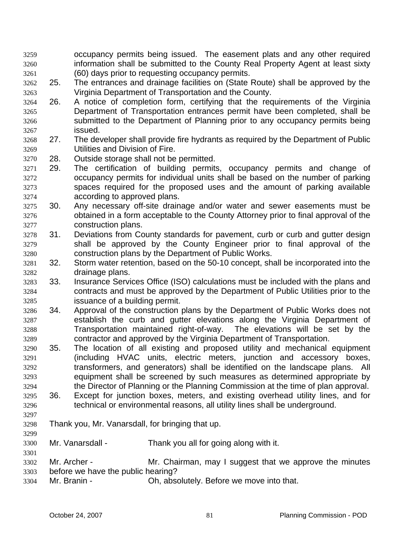- occupancy permits being issued. The easement plats and any other required information shall be submitted to the County Real Property Agent at least sixty (60) days prior to requesting occupancy permits. 3259 3260 3261
- 3262 3263 25. The entrances and drainage facilities on (State Route) shall be approved by the Virginia Department of Transportation and the County.
- 3264 3265 3266 3267 26. A notice of completion form, certifying that the requirements of the Virginia Department of Transportation entrances permit have been completed, shall be submitted to the Department of Planning prior to any occupancy permits being issued.
- 3268 3269 27. The developer shall provide fire hydrants as required by the Department of Public Utilities and Division of Fire.
- 3270 28. Outside storage shall not be permitted.
- 3271 3272 3273 3274 29. The certification of building permits, occupancy permits and change of occupancy permits for individual units shall be based on the number of parking spaces required for the proposed uses and the amount of parking available according to approved plans.
- 3275 3276 3277 30. Any necessary off-site drainage and/or water and sewer easements must be obtained in a form acceptable to the County Attorney prior to final approval of the construction plans.
- 3278 3279 3280 31. Deviations from County standards for pavement, curb or curb and gutter design shall be approved by the County Engineer prior to final approval of the construction plans by the Department of Public Works.
- 3281 3282 32. Storm water retention, based on the 50-10 concept, shall be incorporated into the drainage plans.
- 3283 3284 3285 33. Insurance Services Office (ISO) calculations must be included with the plans and contracts and must be approved by the Department of Public Utilities prior to the issuance of a building permit.
- 3286 3287 3288 3289 34. Approval of the construction plans by the Department of Public Works does not establish the curb and gutter elevations along the Virginia Department of Transportation maintained right-of-way. The elevations will be set by the contractor and approved by the Virginia Department of Transportation.
- 3290 3291 3292 3293 3294 35. The location of all existing and proposed utility and mechanical equipment (including HVAC units, electric meters, junction and accessory boxes, transformers, and generators) shall be identified on the landscape plans. All equipment shall be screened by such measures as determined appropriate by the Director of Planning or the Planning Commission at the time of plan approval.
- 3295 3296 36. Except for junction boxes, meters, and existing overhead utility lines, and for technical or environmental reasons, all utility lines shall be underground.
- 3297 3298
- 3299

3301

Thank you, Mr. Vanarsdall, for bringing that up.

- 3300 Mr. Vanarsdall - Thank you all for going along with it.
- 3302 3303 Mr. Archer - Mr. Chairman, may I suggest that we approve the minutes before we have the public hearing?
- 3304 Mr. Branin - Ch, absolutely. Before we move into that.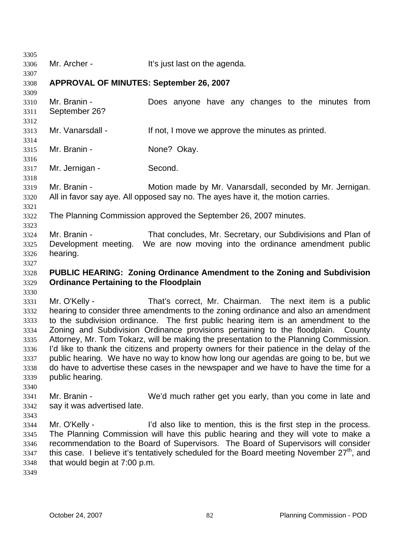| 3305         |                                                                                                       |                                                                                           |  |
|--------------|-------------------------------------------------------------------------------------------------------|-------------------------------------------------------------------------------------------|--|
| 3306         | Mr. Archer -                                                                                          | It's just last on the agenda.                                                             |  |
| 3307         |                                                                                                       |                                                                                           |  |
| 3308         | <b>APPROVAL OF MINUTES: September 26, 2007</b>                                                        |                                                                                           |  |
| 3309         |                                                                                                       |                                                                                           |  |
| 3310         | Mr. Branin -                                                                                          | Does anyone have any changes to the minutes from                                          |  |
| 3311         | September 26?                                                                                         |                                                                                           |  |
| 3312         |                                                                                                       |                                                                                           |  |
| 3313         | Mr. Vanarsdall -                                                                                      | If not, I move we approve the minutes as printed.                                         |  |
| 3314         |                                                                                                       |                                                                                           |  |
| 3315         | Mr. Branin -                                                                                          | None? Okay.                                                                               |  |
| 3316         |                                                                                                       |                                                                                           |  |
| 3317         | Mr. Jernigan -                                                                                        | Second.                                                                                   |  |
| 3318         |                                                                                                       |                                                                                           |  |
| 3319         | Mr. Branin -                                                                                          | Motion made by Mr. Vanarsdall, seconded by Mr. Jernigan.                                  |  |
| 3320         |                                                                                                       | All in favor say aye. All opposed say no. The ayes have it, the motion carries.           |  |
| 3321         |                                                                                                       | The Planning Commission approved the September 26, 2007 minutes.                          |  |
| 3322<br>3323 |                                                                                                       |                                                                                           |  |
| 3324         | Mr. Branin -                                                                                          | That concludes, Mr. Secretary, our Subdivisions and Plan of                               |  |
| 3325         |                                                                                                       | Development meeting. We are now moving into the ordinance amendment public                |  |
| 3326         | hearing.                                                                                              |                                                                                           |  |
| 3327         |                                                                                                       |                                                                                           |  |
| 3328         |                                                                                                       | PUBLIC HEARING: Zoning Ordinance Amendment to the Zoning and Subdivision                  |  |
| 3329         | <b>Ordinance Pertaining to the Floodplain</b>                                                         |                                                                                           |  |
| 3330         |                                                                                                       |                                                                                           |  |
| 3331         | Mr. O'Kelly -                                                                                         | That's correct, Mr. Chairman. The next item is a public                                   |  |
| 3332         |                                                                                                       | hearing to consider three amendments to the zoning ordinance and also an amendment        |  |
| 3333         | to the subdivision ordinance. The first public hearing item is an amendment to the                    |                                                                                           |  |
| 3334         | Zoning and Subdivision Ordinance provisions pertaining to the floodplain. County                      |                                                                                           |  |
| 3335         |                                                                                                       | Attorney, Mr. Tom Tokarz, will be making the presentation to the Planning Commission.     |  |
| 3336         |                                                                                                       | I'd like to thank the citizens and property owners for their patience in the delay of the |  |
| 3337         | public hearing. We have no way to know how long our agendas are going to be, but we                   |                                                                                           |  |
| 3338         |                                                                                                       | do have to advertise these cases in the newspaper and we have to have the time for a      |  |
| 3339         | public hearing.                                                                                       |                                                                                           |  |
| 3340         |                                                                                                       |                                                                                           |  |
| 3341         | Mr. Branin -                                                                                          | We'd much rather get you early, than you come in late and                                 |  |
| 3342         | say it was advertised late.                                                                           |                                                                                           |  |
| 3343         |                                                                                                       |                                                                                           |  |
| 3344         | Mr. O'Kelly -                                                                                         | I'd also like to mention, this is the first step in the process.                          |  |
| 3345         |                                                                                                       | The Planning Commission will have this public hearing and they will vote to make a        |  |
| 3346         | recommendation to the Board of Supervisors. The Board of Supervisors will consider                    |                                                                                           |  |
| 3347         | this case. I believe it's tentatively scheduled for the Board meeting November 27 <sup>th</sup> , and |                                                                                           |  |
|              |                                                                                                       |                                                                                           |  |
| 3348         | that would begin at 7:00 p.m.                                                                         |                                                                                           |  |
| 3349         |                                                                                                       |                                                                                           |  |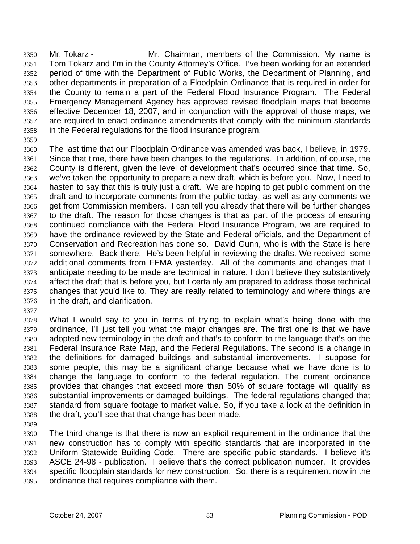Mr. Tokarz - The Mr. Chairman, members of the Commission. My name is Tom Tokarz and I'm in the County Attorney's Office. I've been working for an extended period of time with the Department of Public Works, the Department of Planning, and other departments in preparation of a Floodplain Ordinance that is required in order for the County to remain a part of the Federal Flood Insurance Program. The Federal Emergency Management Agency has approved revised floodplain maps that become effective December 18, 2007, and in conjunction with the approval of those maps, we are required to enact ordinance amendments that comply with the minimum standards in the Federal regulations for the flood insurance program. 3350 3351 3352 3353 3354 3355 3356 3357 3358

3359

3360 3361 3362 3363 3364 3365 3366 3367 3368 3369 3370 3371 3372 3373 3374 3375 3376 The last time that our Floodplain Ordinance was amended was back, I believe, in 1979. Since that time, there have been changes to the regulations. In addition, of course, the County is different, given the level of development that's occurred since that time. So, we've taken the opportunity to prepare a new draft, which is before you. Now, I need to hasten to say that this is truly just a draft. We are hoping to get public comment on the draft and to incorporate comments from the public today, as well as any comments we get from Commission members. I can tell you already that there will be further changes to the draft. The reason for those changes is that as part of the process of ensuring continued compliance with the Federal Flood Insurance Program, we are required to have the ordinance reviewed by the State and Federal officials, and the Department of Conservation and Recreation has done so. David Gunn, who is with the State is here somewhere. Back there. He's been helpful in reviewing the drafts. We received some additional comments from FEMA yesterday. All of the comments and changes that I anticipate needing to be made are technical in nature. I don't believe they substantively affect the draft that is before you, but I certainly am prepared to address those technical changes that you'd like to. They are really related to terminology and where things are in the draft, and clarification.

3377

3378 3379 3380 3381 3382 3383 3384 3385 3386 3387 3388 What I would say to you in terms of trying to explain what's being done with the ordinance, I'll just tell you what the major changes are. The first one is that we have adopted new terminology in the draft and that's to conform to the language that's on the Federal Insurance Rate Map, and the Federal Regulations. The second is a change in the definitions for damaged buildings and substantial improvements. I suppose for some people, this may be a significant change because what we have done is to change the language to conform to the federal regulation. The current ordinance provides that changes that exceed more than 50% of square footage will qualify as substantial improvements or damaged buildings. The federal regulations changed that standard from square footage to market value. So, if you take a look at the definition in the draft, you'll see that that change has been made.

3389

3390 3391 3392 3393 3394 3395 The third change is that there is now an explicit requirement in the ordinance that the new construction has to comply with specific standards that are incorporated in the Uniform Statewide Building Code. There are specific public standards. I believe it's ASCE 24-98 - publication. I believe that's the correct publication number. It provides specific floodplain standards for new construction. So, there is a requirement now in the ordinance that requires compliance with them.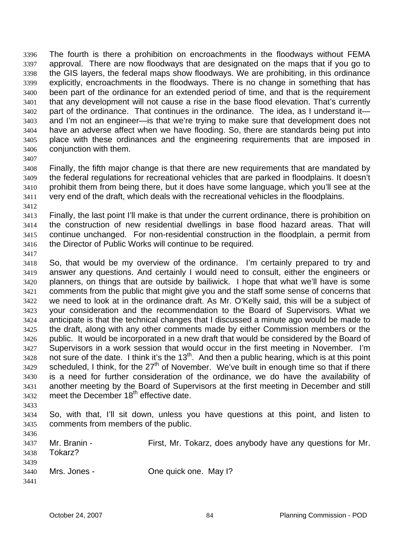The fourth is there a prohibition on encroachments in the floodways without FEMA approval. There are now floodways that are designated on the maps that if you go to the GIS layers, the federal maps show floodways. We are prohibiting, in this ordinance explicitly, encroachments in the floodways. There is no change in something that has been part of the ordinance for an extended period of time, and that is the requirement that any development will not cause a rise in the base flood elevation. That's currently part of the ordinance. That continues in the ordinance. The idea, as I understand it and I'm not an engineer—is that we're trying to make sure that development does not have an adverse affect when we have flooding. So, there are standards being put into place with these ordinances and the engineering requirements that are imposed in conjunction with them. 3396 3397 3398 3399 3400 3401 3402 3403 3404 3405 3406

3407

3408 3409 3410 3411 Finally, the fifth major change is that there are new requirements that are mandated by the federal regulations for recreational vehicles that are parked in floodplains. It doesn't prohibit them from being there, but it does have some language, which you'll see at the very end of the draft, which deals with the recreational vehicles in the floodplains.

3412

3413 3414 3415 3416 Finally, the last point I'll make is that under the current ordinance, there is prohibition on the construction of new residential dwellings in base flood hazard areas. That will continue unchanged. For non-residential construction in the floodplain, a permit from the Director of Public Works will continue to be required.

3417

3418 3419 3420 3421 3422 3423 3424 3425 3426 3427 3428 3429 3430 3431 3432 So, that would be my overview of the ordinance. I'm certainly prepared to try and answer any questions. And certainly I would need to consult, either the engineers or planners, on things that are outside by bailiwick. I hope that what we'll have is some comments from the public that might give you and the staff some sense of concerns that we need to look at in the ordinance draft. As Mr. O'Kelly said, this will be a subject of your consideration and the recommendation to the Board of Supervisors. What we anticipate is that the technical changes that I discussed a minute ago would be made to the draft, along with any other comments made by either Commission members or the public. It would be incorporated in a new draft that would be considered by the Board of Supervisors in a work session that would occur in the first meeting in November. I'm not sure of the date. I think it's the  $13<sup>th</sup>$ . And then a public hearing, which is at this point scheduled, I think, for the  $27<sup>th</sup>$  of November. We've built in enough time so that if there is a need for further consideration of the ordinance, we do have the availability of another meeting by the Board of Supervisors at the first meeting in December and still meet the December 18<sup>th</sup> effective date.

3433

3436

3434 3435 So, with that, I'll sit down, unless you have questions at this point, and listen to comments from members of the public.

| .    |              |                                                            |
|------|--------------|------------------------------------------------------------|
| 3437 | Mr. Branin - | First, Mr. Tokarz, does anybody have any questions for Mr. |
| 3438 | Tokarz?      |                                                            |
| 3439 |              |                                                            |
| 3440 | Mrs. Jones - | One quick one. May 1?                                      |
| 3441 |              |                                                            |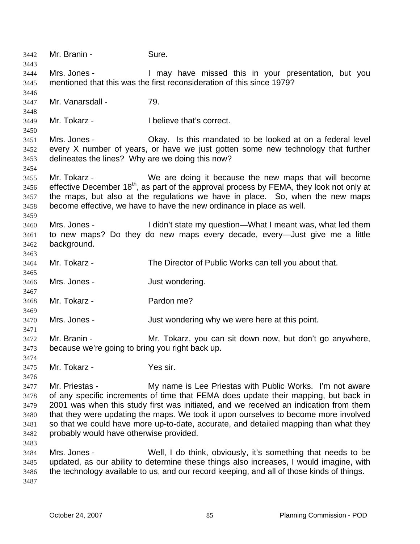3442 Mr. Branin - Sure. 3443 3444 3445 3446 3447 3448 3449 3450 3451 3452 3453 3454 3455 3456 3457 3458 3459 3460 3461 3462 3463 3464 3465 3466 3467 3468 3469 3470 3471 3472 3473 3474 3475 3476 3477 3478 3479 3480 3481 3482 3483 3484 3485 3486 3487 Mrs. Jones - The Mrs I may have missed this in your presentation, but you mentioned that this was the first reconsideration of this since 1979? Mr. Vanarsdall - 79. Mr. Tokarz - I believe that's correct. Mrs. Jones - Okay. Is this mandated to be looked at on a federal level every X number of years, or have we just gotten some new technology that further delineates the lines? Why are we doing this now? Mr. Tokarz - We are doing it because the new maps that will become effective December 18<sup>th</sup>, as part of the approval process by FEMA, they look not only at the maps, but also at the regulations we have in place. So, when the new maps become effective, we have to have the new ordinance in place as well. Mrs. Jones - I didn't state my question—What I meant was, what led them to new maps? Do they do new maps every decade, every—Just give me a little background. Mr. Tokarz - The Director of Public Works can tell you about that. Mrs. Jones - The Solution of Just wondering. Mr. Tokarz - Pardon me? Mrs. Jones - The Solution of Just wondering why we were here at this point. Mr. Branin - Mr. Tokarz, you can sit down now, but don't go anywhere, because we're going to bring you right back up. Mr. Tokarz - Yes sir. Mr. Priestas - My name is Lee Priestas with Public Works. I'm not aware of any specific increments of time that FEMA does update their mapping, but back in 2001 was when this study first was initiated, and we received an indication from them that they were updating the maps. We took it upon ourselves to become more involved so that we could have more up-to-date, accurate, and detailed mapping than what they probably would have otherwise provided. Mrs. Jones - Well, I do think, obviously, it's something that needs to be updated, as our ability to determine these things also increases, I would imagine, with the technology available to us, and our record keeping, and all of those kinds of things.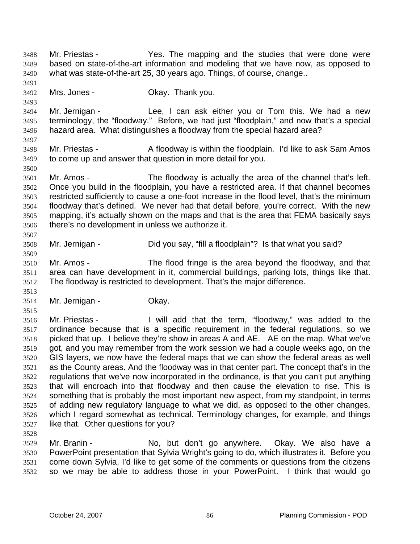Mr. Priestas - Yes. The mapping and the studies that were done were based on state-of-the-art information and modeling that we have now, as opposed to what was state-of-the-art 25, 30 years ago. Things, of course, change.. 3488 3489 3490 3491

3492 Mrs. Jones - **Channel Channel Dividend** Okay. Thank you.

3494 3495 3496 Mr. Jernigan - Lee, I can ask either you or Tom this. We had a new terminology, the "floodway." Before, we had just "floodplain," and now that's a special hazard area. What distinguishes a floodway from the special hazard area?

3498 3499 Mr. Priestas - A floodway is within the floodplain. I'd like to ask Sam Amos to come up and answer that question in more detail for you.

3501 3502 3503 3504 3505 3506 Mr. Amos - The floodway is actually the area of the channel that's left. Once you build in the floodplain, you have a restricted area. If that channel becomes restricted sufficiently to cause a one-foot increase in the flood level, that's the minimum floodway that's defined. We never had that detail before, you're correct. With the new mapping, it's actually shown on the maps and that is the area that FEMA basically says there's no development in unless we authorize it.

- 3508 Mr. Jernigan - Did you say, "fill a floodplain"? Is that what you said?
- 3510 3511 3512 Mr. Amos - The flood fringe is the area beyond the floodway, and that area can have development in it, commercial buildings, parking lots, things like that. The floodway is restricted to development. That's the major difference.
- 3513 3514 Mr. Jernigan - **Okay.**

3515 3516 3517 3518 3519 3520 3521 3522 3523 3524 3525 3526 3527 Mr. Priestas - I will add that the term, "floodway," was added to the ordinance because that is a specific requirement in the federal regulations, so we picked that up. I believe they're show in areas A and AE. AE on the map. What we've got, and you may remember from the work session we had a couple weeks ago, on the GIS layers, we now have the federal maps that we can show the federal areas as well as the County areas. And the floodway was in that center part. The concept that's in the regulations that we've now incorporated in the ordinance, is that you can't put anything that will encroach into that floodway and then cause the elevation to rise. This is something that is probably the most important new aspect, from my standpoint, in terms of adding new regulatory language to what we did, as opposed to the other changes, which I regard somewhat as technical. Terminology changes, for example, and things like that. Other questions for you?

3528

3493

3497

3500

3507

3509

3529 3530 3531 3532 Mr. Branin - The No, but don't go anywhere. Okay. We also have a PowerPoint presentation that Sylvia Wright's going to do, which illustrates it. Before you come down Sylvia, I'd like to get some of the comments or questions from the citizens so we may be able to address those in your PowerPoint. I think that would go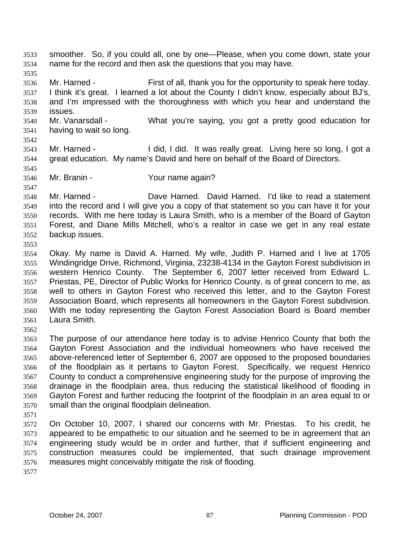smoother. So, if you could all, one by one—Please, when you come down, state your name for the record and then ask the questions that you may have. 3533 3534 3535 3536 3537 3538 3539 3540 3541 3542 3543 3544 3545 3546 3547 3548 3549 3550 3551 3552 3553 3554 3555 3556 3557 3558 3559 3560 3561 3562 3563 3564 3565 3566 3567 3568 3569 3570 3571 3572 3573 3574 3575 3576 3577 Mr. Harned - First of all, thank you for the opportunity to speak here today. I think it's great. I learned a lot about the County I didn't know, especially about BJ's, and I'm impressed with the thoroughness with which you hear and understand the issues. Mr. Vanarsdall - What you're saying, you got a pretty good education for having to wait so long. Mr. Harned - I did, I did. It was really great. Living here so long, I got a great education. My name's David and here on behalf of the Board of Directors. Mr. Branin - Your name again? Mr. Harned - **Dave Harned.** David Harned. I'd like to read a statement into the record and I will give you a copy of that statement so you can have it for your records. With me here today is Laura Smith, who is a member of the Board of Gayton Forest, and Diane Mills Mitchell, who's a realtor in case we get in any real estate backup issues. Okay. My name is David A. Harned. My wife, Judith P. Harned and I live at 1705 Windingridge Drive, Richmond, Virginia, 23238-4134 in the Gayton Forest subdivision in western Henrico County. The September 6, 2007 letter received from Edward L. Priestas, PE, Director of Public Works for Henrico County, is of great concern to me, as well to others in Gayton Forest who received this letter, and to the Gayton Forest Association Board, which represents all homeowners in the Gayton Forest subdivision. With me today representing the Gayton Forest Association Board is Board member Laura Smith. The purpose of our attendance here today is to advise Henrico County that both the Gayton Forest Association and the individual homeowners who have received the above-referenced letter of September 6, 2007 are opposed to the proposed boundaries of the floodplain as it pertains to Gayton Forest. Specifically, we request Henrico County to conduct a comprehensive engineering study for the purpose of improving the drainage in the floodplain area, thus reducing the statistical likelihood of flooding in Gayton Forest and further reducing the footprint of the floodplain in an area equal to or small than the original floodplain delineation. On October 10, 2007, I shared our concerns with Mr. Priestas. To his credit, he appeared to be empathetic to our situation and he seemed to be in agreement that an engineering study would be in order and further, that if sufficient engineering and construction measures could be implemented, that such drainage improvement measures might conceivably mitigate the risk of flooding.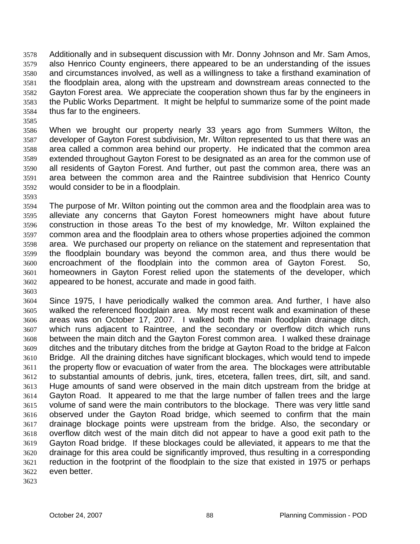Additionally and in subsequent discussion with Mr. Donny Johnson and Mr. Sam Amos, also Henrico County engineers, there appeared to be an understanding of the issues and circumstances involved, as well as a willingness to take a firsthand examination of the floodplain area, along with the upstream and downstream areas connected to the Gayton Forest area. We appreciate the cooperation shown thus far by the engineers in the Public Works Department. It might be helpful to summarize some of the point made thus far to the engineers. 3578 3579 3580 3581 3582 3583 3584

3585

3586 3587 3588 3589 3590 3591 3592 When we brought our property nearly 33 years ago from Summers Wilton, the developer of Gayton Forest subdivision, Mr. Wilton represented to us that there was an area called a common area behind our property. He indicated that the common area extended throughout Gayton Forest to be designated as an area for the common use of all residents of Gayton Forest. And further, out past the common area, there was an area between the common area and the Raintree subdivision that Henrico County would consider to be in a floodplain.

3593

3603

3594 3595 3596 3597 3598 3599 3600 3601 3602 The purpose of Mr. Wilton pointing out the common area and the floodplain area was to alleviate any concerns that Gayton Forest homeowners might have about future construction in those areas To the best of my knowledge, Mr. Wilton explained the common area and the floodplain area to others whose properties adjoined the common area. We purchased our property on reliance on the statement and representation that the floodplain boundary was beyond the common area, and thus there would be encroachment of the floodplain into the common area of Gayton Forest. So, homeowners in Gayton Forest relied upon the statements of the developer, which appeared to be honest, accurate and made in good faith.

3604 3605 3606 3607 3608 3609 3610 3611 3612 3613 3614 3615 3616 3617 3618 3619 3620 3621 3622 Since 1975, I have periodically walked the common area. And further, I have also walked the referenced floodplain area. My most recent walk and examination of these areas was on October 17, 2007. I walked both the main floodplain drainage ditch, which runs adjacent to Raintree, and the secondary or overflow ditch which runs between the main ditch and the Gayton Forest common area. I walked these drainage ditches and the tributary ditches from the bridge at Gayton Road to the bridge at Falcon Bridge. All the draining ditches have significant blockages, which would tend to impede the property flow or evacuation of water from the area. The blockages were attributable to substantial amounts of debris, junk, tires, etcetera, fallen trees, dirt, silt, and sand. Huge amounts of sand were observed in the main ditch upstream from the bridge at Gayton Road. It appeared to me that the large number of fallen trees and the large volume of sand were the main contributors to the blockage. There was very little sand observed under the Gayton Road bridge, which seemed to confirm that the main drainage blockage points were upstream from the bridge. Also, the secondary or overflow ditch west of the main ditch did not appear to have a good exit path to the Gayton Road bridge. If these blockages could be alleviated, it appears to me that the drainage for this area could be significantly improved, thus resulting in a corresponding reduction in the footprint of the floodplain to the size that existed in 1975 or perhaps even better.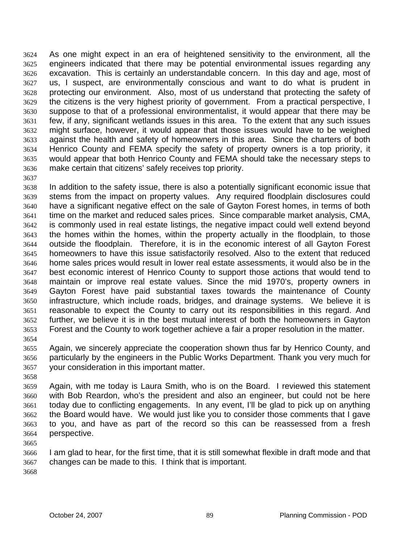As one might expect in an era of heightened sensitivity to the environment, all the engineers indicated that there may be potential environmental issues regarding any excavation. This is certainly an understandable concern. In this day and age, most of us, I suspect, are environmentally conscious and want to do what is prudent in protecting our environment. Also, most of us understand that protecting the safety of the citizens is the very highest priority of government. From a practical perspective, I suppose to that of a professional environmentalist, it would appear that there may be few, if any, significant wetlands issues in this area. To the extent that any such issues might surface, however, it would appear that those issues would have to be weighed against the health and safety of homeowners in this area. Since the charters of both Henrico County and FEMA specify the safety of property owners is a top priority, it would appear that both Henrico County and FEMA should take the necessary steps to make certain that citizens' safely receives top priority. 3624 3625 3626 3627 3628 3629 3630 3631 3632 3633 3634 3635 3636

3637

3638 3639 3640 3641 3642 3643 3644 3645 3646 3647 3648 3649 3650 3651 3652 3653 3654 In addition to the safety issue, there is also a potentially significant economic issue that stems from the impact on property values. Any required floodplain disclosures could have a significant negative effect on the sale of Gayton Forest homes, in terms of both time on the market and reduced sales prices. Since comparable market analysis, CMA, is commonly used in real estate listings, the negative impact could well extend beyond the homes within the homes, within the property actually in the floodplain, to those outside the floodplain. Therefore, it is in the economic interest of all Gayton Forest homeowners to have this issue satisfactorily resolved. Also to the extent that reduced home sales prices would result in lower real estate assessments, it would also be in the best economic interest of Henrico County to support those actions that would tend to maintain or improve real estate values. Since the mid 1970's, property owners in Gayton Forest have paid substantial taxes towards the maintenance of County infrastructure, which include roads, bridges, and drainage systems. We believe it is reasonable to expect the County to carry out its responsibilities in this regard. And further, we believe it is in the best mutual interest of both the homeowners in Gayton Forest and the County to work together achieve a fair a proper resolution in the matter.

3655 3656 3657 Again, we sincerely appreciate the cooperation shown thus far by Henrico County, and particularly by the engineers in the Public Works Department. Thank you very much for your consideration in this important matter.

3658

3659 3660 3661 3662 3663 3664 Again, with me today is Laura Smith, who is on the Board. I reviewed this statement with Bob Reardon, who's the president and also an engineer, but could not be here today due to conflicting engagements. In any event, I'll be glad to pick up on anything the Board would have. We would just like you to consider those comments that I gave to you, and have as part of the record so this can be reassessed from a fresh perspective.

3665

3666 3667 I am glad to hear, for the first time, that it is still somewhat flexible in draft mode and that changes can be made to this. I think that is important.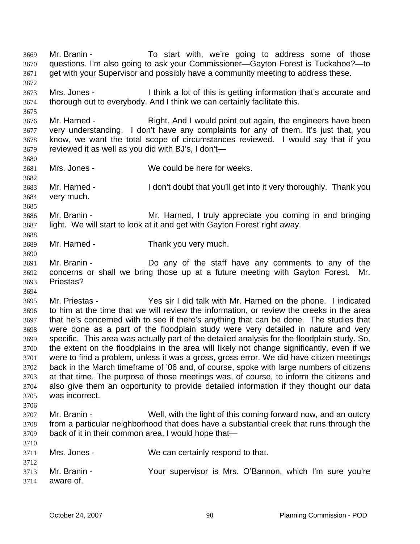Mr. Branin - To start with, we're going to address some of those questions. I'm also going to ask your Commissioner—Gayton Forest is Tuckahoe?—to get with your Supervisor and possibly have a community meeting to address these. 3669 3670 3671 3672 3673 3674 3675 3676 3677 3678 3679 3680 3681 3682 3683 3684 3685 3686 3687 3688 3689 3690 3691 3692 3693 3694 3695 3696 3697 3698 3699 3700 3701 3702 3703 3704 3705 3706 3707 3708 3709 3710 3711 3712 3713 3714 Mrs. Jones - I think a lot of this is getting information that's accurate and thorough out to everybody. And I think we can certainly facilitate this. Mr. Harned - Right. And I would point out again, the engineers have been very understanding. I don't have any complaints for any of them. It's just that, you know, we want the total scope of circumstances reviewed. I would say that if you reviewed it as well as you did with BJ's, I don't— Mrs. Jones - We could be here for weeks. Mr. Harned - The I don't doubt that you'll get into it very thoroughly. Thank you very much. Mr. Branin - The Mr. Harned, I truly appreciate you coming in and bringing light. We will start to look at it and get with Gayton Forest right away. Mr. Harned - Thank you very much. Mr. Branin - Do any of the staff have any comments to any of the concerns or shall we bring those up at a future meeting with Gayton Forest. Mr. Priestas? Mr. Priestas - Yes sir I did talk with Mr. Harned on the phone. I indicated to him at the time that we will review the information, or review the creeks in the area that he's concerned with to see if there's anything that can be done. The studies that were done as a part of the floodplain study were very detailed in nature and very specific. This area was actually part of the detailed analysis for the floodplain study. So, the extent on the floodplains in the area will likely not change significantly, even if we were to find a problem, unless it was a gross, gross error. We did have citizen meetings back in the March timeframe of '06 and, of course, spoke with large numbers of citizens at that time. The purpose of those meetings was, of course, to inform the citizens and also give them an opportunity to provide detailed information if they thought our data was incorrect. Mr. Branin - Well, with the light of this coming forward now, and an outcry from a particular neighborhood that does have a substantial creek that runs through the back of it in their common area, I would hope that— Mrs. Jones - We can certainly respond to that. Mr. Branin - The Your supervisor is Mrs. O'Bannon, which I'm sure you're aware of.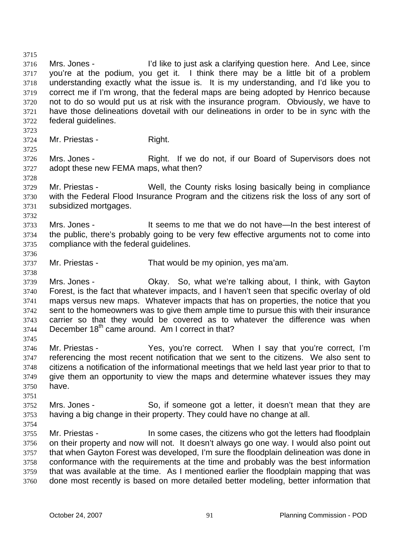3715 3716 3717 3718 3719 3720 3721 3722 3723 3724 3725 3726 3727 3728 3729 3730 3731 3732 3733 3734 3735 3736 3737 3738 3739 3740 3741 3742 3743 3744 3745 3746 3747 3748 3749 3750 3751 3752 3753 3754 3755 3756 3757 3758 3759 3760 Mrs. Jones - I'd like to just ask a clarifying question here. And Lee, since you're at the podium, you get it. I think there may be a little bit of a problem understanding exactly what the issue is. It is my understanding, and I'd like you to correct me if I'm wrong, that the federal maps are being adopted by Henrico because not to do so would put us at risk with the insurance program. Obviously, we have to have those delineations dovetail with our delineations in order to be in sync with the federal guidelines. Mr. Priestas - Right. Mrs. Jones - Right. If we do not, if our Board of Supervisors does not adopt these new FEMA maps, what then? Mr. Priestas - Well, the County risks losing basically being in compliance with the Federal Flood Insurance Program and the citizens risk the loss of any sort of subsidized mortgages. Mrs. Jones - The State State States it seems to me that we do not have—In the best interest of the public, there's probably going to be very few effective arguments not to come into compliance with the federal guidelines. Mr. Priestas - That would be my opinion, yes ma'am. Mrs. Jones - Ckay. So, what we're talking about, I think, with Gayton Forest, is the fact that whatever impacts, and I haven't seen that specific overlay of old maps versus new maps. Whatever impacts that has on properties, the notice that you sent to the homeowners was to give them ample time to pursue this with their insurance carrier so that they would be covered as to whatever the difference was when December  $18<sup>th</sup>$  came around. Am I correct in that? Mr. Priestas - Yes, you're correct. When I say that you're correct, I'm referencing the most recent notification that we sent to the citizens. We also sent to citizens a notification of the informational meetings that we held last year prior to that to give them an opportunity to view the maps and determine whatever issues they may have. Mrs. Jones - So, if someone got a letter, it doesn't mean that they are having a big change in their property. They could have no change at all. Mr. Priestas - In some cases, the citizens who got the letters had floodplain on their property and now will not. It doesn't always go one way. I would also point out that when Gayton Forest was developed, I'm sure the floodplain delineation was done in conformance with the requirements at the time and probably was the best information that was available at the time. As I mentioned earlier the floodplain mapping that was done most recently is based on more detailed better modeling, better information that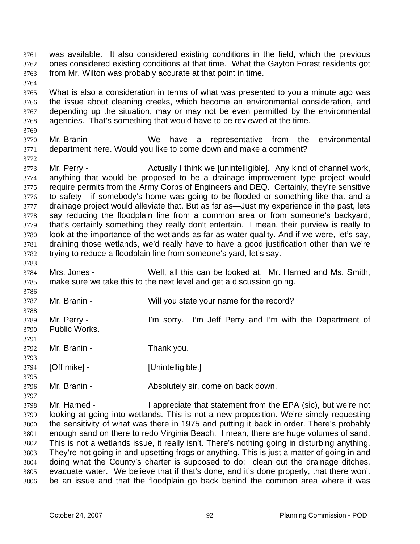- was available. It also considered existing conditions in the field, which the previous ones considered existing conditions at that time. What the Gayton Forest residents got from Mr. Wilton was probably accurate at that point in time. 3761 3762 3763
- 3765 3766 3767 3768 What is also a consideration in terms of what was presented to you a minute ago was the issue about cleaning creeks, which become an environmental consideration, and depending up the situation, may or may not be even permitted by the environmental agencies. That's something that would have to be reviewed at the time.
- 3769 3770 3771 Mr. Branin - The We have a representative from the environmental department here. Would you like to come down and make a comment?
- 3773 3774 3775 3776 3777 3778 3779 3780 3781 3782 Mr. Perry - **Actually I think we [unintelligible]**. Any kind of channel work, anything that would be proposed to be a drainage improvement type project would require permits from the Army Corps of Engineers and DEQ. Certainly, they're sensitive to safety - if somebody's home was going to be flooded or something like that and a drainage project would alleviate that. But as far as—Just my experience in the past, lets say reducing the floodplain line from a common area or from someone's backyard, that's certainly something they really don't entertain. I mean, their purview is really to look at the importance of the wetlands as far as water quality. And if we were, let's say, draining those wetlands, we'd really have to have a good justification other than we're trying to reduce a floodplain line from someone's yard, let's say.
- 3784 3785 Mrs. Jones - Well, all this can be looked at. Mr. Harned and Ms. Smith, make sure we take this to the next level and get a discussion going.
- 3786 3787 3788 3789 3790 3791 3792 3793 3794 3795 3796 3797 Mr. Branin - Will you state your name for the record? Mr. Perry - I'm sorry. I'm Jeff Perry and I'm with the Department of Public Works. Mr. Branin - Thank you. [Off mike] - [Unintelligible.] Mr. Branin - **Absolutely sir, come on back down.**
- 3798 3799 3800 3801 3802 3803 3804 3805 3806 Mr. Harned - I appreciate that statement from the EPA (sic), but we're not looking at going into wetlands. This is not a new proposition. We're simply requesting the sensitivity of what was there in 1975 and putting it back in order. There's probably enough sand on there to redo Virginia Beach. I mean, there are huge volumes of sand. This is not a wetlands issue, it really isn't. There's nothing going in disturbing anything. They're not going in and upsetting frogs or anything. This is just a matter of going in and doing what the County's charter is supposed to do: clean out the drainage ditches, evacuate water. We believe that if that's done, and it's done properly, that there won't be an issue and that the floodplain go back behind the common area where it was

3764

3772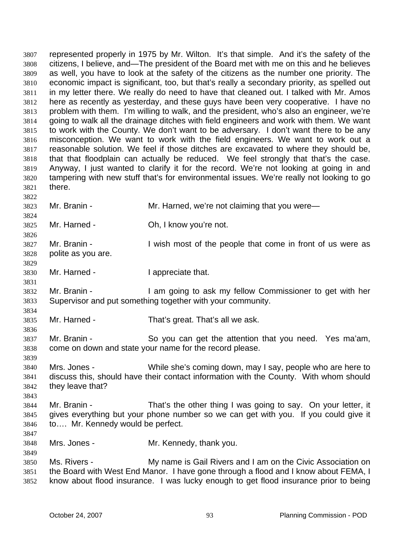represented properly in 1975 by Mr. Wilton. It's that simple. And it's the safety of the citizens, I believe, and—The president of the Board met with me on this and he believes as well, you have to look at the safety of the citizens as the number one priority. The economic impact is significant, too, but that's really a secondary priority, as spelled out in my letter there. We really do need to have that cleaned out. I talked with Mr. Amos here as recently as yesterday, and these guys have been very cooperative. I have no problem with them. I'm willing to walk, and the president, who's also an engineer, we're going to walk all the drainage ditches with field engineers and work with them. We want to work with the County. We don't want to be adversary. I don't want there to be any misconception. We want to work with the field engineers. We want to work out a reasonable solution. We feel if those ditches are excavated to where they should be, that that floodplain can actually be reduced. We feel strongly that that's the case. Anyway, I just wanted to clarify it for the record. We're not looking at going in and tampering with new stuff that's for environmental issues. We're really not looking to go there. 3807 3808 3809 3810 3811 3812 3813 3814 3815 3816 3817 3818 3819 3820 3821 3822 3823 3824 3825 3826 3827 3828 3829 3830 3831 3832 3833 3834 3835 3836 3837 3838 3839 3840 3841 3842 3843 3844 3845 3846 3847 3848 3849 3850 3851 3852 Mr. Branin - Mr. Harned, we're not claiming that you were— Mr. Harned - Ch, I know you're not. Mr. Branin - The state of the people that come in front of us were as polite as you are. Mr. Harned - The I appreciate that. Mr. Branin - I am going to ask my fellow Commissioner to get with her Supervisor and put something together with your community. Mr. Harned - That's great. That's all we ask. Mr. Branin - So you can get the attention that you need. Yes ma'am, come on down and state your name for the record please. Mrs. Jones - While she's coming down, may I say, people who are here to discuss this, should have their contact information with the County. With whom should they leave that? Mr. Branin - That's the other thing I was going to say. On your letter, it gives everything but your phone number so we can get with you. If you could give it to…. Mr. Kennedy would be perfect. Mrs. Jones - Mr. Kennedy, thank you. Ms. Rivers - My name is Gail Rivers and I am on the Civic Association on the Board with West End Manor. I have gone through a flood and I know about FEMA, I know about flood insurance. I was lucky enough to get flood insurance prior to being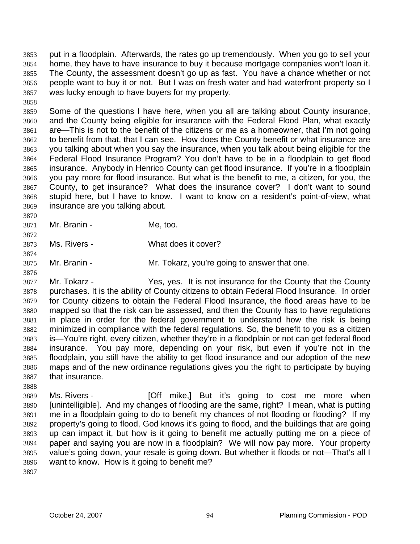put in a floodplain. Afterwards, the rates go up tremendously. When you go to sell your home, they have to have insurance to buy it because mortgage companies won't loan it. The County, the assessment doesn't go up as fast. You have a chance whether or not people want to buy it or not. But I was on fresh water and had waterfront property so I was lucky enough to have buyers for my property. 3853 3854 3855 3856 3857

3859 3860 3861 3862 3863 3864 3865 3866 3867 3868 3869 Some of the questions I have here, when you all are talking about County insurance, and the County being eligible for insurance with the Federal Flood Plan, what exactly are—This is not to the benefit of the citizens or me as a homeowner, that I'm not going to benefit from that, that I can see. How does the County benefit or what insurance are you talking about when you say the insurance, when you talk about being eligible for the Federal Flood Insurance Program? You don't have to be in a floodplain to get flood insurance. Anybody in Henrico County can get flood insurance. If you're in a floodplain you pay more for flood insurance. But what is the benefit to me, a citizen, for you, the County, to get insurance? What does the insurance cover? I don't want to sound stupid here, but I have to know. I want to know on a resident's point-of-view, what insurance are you talking about.

- 3870 3871 Mr. Branin - Me, too.
- 3873 Ms. Rivers - What does it cover?
- 3875 Mr. Branin - **Mr. Tokarz, you're going to answer that one.**
- 3877 3878 3879 3880 3881 3882 3883 3884 3885 3886 3887 Mr. Tokarz - The Yes, yes. It is not insurance for the County that the County purchases. It is the ability of County citizens to obtain Federal Flood Insurance. In order for County citizens to obtain the Federal Flood Insurance, the flood areas have to be mapped so that the risk can be assessed, and then the County has to have regulations in place in order for the federal government to understand how the risk is being minimized in compliance with the federal regulations. So, the benefit to you as a citizen is—You're right, every citizen, whether they're in a floodplain or not can get federal flood insurance. You pay more, depending on your risk, but even if you're not in the floodplain, you still have the ability to get flood insurance and our adoption of the new maps and of the new ordinance regulations gives you the right to participate by buying that insurance.
- 3889 3890 3891 3892 3893 3894 3895 3896 Ms. Rivers - **[Off mike,]** But it's going to cost me more when [unintelligible]. And my changes of flooding are the same, right? I mean, what is putting me in a floodplain going to do to benefit my chances of not flooding or flooding? If my property's going to flood, God knows it's going to flood, and the buildings that are going up can impact it, but how is it going to benefit me actually putting me on a piece of paper and saying you are now in a floodplain? We will now pay more. Your property value's going down, your resale is going down. But whether it floods or not—That's all I want to know. How is it going to benefit me?
- 3897

3888

3858

3872

3874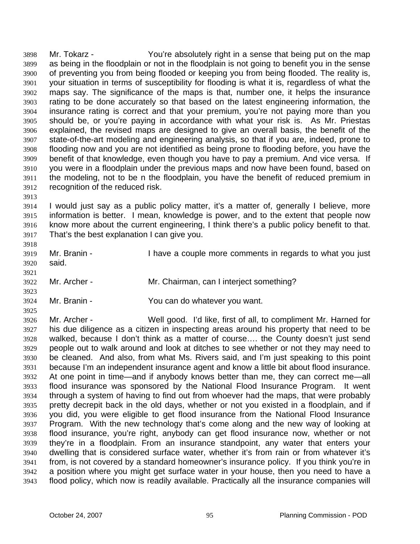Mr. Tokarz - You're absolutely right in a sense that being put on the map as being in the floodplain or not in the floodplain is not going to benefit you in the sense of preventing you from being flooded or keeping you from being flooded. The reality is, your situation in terms of susceptibility for flooding is what it is, regardless of what the maps say. The significance of the maps is that, number one, it helps the insurance rating to be done accurately so that based on the latest engineering information, the insurance rating is correct and that your premium, you're not paying more than you should be, or you're paying in accordance with what your risk is. As Mr. Priestas explained, the revised maps are designed to give an overall basis, the benefit of the state-of-the-art modeling and engineering analysis, so that if you are, indeed, prone to flooding now and you are not identified as being prone to flooding before, you have the benefit of that knowledge, even though you have to pay a premium. And vice versa. If you were in a floodplain under the previous maps and now have been found, based on the modeling, not to be n the floodplain, you have the benefit of reduced premium in recognition of the reduced risk. 3898 3899 3900 3901 3902 3903 3904 3905 3906 3907 3908 3909 3910 3911 3912

3913

3923

3925

3914 3915 3916 3917 I would just say as a public policy matter, it's a matter of, generally I believe, more information is better. I mean, knowledge is power, and to the extent that people now know more about the current engineering, I think there's a public policy benefit to that. That's the best explanation I can give you.

- 3918 3919 3920 3921 Mr. Branin - Thave a couple more comments in regards to what you just said.
- 3922 Mr. Archer - Mr. Chairman, can I interject something?
- 3924 Mr. Branin - You can do whatever you want.

3926 3927 3928 3929 3930 3931 3932 3933 3934 3935 3936 3937 3938 3939 3940 3941 3942 3943 Mr. Archer - Well good. I'd like, first of all, to compliment Mr. Harned for his due diligence as a citizen in inspecting areas around his property that need to be walked, because I don't think as a matter of course…. the County doesn't just send people out to walk around and look at ditches to see whether or not they may need to be cleaned. And also, from what Ms. Rivers said, and I'm just speaking to this point because I'm an independent insurance agent and know a little bit about flood insurance. At one point in time—and if anybody knows better than me, they can correct me—all flood insurance was sponsored by the National Flood Insurance Program. It went through a system of having to find out from whoever had the maps, that were probably pretty decrepit back in the old days, whether or not you existed in a floodplain, and if you did, you were eligible to get flood insurance from the National Flood Insurance Program. With the new technology that's come along and the new way of looking at flood insurance, you're right, anybody can get flood insurance now, whether or not they're in a floodplain. From an insurance standpoint, any water that enters your dwelling that is considered surface water, whether it's from rain or from whatever it's from, is not covered by a standard homeowner's insurance policy. If you think you're in a position where you might get surface water in your house, then you need to have a flood policy, which now is readily available. Practically all the insurance companies will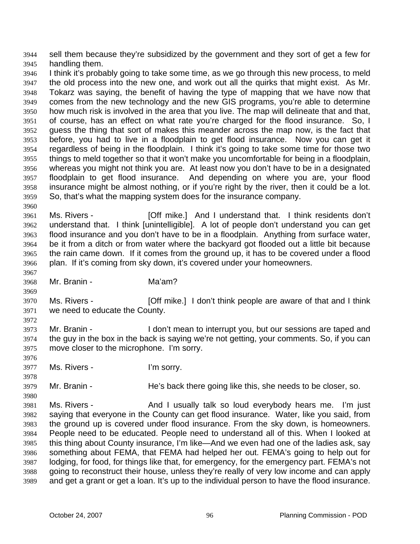sell them because they're subsidized by the government and they sort of get a few for handling them. 3944 3945

3946 3947 3948 3949 3950 3951 3952 3953 3954 3955 3956 3957 3958 3959 I think it's probably going to take some time, as we go through this new process, to meld the old process into the new one, and work out all the quirks that might exist. As Mr. Tokarz was saying, the benefit of having the type of mapping that we have now that comes from the new technology and the new GIS programs, you're able to determine how much risk is involved in the area that you live. The map will delineate that and that, of course, has an effect on what rate you're charged for the flood insurance. So, I guess the thing that sort of makes this meander across the map now, is the fact that before, you had to live in a floodplain to get flood insurance. Now you can get it regardless of being in the floodplain. I think it's going to take some time for those two things to meld together so that it won't make you uncomfortable for being in a floodplain, whereas you might not think you are. At least now you don't have to be in a designated floodplain to get flood insurance. And depending on where you are, your flood insurance might be almost nothing, or if you're right by the river, then it could be a lot. So, that's what the mapping system does for the insurance company.

3961 3962 3963 3964 3965 3966 Ms. Rivers - **[Off mike.]** And I understand that. I think residents don't understand that. I think [unintelligible]. A lot of people don't understand you can get flood insurance and you don't have to be in a floodplain. Anything from surface water, be it from a ditch or from water where the backyard got flooded out a little bit because the rain came down. If it comes from the ground up, it has to be covered under a flood plan. If it's coming from sky down, it's covered under your homeowners.

3968 Mr. Branin - Ma'am?

3960

3967

3969

3972

3976

3978

3980

3970 3971 Ms. Rivers - **[Off mike.]** I don't think people are aware of that and I think we need to educate the County.

- 3973 3974 3975 Mr. Branin - I don't mean to interrupt you, but our sessions are taped and the guy in the box in the back is saying we're not getting, your comments. So, if you can move closer to the microphone. I'm sorry.
- 3977 Ms. Rivers - I'm sorry.

3979 Mr. Branin - **He's back there going like this, she needs to be closer, so.** 

3981 3982 3983 3984 3985 3986 3987 3988 3989 Ms. Rivers - The And I usually talk so loud everybody hears me. I'm just saying that everyone in the County can get flood insurance. Water, like you said, from the ground up is covered under flood insurance. From the sky down, is homeowners. People need to be educated. People need to understand all of this. When I looked at this thing about County insurance, I'm like—And we even had one of the ladies ask, say something about FEMA, that FEMA had helped her out. FEMA's going to help out for lodging, for food, for things like that, for emergency, for the emergency part. FEMA's not going to reconstruct their house, unless they're really of very low income and can apply and get a grant or get a loan. It's up to the individual person to have the flood insurance.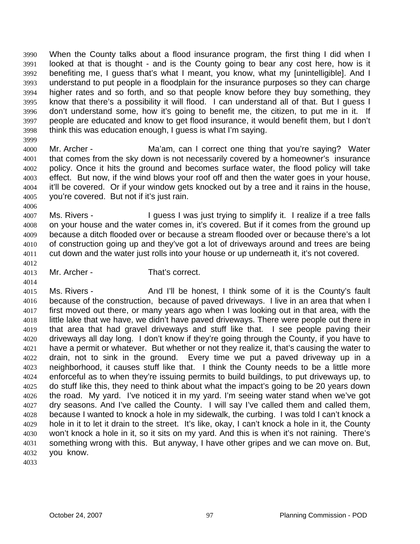When the County talks about a flood insurance program, the first thing I did when I looked at that is thought - and is the County going to bear any cost here, how is it benefiting me, I guess that's what I meant, you know, what my [unintelligible]. And I understand to put people in a floodplain for the insurance purposes so they can charge higher rates and so forth, and so that people know before they buy something, they know that there's a possibility it will flood. I can understand all of that. But I guess I don't understand some, how it's going to benefit me, the citizen, to put me in it. If people are educated and know to get flood insurance, it would benefit them, but I don't think this was education enough, I guess is what I'm saying. 3990 3991 3992 3993 3994 3995 3996 3997 3998

3999

4006

4012

4014

4000 4001 4002 4003 4004 4005 Mr. Archer - The Ma'am, can I correct one thing that you're saying? Water that comes from the sky down is not necessarily covered by a homeowner's insurance policy. Once it hits the ground and becomes surface water, the flood policy will take effect. But now, if the wind blows your roof off and then the water goes in your house, it'll be covered. Or if your window gets knocked out by a tree and it rains in the house, you're covered. But not if it's just rain.

- 4007 4008 4009 4010 4011 Ms. Rivers - I guess I was just trying to simplify it. I realize if a tree falls on your house and the water comes in, it's covered. But if it comes from the ground up because a ditch flooded over or because a stream flooded over or because there's a lot of construction going up and they've got a lot of driveways around and trees are being cut down and the water just rolls into your house or up underneath it, it's not covered.
- 4013 Mr. Archer - That's correct.

4015 4016 4017 4018 4019 4020 4021 4022 4023 4024 4025 4026 4027 4028 4029 4030 4031 4032 Ms. Rivers - And I'll be honest, I think some of it is the County's fault because of the construction, because of paved driveways. I live in an area that when I first moved out there, or many years ago when I was looking out in that area, with the little lake that we have, we didn't have paved driveways. There were people out there in that area that had gravel driveways and stuff like that. I see people paving their driveways all day long. I don't know if they're going through the County, if you have to have a permit or whatever. But whether or not they realize it, that's causing the water to drain, not to sink in the ground. Every time we put a paved driveway up in a neighborhood, it causes stuff like that. I think the County needs to be a little more enforceful as to when they're issuing permits to build buildings, to put driveways up, to do stuff like this, they need to think about what the impact's going to be 20 years down the road. My yard. I've noticed it in my yard. I'm seeing water stand when we've got dry seasons. And I've called the County. I will say I've called them and called them, because I wanted to knock a hole in my sidewalk, the curbing. I was told I can't knock a hole in it to let it drain to the street. It's like, okay, I can't knock a hole in it, the County won't knock a hole in it, so it sits on my yard. And this is when it's not raining. There's something wrong with this. But anyway, I have other gripes and we can move on. But, you know.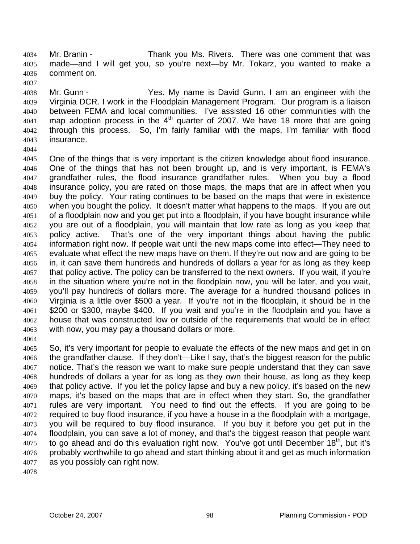Mr. Branin - Thank you Ms. Rivers. There was one comment that was made—and I will get you, so you're next—by Mr. Tokarz, you wanted to make a comment on. 4034 4035 4036 4037

4038 4039 4040 4041 4042 4043 4044 Mr. Gunn - The Statest Yes. My name is David Gunn. I am an engineer with the Virginia DCR. I work in the Floodplain Management Program. Our program is a liaison between FEMA and local communities. I've assisted 16 other communities with the map adoption process in the  $4<sup>th</sup>$  quarter of 2007. We have 18 more that are going through this process. So, I'm fairly familiar with the maps, I'm familiar with flood insurance.

- 4045 4046 4047 4048 4049 4050 4051 4052 4053 4054 4055 4056 4057 4058 4059 4060 4061 4062 4063 One of the things that is very important is the citizen knowledge about flood insurance. One of the things that has not been brought up, and is very important, is FEMA's grandfather rules, the flood insurance grandfather rules. When you buy a flood insurance policy, you are rated on those maps, the maps that are in affect when you buy the policy. Your rating continues to be based on the maps that were in existence when you bought the policy. It doesn't matter what happens to the maps. If you are out of a floodplain now and you get put into a floodplain, if you have bought insurance while you are out of a floodplain, you will maintain that low rate as long as you keep that policy active. That's one of the very important things about having the public information right now. If people wait until the new maps come into effect—They need to evaluate what effect the new maps have on them. If they're out now and are going to be in, it can save them hundreds and hundreds of dollars a year for as long as they keep that policy active. The policy can be transferred to the next owners. If you wait, if you're in the situation where you're not in the floodplain now, you will be later, and you wait, you'll pay hundreds of dollars more. The average for a hundred thousand polices in Virginia is a little over \$500 a year. If you're not in the floodplain, it should be in the \$200 or \$300, maybe \$400. If you wait and you're in the floodplain and you have a house that was constructed low or outside of the requirements that would be in effect with now, you may pay a thousand dollars or more.
- 4065 4066 4067 4068 4069 4070 4071 4072 4073 4074 4075 4076 4077 So, it's very important for people to evaluate the effects of the new maps and get in on the grandfather clause. If they don't—Like I say, that's the biggest reason for the public notice. That's the reason we want to make sure people understand that they can save hundreds of dollars a year for as long as they own their house, as long as they keep that policy active. If you let the policy lapse and buy a new policy, it's based on the new maps, it's based on the maps that are in effect when they start. So, the grandfather rules are very important. You need to find out the effects. If you are going to be required to buy flood insurance, if you have a house in a the floodplain with a mortgage, you will be required to buy flood insurance. If you buy it before you get put in the floodplain, you can save a lot of money, and that's the biggest reason that people want to go ahead and do this evaluation right now. You've got until December 18<sup>th</sup>, but it's probably worthwhile to go ahead and start thinking about it and get as much information as you possibly can right now.
- 4078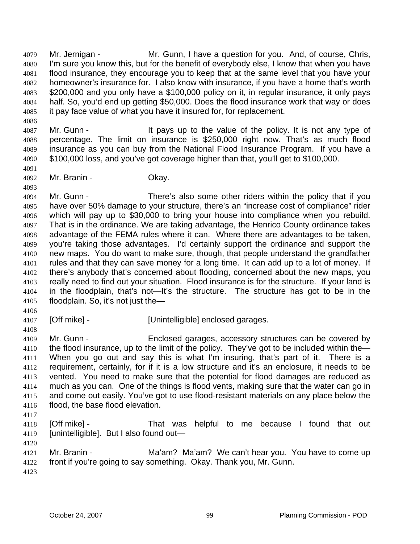Mr. Jernigan - Mr. Gunn, I have a question for you. And, of course, Chris, I'm sure you know this, but for the benefit of everybody else, I know that when you have flood insurance, they encourage you to keep that at the same level that you have your homeowner's insurance for. I also know with insurance, if you have a home that's worth \$200,000 and you only have a \$100,000 policy on it, in regular insurance, it only pays half. So, you'd end up getting \$50,000. Does the flood insurance work that way or does it pay face value of what you have it insured for, for replacement. 4079 4080 4081 4082 4083 4084 4085

4087 4088 4089 4090 Mr. Gunn - It pays up to the value of the policy. It is not any type of percentage. The limit on insurance is \$250,000 right now. That's as much flood insurance as you can buy from the National Flood Insurance Program. If you have a \$100,000 loss, and you've got coverage higher than that, you'll get to \$100,000.

4091 4092

4093

4086

Mr. Branin - Chay.

4094 4095 4096 4097 4098 4099 4100 4101 4102 4103 4104 4105 Mr. Gunn - There's also some other riders within the policy that if you have over 50% damage to your structure, there's an "increase cost of compliance" rider which will pay up to \$30,000 to bring your house into compliance when you rebuild. That is in the ordinance. We are taking advantage, the Henrico County ordinance takes advantage of the FEMA rules where it can. Where there are advantages to be taken, you're taking those advantages. I'd certainly support the ordinance and support the new maps. You do want to make sure, though, that people understand the grandfather rules and that they can save money for a long time. It can add up to a lot of money. If there's anybody that's concerned about flooding, concerned about the new maps, you really need to find out your situation. Flood insurance is for the structure. If your land is in the floodplain, that's not—It's the structure. The structure has got to be in the floodplain. So, it's not just the—

4106

4108

4107 [Off mike] - [Unintelligible] enclosed garages.

4109 4110 4111 4112 4113 4114 4115 4116 Mr. Gunn - Enclosed garages, accessory structures can be covered by the flood insurance, up to the limit of the policy. They've got to be included within the— When you go out and say this is what I'm insuring, that's part of it. There is a requirement, certainly, for if it is a low structure and it's an enclosure, it needs to be vented. You need to make sure that the potential for flood damages are reduced as much as you can. One of the things is flood vents, making sure that the water can go in and come out easily. You've got to use flood-resistant materials on any place below the flood, the base flood elevation.

- 4117
- 4118 4119 4120 [Off mike] - That was helpful to me because I found that out [unintelligible]. But I also found out—

4121 4122 4123 Mr. Branin - **Ma'am? Ma'am?** We can't hear you. You have to come up front if you're going to say something. Okay. Thank you, Mr. Gunn.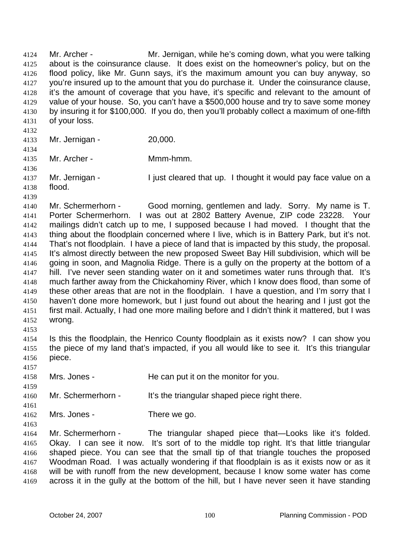Mr. Archer - Mr. Jernigan, while he's coming down, what you were talking about is the coinsurance clause. It does exist on the homeowner's policy, but on the flood policy, like Mr. Gunn says, it's the maximum amount you can buy anyway, so you're insured up to the amount that you do purchase it. Under the coinsurance clause, it's the amount of coverage that you have, it's specific and relevant to the amount of value of your house. So, you can't have a \$500,000 house and try to save some money by insuring it for \$100,000. If you do, then you'll probably collect a maximum of one-fifth of your loss. 4124 4125 4126 4127 4128 4129 4130 4131 4132 4133 4134 4135 4136 4137 4138 4139 4140 4141 4142 4143 4144 4145 4146 4147 4148 4149 4150 4151 4152 4153 4154 4155 4156 4157 4158 4159 4160 4161 4162 4163 4164 4165 4166 4167 4168 4169 Mr. Jernigan - 20,000. Mr. Archer - Mmm-hmm. Mr. Jernigan - I just cleared that up. I thought it would pay face value on a flood. Mr. Schermerhorn - Good morning, gentlemen and lady. Sorry. My name is T. Porter Schermerhorn. I was out at 2802 Battery Avenue, ZIP code 23228. Your mailings didn't catch up to me, I supposed because I had moved. I thought that the thing about the floodplain concerned where I live, which is in Battery Park, but it's not. That's not floodplain. I have a piece of land that is impacted by this study, the proposal. It's almost directly between the new proposed Sweet Bay Hill subdivision, which will be going in soon, and Magnolia Ridge. There is a gully on the property at the bottom of a hill. I've never seen standing water on it and sometimes water runs through that. It's much farther away from the Chickahominy River, which I know does flood, than some of these other areas that are not in the floodplain. I have a question, and I'm sorry that I haven't done more homework, but I just found out about the hearing and I just got the first mail. Actually, I had one more mailing before and I didn't think it mattered, but I was wrong. Is this the floodplain, the Henrico County floodplain as it exists now? I can show you the piece of my land that's impacted, if you all would like to see it. It's this triangular piece. Mrs. Jones - He can put it on the monitor for you. Mr. Schermerhorn - It's the triangular shaped piece right there. Mrs. Jones - There we go. Mr. Schermerhorn - The triangular shaped piece that—Looks like it's folded. Okay. I can see it now. It's sort of to the middle top right. It's that little triangular shaped piece. You can see that the small tip of that triangle touches the proposed Woodman Road. I was actually wondering if that floodplain is as it exists now or as it will be with runoff from the new development, because I know some water has come across it in the gully at the bottom of the hill, but I have never seen it have standing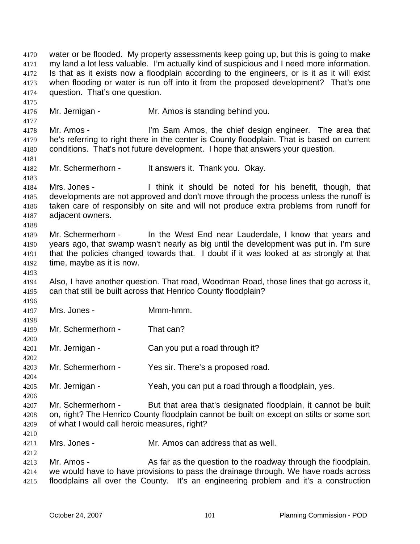water or be flooded. My property assessments keep going up, but this is going to make my land a lot less valuable. I'm actually kind of suspicious and I need more information. Is that as it exists now a floodplain according to the engineers, or is it as it will exist when flooding or water is run off into it from the proposed development? That's one question. That's one question. 4170 4171 4172 4173 4174 4175 4176 4177 4178 4179 4180 4181 4182 4183 4184 4185 4186 4187 4188 4189 4190 4191 4192 4193 4194 4195 4196 4197 4198 4199 4200 4201 4202 4203 4204 4205 4206 4207 4208 4209 4210 4211 4212 4213 4214 4215 Mr. Jernigan - Mr. Amos is standing behind you. Mr. Amos - I'm Sam Amos, the chief design engineer. The area that he's referring to right there in the center is County floodplain. That is based on current conditions. That's not future development. I hope that answers your question. Mr. Schermerhorn - It answers it. Thank you. Okay. Mrs. Jones - Think it should be noted for his benefit, though, that developments are not approved and don't move through the process unless the runoff is taken care of responsibly on site and will not produce extra problems from runoff for adjacent owners. Mr. Schermerhorn - In the West End near Lauderdale, I know that years and years ago, that swamp wasn't nearly as big until the development was put in. I'm sure that the policies changed towards that. I doubt if it was looked at as strongly at that time, maybe as it is now. Also, I have another question. That road, Woodman Road, those lines that go across it, can that still be built across that Henrico County floodplain? Mrs. Jones - Mmm-hmm. Mr. Schermerhorn - That can? Mr. Jernigan - Can you put a road through it? Mr. Schermerhorn - Yes sir. There's a proposed road. Mr. Jernigan - Yeah, you can put a road through a floodplain, yes. Mr. Schermerhorn - But that area that's designated floodplain, it cannot be built on, right? The Henrico County floodplain cannot be built on except on stilts or some sort of what I would call heroic measures, right? Mrs. Jones - Mr. Amos can address that as well. Mr. Amos - As far as the question to the roadway through the floodplain, we would have to have provisions to pass the drainage through. We have roads across floodplains all over the County. It's an engineering problem and it's a construction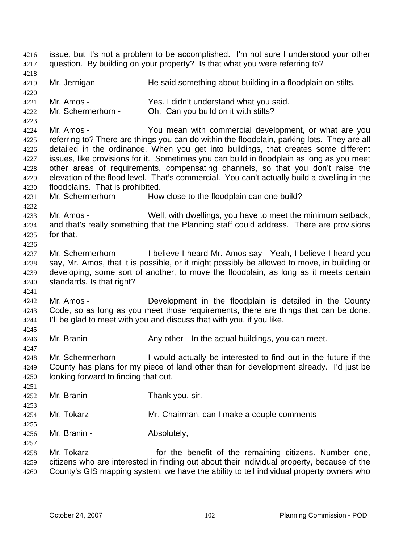issue, but it's not a problem to be accomplished. I'm not sure I understood your other question. By building on your property? Is that what you were referring to? 4216 4217 4218 4219 4220 4221 4222 4223 4224 4225 4226 4227 4228 4229 4230 4231 4232 4233 4234 4235 4236 4237 4238 4239 4240 4241 4242 4243 4244 4245 4246 4247 4248 4249 4250 4251 4252 4253 4254 4255 4256 4257 4258 4259 4260 Mr. Jernigan - He said something about building in a floodplain on stilts. Mr. Amos - Yes. I didn't understand what you said. Mr. Schermerhorn - Oh. Can you build on it with stilts? Mr. Amos - You mean with commercial development, or what are you referring to? There are things you can do within the floodplain, parking lots. They are all detailed in the ordinance. When you get into buildings, that creates some different issues, like provisions for it. Sometimes you can build in floodplain as long as you meet other areas of requirements, compensating channels, so that you don't raise the elevation of the flood level. That's commercial. You can't actually build a dwelling in the floodplains. That is prohibited. Mr. Schermerhorn - How close to the floodplain can one build? Mr. Amos - Well, with dwellings, you have to meet the minimum setback, and that's really something that the Planning staff could address. There are provisions for that. Mr. Schermerhorn - I believe I heard Mr. Amos say—Yeah, I believe I heard you say, Mr. Amos, that it is possible, or it might possibly be allowed to move, in building or developing, some sort of another, to move the floodplain, as long as it meets certain standards. Is that right? Mr. Amos - **Development** in the floodplain is detailed in the County Code, so as long as you meet those requirements, there are things that can be done. I'll be glad to meet with you and discuss that with you, if you like. Mr. Branin - Any other—In the actual buildings, you can meet. Mr. Schermerhorn - I would actually be interested to find out in the future if the County has plans for my piece of land other than for development already. I'd just be looking forward to finding that out. Mr. Branin - Thank you, sir. Mr. Tokarz - Mr. Chairman, can I make a couple comments— Mr. Branin - Absolutely, Mr. Tokarz - The State of the benefit of the remaining citizens. Number one, citizens who are interested in finding out about their individual property, because of the County's GIS mapping system, we have the ability to tell individual property owners who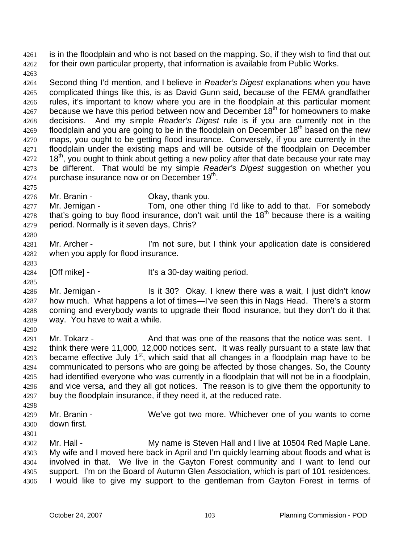is in the floodplain and who is not based on the mapping. So, if they wish to find that out for their own particular property, that information is available from Public Works. 4261 4262

4263

4264 4265 4266 4267 4268 4269 4270 4271 4272 4273 4274 Second thing I'd mention, and I believe in *Reader's Digest* explanations when you have complicated things like this, is as David Gunn said, because of the FEMA grandfather rules, it's important to know where you are in the floodplain at this particular moment because we have this period between now and December 18<sup>th</sup> for homeowners to make decisions. And my simple *Reader's Digest* rule is if you are currently not in the floodplain and you are going to be in the floodplain on December  $18<sup>th</sup>$  based on the new maps, you ought to be getting flood insurance. Conversely, if you are currently in the floodplain under the existing maps and will be outside of the floodplain on December 18<sup>th</sup>, you ought to think about getting a new policy after that date because your rate may be different. That would be my simple *Reader's Digest* suggestion on whether you purchase insurance now or on December 19<sup>th</sup>.

4275

4283

4285

4290

4276

Mr. Branin - Ckay, thank you.

4277 4278 4279 4280 Mr. Jernigan - Tom, one other thing I'd like to add to that. For somebody that's going to buy flood insurance, don't wait until the  $18<sup>th</sup>$  because there is a waiting period. Normally is it seven days, Chris?

- 4281 4282 Mr. Archer - I'm not sure, but I think your application date is considered when you apply for flood insurance.
- 4284 [Off mike] - It's a 30-day waiting period.

4286 4287 4288 4289 Mr. Jernigan - Is it 30? Okay. I knew there was a wait, I just didn't know how much. What happens a lot of times—I've seen this in Nags Head. There's a storm coming and everybody wants to upgrade their flood insurance, but they don't do it that way. You have to wait a while.

4291 4292 4293 4294 4295 4296 4297 Mr. Tokarz - And that was one of the reasons that the notice was sent. I think there were 11,000, 12,000 notices sent. It was really pursuant to a state law that became effective July  $1<sup>st</sup>$ , which said that all changes in a floodplain map have to be communicated to persons who are going be affected by those changes. So, the County had identified everyone who was currently in a floodplain that will not be in a floodplain, and vice versa, and they all got notices. The reason is to give them the opportunity to buy the floodplain insurance, if they need it, at the reduced rate.

4298 4299

Mr. Branin - We've got two more. Whichever one of you wants to come down first.

4300 4301

4302 4303 4304 4305 4306 Mr. Hall - My name is Steven Hall and I live at 10504 Red Maple Lane. My wife and I moved here back in April and I'm quickly learning about floods and what is involved in that. We live in the Gayton Forest community and I want to lend our support. I'm on the Board of Autumn Glen Association, which is part of 101 residences. I would like to give my support to the gentleman from Gayton Forest in terms of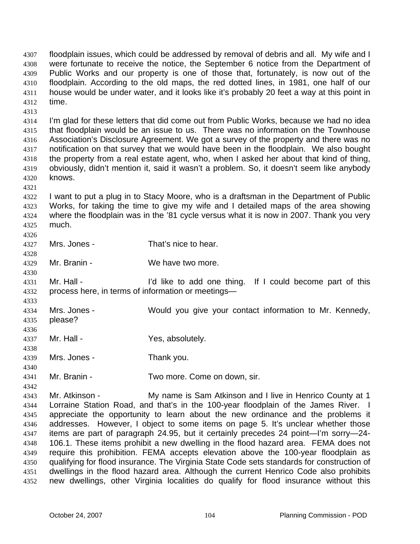floodplain issues, which could be addressed by removal of debris and all. My wife and I were fortunate to receive the notice, the September 6 notice from the Department of Public Works and our property is one of those that, fortunately, is now out of the floodplain. According to the old maps, the red dotted lines, in 1981, one half of our house would be under water, and it looks like it's probably 20 feet a way at this point in time. 4307 4308 4309 4310 4311 4312

4314 4315 4316 4317 4318 4319 4320 I'm glad for these letters that did come out from Public Works, because we had no idea that floodplain would be an issue to us. There was no information on the Townhouse Association's Disclosure Agreement. We got a survey of the property and there was no notification on that survey that we would have been in the floodplain. We also bought the property from a real estate agent, who, when I asked her about that kind of thing, obviously, didn't mention it, said it wasn't a problem. So, it doesn't seem like anybody knows.

4321

4313

4322 4323 4324 4325 I want to put a plug in to Stacy Moore, who is a draftsman in the Department of Public Works, for taking the time to give my wife and I detailed maps of the area showing where the floodplain was in the '81 cycle versus what it is now in 2007. Thank you very much.

4326

4328

4330

4333

4336

4338

4340

4342

4327 Mrs. Jones - That's nice to hear.

4329 Mr. Branin - We have two more.

4331 4332 Mr. Hall - I'd like to add one thing. If I could become part of this process here, in terms of information or meetings—

4334 4335 Mrs. Jones - Would you give your contact information to Mr. Kennedy, please?

4337 Mr. Hall - Yes, absolutely.

4339 Mrs. Jones - Thank you.

4341 Mr. Branin - Two more. Come on down, sir.

4343 4344 4345 4346 4347 4348 4349 4350 4351 4352 Mr. Atkinson - My name is Sam Atkinson and I live in Henrico County at 1 Lorraine Station Road, and that's in the 100-year floodplain of the James River. I appreciate the opportunity to learn about the new ordinance and the problems it addresses. However, I object to some items on page 5. It's unclear whether those items are part of paragraph 24.95, but it certainly precedes 24 point—I'm sorry—24- 106.1. These items prohibit a new dwelling in the flood hazard area. FEMA does not require this prohibition. FEMA accepts elevation above the 100-year floodplain as qualifying for flood insurance. The Virginia State Code sets standards for construction of dwellings in the flood hazard area. Although the current Henrico Code also prohibits new dwellings, other Virginia localities do qualify for flood insurance without this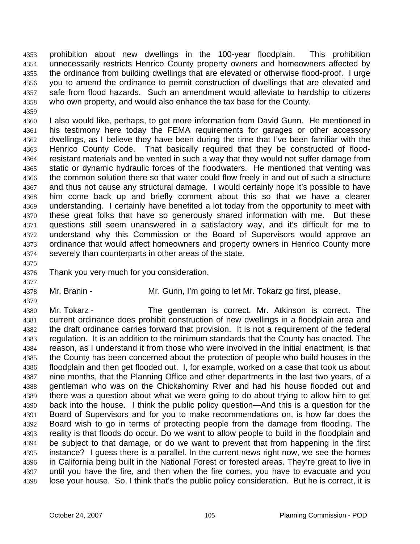prohibition about new dwellings in the 100-year floodplain. This prohibition unnecessarily restricts Henrico County property owners and homeowners affected by the ordinance from building dwellings that are elevated or otherwise flood-proof. I urge you to amend the ordinance to permit construction of dwellings that are elevated and safe from flood hazards. Such an amendment would alleviate to hardship to citizens who own property, and would also enhance the tax base for the County. 4353 4354 4355 4356 4357 4358

4360 4361 4362 4363 4364 4365 4366 4367 4368 4369 4370 4371 4372 4373 4374 I also would like, perhaps, to get more information from David Gunn. He mentioned in his testimony here today the FEMA requirements for garages or other accessory dwellings, as I believe they have been during the time that I've been familiar with the Henrico County Code. That basically required that they be constructed of floodresistant materials and be vented in such a way that they would not suffer damage from static or dynamic hydraulic forces of the floodwaters. He mentioned that venting was the common solution there so that water could flow freely in and out of such a structure and thus not cause any structural damage. I would certainly hope it's possible to have him come back up and briefly comment about this so that we have a clearer understanding. I certainly have benefited a lot today from the opportunity to meet with these great folks that have so generously shared information with me. But these questions still seem unanswered in a satisfactory way, and it's difficult for me to understand why this Commission or the Board of Supervisors would approve an ordinance that would affect homeowners and property owners in Henrico County more severely than counterparts in other areas of the state.

4375

4377

4379

4359

4376 Thank you very much for you consideration.

4378 Mr. Branin - Mr. Gunn, I'm going to let Mr. Tokarz go first, please.

4380 4381 4382 4383 4384 4385 4386 4387 4388 4389 4390 4391 4392 4393 4394 4395 4396 4397 4398 Mr. Tokarz - The gentleman is correct. Mr. Atkinson is correct. The current ordinance does prohibit construction of new dwellings in a floodplain area and the draft ordinance carries forward that provision. It is not a requirement of the federal regulation. It is an addition to the minimum standards that the County has enacted. The reason, as I understand it from those who were involved in the initial enactment, is that the County has been concerned about the protection of people who build houses in the floodplain and then get flooded out. I, for example, worked on a case that took us about nine months, that the Planning Office and other departments in the last two years, of a gentleman who was on the Chickahominy River and had his house flooded out and there was a question about what we were going to do about trying to allow him to get back into the house. I think the public policy question—And this is a question for the Board of Supervisors and for you to make recommendations on, is how far does the Board wish to go in terms of protecting people from the damage from flooding. The reality is that floods do occur. Do we want to allow people to build in the floodplain and be subject to that damage, or do we want to prevent that from happening in the first instance? I guess there is a parallel. In the current news right now, we see the homes in California being built in the National Forest or forested areas. They're great to live in until you have the fire, and then when the fire comes, you have to evacuate and you lose your house. So, I think that's the public policy consideration. But he is correct, it is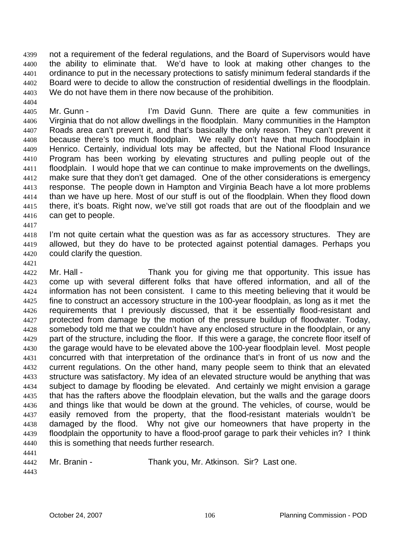not a requirement of the federal regulations, and the Board of Supervisors would have the ability to eliminate that. We'd have to look at making other changes to the ordinance to put in the necessary protections to satisfy minimum federal standards if the Board were to decide to allow the construction of residential dwellings in the floodplain. We do not have them in there now because of the prohibition. 4399 4400 4401 4402 4403

4405 4406 4407 4408 4409 4410 4411 4412 4413 4414 4415 4416 Mr. Gunn - The Text Cunn. There are quite a few communities in Virginia that do not allow dwellings in the floodplain. Many communities in the Hampton Roads area can't prevent it, and that's basically the only reason. They can't prevent it because there's too much floodplain. We really don't have that much floodplain in Henrico. Certainly, individual lots may be affected, but the National Flood Insurance Program has been working by elevating structures and pulling people out of the floodplain. I would hope that we can continue to make improvements on the dwellings, make sure that they don't get damaged. One of the other considerations is emergency response. The people down in Hampton and Virginia Beach have a lot more problems than we have up here. Most of our stuff is out of the floodplain. When they flood down there, it's boats. Right now, we've still got roads that are out of the floodplain and we can get to people.

4418 4419 4420 I'm not quite certain what the question was as far as accessory structures. They are allowed, but they do have to be protected against potential damages. Perhaps you could clarify the question.

4421

4417

4404

4422 4423 4424 4425 4426 4427 4428 4429 4430 4431 4432 4433 4434 4435 4436 4437 4438 4439 4440 4441 Mr. Hall - Thank you for giving me that opportunity. This issue has come up with several different folks that have offered information, and all of the information has not been consistent. I came to this meeting believing that it would be fine to construct an accessory structure in the 100-year floodplain, as long as it met the requirements that I previously discussed, that it be essentially flood-resistant and protected from damage by the motion of the pressure buildup of floodwater. Today, somebody told me that we couldn't have any enclosed structure in the floodplain, or any part of the structure, including the floor. If this were a garage, the concrete floor itself of the garage would have to be elevated above the 100-year floodplain level. Most people concurred with that interpretation of the ordinance that's in front of us now and the current regulations. On the other hand, many people seem to think that an elevated structure was satisfactory. My idea of an elevated structure would be anything that was subject to damage by flooding be elevated. And certainly we might envision a garage that has the rafters above the floodplain elevation, but the walls and the garage doors and things like that would be down at the ground. The vehicles, of course, would be easily removed from the property, that the flood-resistant materials wouldn't be damaged by the flood. Why not give our homeowners that have property in the floodplain the opportunity to have a flood-proof garage to park their vehicles in? I think this is something that needs further research.

| 4442 | Mr. Branin - | Thank you, Mr. Atkinson. Sir? Last one. |  |
|------|--------------|-----------------------------------------|--|
| 4443 |              |                                         |  |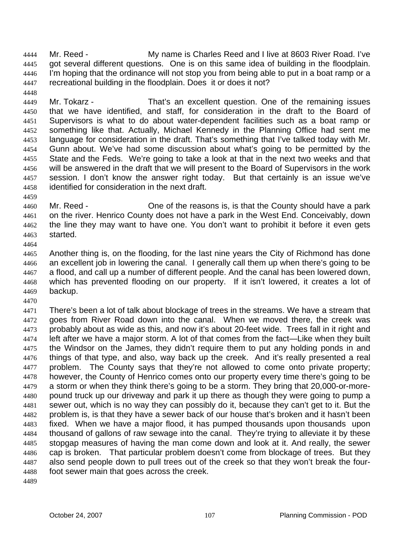Mr. Reed - My name is Charles Reed and I live at 8603 River Road. I've got several different questions. One is on this same idea of building in the floodplain. I'm hoping that the ordinance will not stop you from being able to put in a boat ramp or a recreational building in the floodplain. Does it or does it not? 4444 4445 4446 4447

4449 4450 4451 4452 4453 4454 4455 4456 4457 4458 Mr. Tokarz - That's an excellent question. One of the remaining issues that we have identified, and staff, for consideration in the draft to the Board of Supervisors is what to do about water-dependent facilities such as a boat ramp or something like that. Actually, Michael Kennedy in the Planning Office had sent me language for consideration in the draft. That's something that I've talked today with Mr. Gunn about. We've had some discussion about what's going to be permitted by the State and the Feds. We're going to take a look at that in the next two weeks and that will be answered in the draft that we will present to the Board of Supervisors in the work session. I don't know the answer right today. But that certainly is an issue we've identified for consideration in the next draft.

4460 4461 4462 4463 Mr. Reed - One of the reasons is, is that the County should have a park on the river. Henrico County does not have a park in the West End. Conceivably, down the line they may want to have one. You don't want to prohibit it before it even gets started.

4465 4466 4467 4468 4469 Another thing is, on the flooding, for the last nine years the City of Richmond has done an excellent job in lowering the canal. I generally call them up when there's going to be a flood, and call up a number of different people. And the canal has been lowered down, which has prevented flooding on our property. If it isn't lowered, it creates a lot of backup.

4471 4472 4473 4474 4475 4476 4477 4478 4479 4480 4481 4482 4483 4484 4485 4486 4487 4488 4489 There's been a lot of talk about blockage of trees in the streams. We have a stream that goes from River Road down into the canal. When we moved there, the creek was probably about as wide as this, and now it's about 20-feet wide. Trees fall in it right and left after we have a major storm. A lot of that comes from the fact—Like when they built the Windsor on the James, they didn't require them to put any holding ponds in and things of that type, and also, way back up the creek. And it's really presented a real problem. The County says that they're not allowed to come onto private property; however, the County of Henrico comes onto our property every time there's going to be a storm or when they think there's going to be a storm. They bring that 20,000-or-morepound truck up our driveway and park it up there as though they were going to pump a sewer out, which is no way they can possibly do it, because they can't get to it. But the problem is, is that they have a sewer back of our house that's broken and it hasn't been fixed. When we have a major flood, it has pumped thousands upon thousands upon thousand of gallons of raw sewage into the canal. They're trying to alleviate it by these stopgap measures of having the man come down and look at it. And really, the sewer cap is broken. That particular problem doesn't come from blockage of trees. But they also send people down to pull trees out of the creek so that they won't break the fourfoot sewer main that goes across the creek.

4448

4459

4464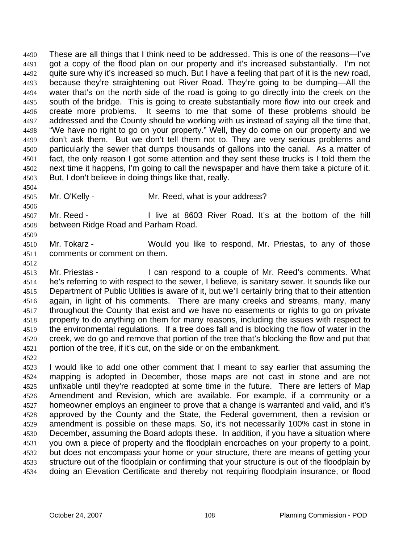These are all things that I think need to be addressed. This is one of the reasons—I've got a copy of the flood plan on our property and it's increased substantially. I'm not quite sure why it's increased so much. But I have a feeling that part of it is the new road, because they're straightening out River Road. They're going to be dumping—All the water that's on the north side of the road is going to go directly into the creek on the south of the bridge. This is going to create substantially more flow into our creek and create more problems. It seems to me that some of these problems should be addressed and the County should be working with us instead of saying all the time that, "We have no right to go on your property." Well, they do come on our property and we don't ask them. But we don't tell them not to. They are very serious problems and particularly the sewer that dumps thousands of gallons into the canal. As a matter of fact, the only reason I got some attention and they sent these trucks is I told them the next time it happens, I'm going to call the newspaper and have them take a picture of it. But, I don't believe in doing things like that, really. 4490 4491 4492 4493 4494 4495 4496 4497 4498 4499 4500 4501 4502 4503

4504

4506

4509

4512

4505 Mr. O'Kelly - Mr. Reed, what is your address?

4507 4508 Mr. Reed - The Road River Road. It's at the bottom of the hill between Ridge Road and Parham Road.

4510 4511 Mr. Tokarz - **Would you like to respond, Mr. Priestas, to any of those** comments or comment on them.

4513 4514 4515 4516 4517 4518 4519 4520 4521 Mr. Priestas - I can respond to a couple of Mr. Reed's comments. What he's referring to with respect to the sewer, I believe, is sanitary sewer. It sounds like our Department of Public Utilities is aware of it, but we'll certainly bring that to their attention again, in light of his comments. There are many creeks and streams, many, many throughout the County that exist and we have no easements or rights to go on private property to do anything on them for many reasons, including the issues with respect to the environmental regulations. If a tree does fall and is blocking the flow of water in the creek, we do go and remove that portion of the tree that's blocking the flow and put that portion of the tree, if it's cut, on the side or on the embankment.

4522

4523 4524 4525 4526 4527 4528 4529 4530 4531 4532 4533 4534 I would like to add one other comment that I meant to say earlier that assuming the mapping is adopted in December, those maps are not cast in stone and are not unfixable until they're readopted at some time in the future. There are letters of Map Amendment and Revision, which are available. For example, if a community or a homeowner employs an engineer to prove that a change is warranted and valid, and it's approved by the County and the State, the Federal government, then a revision or amendment is possible on these maps. So, it's not necessarily 100% cast in stone in December, assuming the Board adopts these. In addition, if you have a situation where you own a piece of property and the floodplain encroaches on your property to a point, but does not encompass your home or your structure, there are means of getting your structure out of the floodplain or confirming that your structure is out of the floodplain by doing an Elevation Certificate and thereby not requiring floodplain insurance, or flood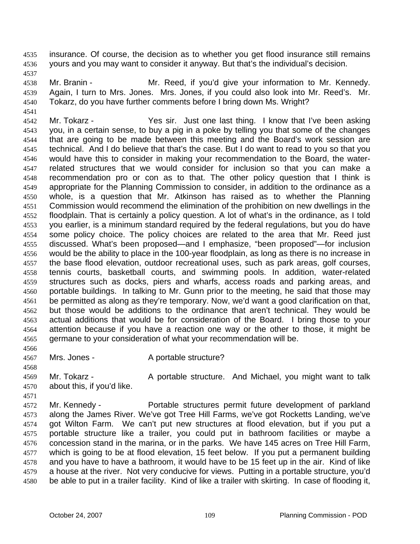insurance. Of course, the decision as to whether you get flood insurance still remains yours and you may want to consider it anyway. But that's the individual's decision. 4535 4536

4537

4541

4538 4539 4540 Mr. Branin - **Mr. Reed, if you'd give your information to Mr. Kennedy.** Again, I turn to Mrs. Jones. Mrs. Jones, if you could also look into Mr. Reed's. Mr. Tokarz, do you have further comments before I bring down Ms. Wright?

4542 4543 4544 4545 4546 4547 4548 4549 4550 4551 4552 4553 4554 4555 4556 4557 4558 4559 4560 4561 4562 4563 4564 4565 Mr. Tokarz - The Yes sir. Just one last thing. I know that I've been asking you, in a certain sense, to buy a pig in a poke by telling you that some of the changes that are going to be made between this meeting and the Board's work session are technical. And I do believe that that's the case. But I do want to read to you so that you would have this to consider in making your recommendation to the Board, the waterrelated structures that we would consider for inclusion so that you can make a recommendation pro or con as to that. The other policy question that I think is appropriate for the Planning Commission to consider, in addition to the ordinance as a whole, is a question that Mr. Atkinson has raised as to whether the Planning Commission would recommend the elimination of the prohibition on new dwellings in the floodplain. That is certainly a policy question. A lot of what's in the ordinance, as I told you earlier, is a minimum standard required by the federal regulations, but you do have some policy choice. The policy choices are related to the area that Mr. Reed just discussed. What's been proposed—and I emphasize, "been proposed"—for inclusion would be the ability to place in the 100-year floodplain, as long as there is no increase in the base flood elevation, outdoor recreational uses, such as park areas, golf courses, tennis courts, basketball courts, and swimming pools. In addition, water-related structures such as docks, piers and wharfs, access roads and parking areas, and portable buildings. In talking to Mr. Gunn prior to the meeting, he said that those may be permitted as along as they're temporary. Now, we'd want a good clarification on that, but those would be additions to the ordinance that aren't technical. They would be actual additions that would be for consideration of the Board. I bring those to your attention because if you have a reaction one way or the other to those, it might be germane to your consideration of what your recommendation will be.

4566

4568

4571

4567

- Mrs. Jones A portable structure?
- 4569 4570 Mr. Tokarz - A portable structure. And Michael, you might want to talk about this, if you'd like.

4572 4573 4574 4575 4576 4577 4578 4579 4580 Mr. Kennedy - Portable structures permit future development of parkland along the James River. We've got Tree Hill Farms, we've got Rocketts Landing, we've got Wilton Farm. We can't put new structures at flood elevation, but if you put a portable structure like a trailer, you could put in bathroom facilities or maybe a concession stand in the marina, or in the parks. We have 145 acres on Tree Hill Farm, which is going to be at flood elevation, 15 feet below. If you put a permanent building and you have to have a bathroom, it would have to be 15 feet up in the air. Kind of like a house at the river. Not very conducive for views. Putting in a portable structure, you'd be able to put in a trailer facility. Kind of like a trailer with skirting. In case of flooding it,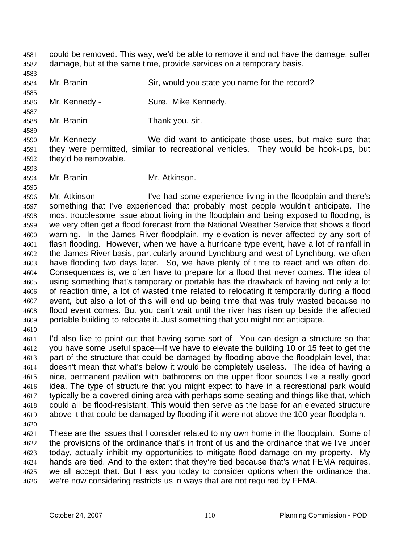could be removed. This way, we'd be able to remove it and not have the damage, suffer damage, but at the same time, provide services on a temporary basis. 4581 4582

4583

4585

4587

4589

4593

4595

4584 Mr. Branin - Sir, would you state you name for the record?

4586 Mr. Kennedy - Sure. Mike Kennedy.

4588 Mr. Branin - Thank you, sir.

4590 4591 4592 Mr. Kennedy - We did want to anticipate those uses, but make sure that they were permitted, similar to recreational vehicles. They would be hook-ups, but they'd be removable.

4594 Mr. Branin - Mr. Atkinson.

4596 4597 4598 4599 4600 4601 4602 4603 4604 4605 4606 4607 4608 4609 4610 Mr. Atkinson - I've had some experience living in the floodplain and there's something that I've experienced that probably most people wouldn't anticipate. The most troublesome issue about living in the floodplain and being exposed to flooding, is we very often get a flood forecast from the National Weather Service that shows a flood warning. In the James River floodplain, my elevation is never affected by any sort of flash flooding. However, when we have a hurricane type event, have a lot of rainfall in the James River basis, particularly around Lynchburg and west of Lynchburg, we often have flooding two days later. So, we have plenty of time to react and we often do. Consequences is, we often have to prepare for a flood that never comes. The idea of using something that's temporary or portable has the drawback of having not only a lot of reaction time, a lot of wasted time related to relocating it temporarily during a flood event, but also a lot of this will end up being time that was truly wasted because no flood event comes. But you can't wait until the river has risen up beside the affected portable building to relocate it. Just something that you might not anticipate.

4611 4612 4613 4614 4615 4616 4617 4618 4619 I'd also like to point out that having some sort of—You can design a structure so that you have some useful space—If we have to elevate the building 10 or 15 feet to get the part of the structure that could be damaged by flooding above the floodplain level, that doesn't mean that what's below it would be completely useless. The idea of having a nice, permanent pavilion with bathrooms on the upper floor sounds like a really good idea. The type of structure that you might expect to have in a recreational park would typically be a covered dining area with perhaps some seating and things like that, which could all be flood-resistant. This would then serve as the base for an elevated structure above it that could be damaged by flooding if it were not above the 100-year floodplain.

4620

4621 4622 4623 4624 4625 4626 These are the issues that I consider related to my own home in the floodplain. Some of the provisions of the ordinance that's in front of us and the ordinance that we live under today, actually inhibit my opportunities to mitigate flood damage on my property. My hands are tied. And to the extent that they're tied because that's what FEMA requires, we all accept that. But I ask you today to consider options when the ordinance that we're now considering restricts us in ways that are not required by FEMA.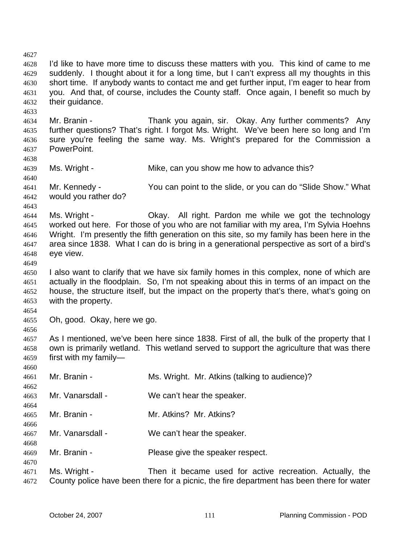4627 4628 4629 4630 4631 4632 4633 4634 4635 4636 4637 4638 4639 4640 4641 4642 4643 4644 4645 4646 4647 4648 4649 4650 4651 4652 4653 4654 4655 4656 4657 4658 4659 4660 4661 4662 4663 4664 4665 4666 4667 4668 4669 4670 4671 4672 I'd like to have more time to discuss these matters with you. This kind of came to me suddenly. I thought about it for a long time, but I can't express all my thoughts in this short time. If anybody wants to contact me and get further input, I'm eager to hear from you. And that, of course, includes the County staff. Once again, I benefit so much by their guidance. Mr. Branin - Thank you again, sir. Okay. Any further comments? Any further questions? That's right. I forgot Ms. Wright. We've been here so long and I'm sure you're feeling the same way. Ms. Wright's prepared for the Commission a PowerPoint. Ms. Wright - Mike, can you show me how to advance this? Mr. Kennedy - You can point to the slide, or you can do "Slide Show." What would you rather do? Ms. Wright - Ckay. All right. Pardon me while we got the technology worked out here. For those of you who are not familiar with my area, I'm Sylvia Hoehns Wright. I'm presently the fifth generation on this site, so my family has been here in the area since 1838. What I can do is bring in a generational perspective as sort of a bird's eye view. I also want to clarify that we have six family homes in this complex, none of which are actually in the floodplain. So, I'm not speaking about this in terms of an impact on the house, the structure itself, but the impact on the property that's there, what's going on with the property. Oh, good. Okay, here we go. As I mentioned, we've been here since 1838. First of all, the bulk of the property that I own is primarily wetland. This wetland served to support the agriculture that was there first with my family— Mr. Branin - The Ms. Wright. Mr. Atkins (talking to audience)? Mr. Vanarsdall - We can't hear the speaker. Mr. Branin - **Mr. Atkins?** Mr. Atkins? Mr. Vanarsdall - We can't hear the speaker. Mr. Branin - Please give the speaker respect. Ms. Wright - Then it became used for active recreation. Actually, the County police have been there for a picnic, the fire department has been there for water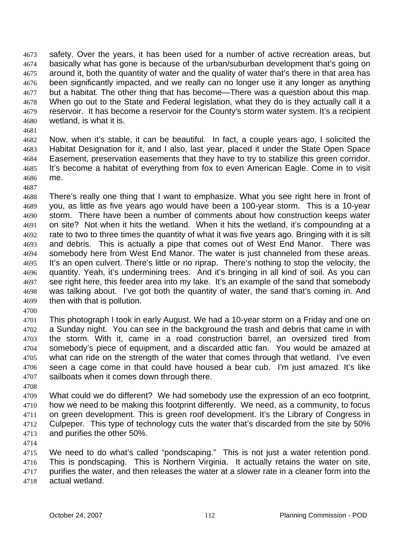safety. Over the years, it has been used for a number of active recreation areas, but basically what has gone is because of the urban/suburban development that's going on around it, both the quantity of water and the quality of water that's there in that area has been significantly impacted, and we really can no longer use it any longer as anything but a habitat. The other thing that has become—There was a question about this map. When go out to the State and Federal legislation, what they do is they actually call it a reservoir. It has become a reservoir for the County's storm water system. It's a recipient wetland, is what it is. 4673 4674 4675 4676 4677 4678 4679 4680

4681

4687

4682 4683 4684 4685 4686 Now, when it's stable, it can be beautiful. In fact, a couple years ago, I solicited the Habitat Designation for it, and I also, last year, placed it under the State Open Space Easement, preservation easements that they have to try to stabilize this green corridor. It's become a habitat of everything from fox to even American Eagle. Come in to visit me.

- 4688 4689 4690 4691 4692 4693 4694 4695 4696 4697 4698 4699 There's really one thing that I want to emphasize. What you see right here in front of you, as little as five years ago would have been a 100-year storm. This is a 10-year storm. There have been a number of comments about how construction keeps water on site? Not when it hits the wetland. When it hits the wetland, it's compounding at a rate to two to three times the quantity of what it was five years ago. Bringing with it is silt and debris. This is actually a pipe that comes out of West End Manor. There was somebody here from West End Manor. The water is just channeled from these areas. It's an open culvert. There's little or no riprap. There's nothing to stop the velocity, the quantity. Yeah, it's undermining trees. And it's bringing in all kind of soil. As you can see right here, this feeder area into my lake. It's an example of the sand that somebody was talking about. I've got both the quantity of water, the sand that's coming in. And then with that is pollution.
- 4700

4701 4702 4703 4704 4705 4706 4707 This photograph I took in early August. We had a 10-year storm on a Friday and one on a Sunday night. You can see in the background the trash and debris that came in with the storm. With it, came in a road construction barrel, an oversized tired from somebody's piece of equipment, and a discarded attic fan. You would be amazed at what can ride on the strength of the water that comes through that wetland. I've even seen a cage come in that could have housed a bear cub. I'm just amazed. It's like sailboats when it comes down through there.

4708

4709 4710 4711 4712 4713 What could we do different? We had somebody use the expression of an eco footprint, how we need to be making this footprint differently. We need, as a community, to focus on green development. This is green roof development. It's the Library of Congress in Culpeper. This type of technology cuts the water that's discarded from the site by 50% and purifies the other 50%.

4714

4715 4716 4717 4718 We need to do what's called "pondscaping." This is not just a water retention pond. This is pondscaping. This is Northern Virginia. It actually retains the water on site, purifies the water, and then releases the water at a slower rate in a cleaner form into the actual wetland.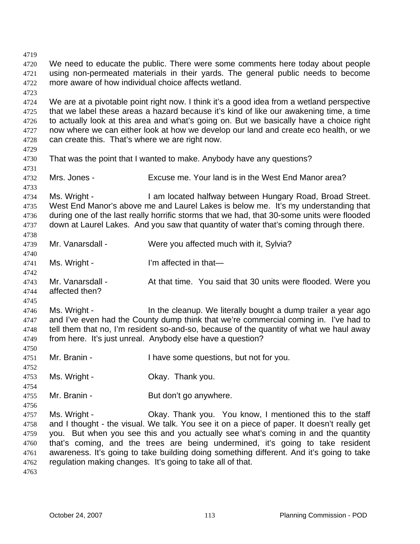4719 4720 4721 4722 4723 4724 4725 4726 4727 4728 4729 4730 4731 4732 4733 4734 4735 4736 4737 4738 4739 4740 4741 4742 4743 4744 4745 4746 4747 4748 4749 4750 4751 4752 4753 4754 4755 4756 4757 4758 4759 4760 4761 4762 4763 We need to educate the public. There were some comments here today about people using non-permeated materials in their yards. The general public needs to become more aware of how individual choice affects wetland. We are at a pivotable point right now. I think it's a good idea from a wetland perspective that we label these areas a hazard because it's kind of like our awakening time, a time to actually look at this area and what's going on. But we basically have a choice right now where we can either look at how we develop our land and create eco health, or we can create this. That's where we are right now. That was the point that I wanted to make. Anybody have any questions? Mrs. Jones - Excuse me. Your land is in the West End Manor area? Ms. Wright - I am located halfway between Hungary Road, Broad Street. West End Manor's above me and Laurel Lakes is below me. It's my understanding that during one of the last really horrific storms that we had, that 30-some units were flooded down at Laurel Lakes. And you saw that quantity of water that's coming through there. Mr. Vanarsdall - Were you affected much with it, Sylvia? Ms. Wright - I'm affected in that— Mr. Vanarsdall - At that time. You said that 30 units were flooded. Were you affected then? Ms. Wright - In the cleanup. We literally bought a dump trailer a year ago and I've even had the County dump think that we're commercial coming in. I've had to tell them that no, I'm resident so-and-so, because of the quantity of what we haul away from here. It's just unreal. Anybody else have a question? Mr. Branin - Thave some questions, but not for you. Ms. Wright - Ckay. Thank you. Mr. Branin - But don't go anywhere. Ms. Wright - Ckay. Thank you. You know, I mentioned this to the staff and I thought - the visual. We talk. You see it on a piece of paper. It doesn't really get you. But when you see this and you actually see what's coming in and the quantity that's coming, and the trees are being undermined, it's going to take resident awareness. It's going to take building doing something different. And it's going to take regulation making changes. It's going to take all of that.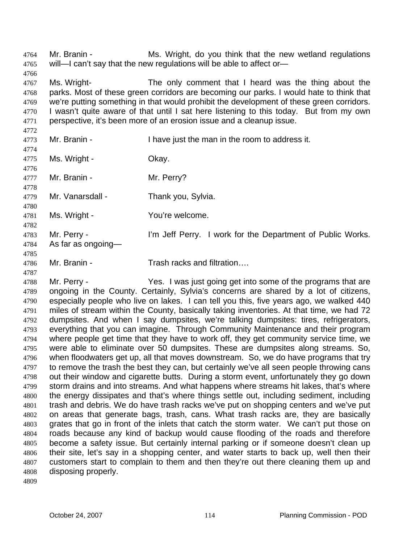Mr. Branin - Ms. Wright, do you think that the new wetland regulations will-I can't say that the new regulations will be able to affect or-4764 4765 4766 4767 4768 4769 4770 4771 4772 4773 4774 4775 4776 4777 4778 4779 4780 4781 4782 4783 4784 4785 4786 Ms. Wright- The only comment that I heard was the thing about the parks. Most of these green corridors are becoming our parks. I would hate to think that we're putting something in that would prohibit the development of these green corridors. I wasn't quite aware of that until I sat here listening to this today. But from my own perspective, it's been more of an erosion issue and a cleanup issue. Mr. Branin - Thave just the man in the room to address it. Ms. Wright - Chay. Mr. Branin - Mr. Perry? Mr. Vanarsdall - Thank you, Sylvia. Ms. Wright - You're welcome. Mr. Perry - I'm Jeff Perry. I work for the Department of Public Works. As far as ongoing— Mr. Branin - Trash racks and filtration....

4788 4789 4790 4791 4792 4793 4794 4795 4796 4797 4798 4799 4800 4801 4802 4803 4804 4805 4806 4807 4808 Mr. Perry - The Yes. I was just going get into some of the programs that are ongoing in the County. Certainly, Sylvia's concerns are shared by a lot of citizens, especially people who live on lakes. I can tell you this, five years ago, we walked 440 miles of stream within the County, basically taking inventories. At that time, we had 72 dumpsites. And when I say dumpsites, we're talking dumpsites: tires, refrigerators, everything that you can imagine. Through Community Maintenance and their program where people get time that they have to work off, they get community service time, we were able to eliminate over 50 dumpsites. These are dumpsites along streams. So, when floodwaters get up, all that moves downstream. So, we do have programs that try to remove the trash the best they can, but certainly we've all seen people throwing cans out their window and cigarette butts. During a storm event, unfortunately they go down storm drains and into streams. And what happens where streams hit lakes, that's where the energy dissipates and that's where things settle out, including sediment, including trash and debris. We do have trash racks we've put on shopping centers and we've put on areas that generate bags, trash, cans. What trash racks are, they are basically grates that go in front of the inlets that catch the storm water. We can't put those on roads because any kind of backup would cause flooding of the roads and therefore become a safety issue. But certainly internal parking or if someone doesn't clean up their site, let's say in a shopping center, and water starts to back up, well then their customers start to complain to them and then they're out there cleaning them up and disposing properly.

4809

4787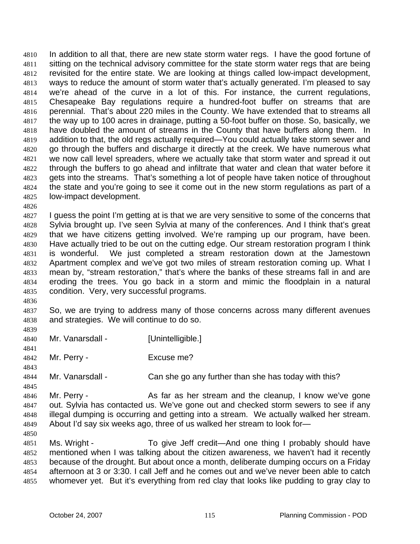In addition to all that, there are new state storm water regs. I have the good fortune of sitting on the technical advisory committee for the state storm water regs that are being revisited for the entire state. We are looking at things called low-impact development, ways to reduce the amount of storm water that's actually generated. I'm pleased to say we're ahead of the curve in a lot of this. For instance, the current regulations, Chesapeake Bay regulations require a hundred-foot buffer on streams that are perennial. That's about 220 miles in the County. We have extended that to streams all the way up to 100 acres in drainage, putting a 50-foot buffer on those. So, basically, we have doubled the amount of streams in the County that have buffers along them. In addition to that, the old regs actually required—You could actually take storm sewer and go through the buffers and discharge it directly at the creek. We have numerous what we now call level spreaders, where we actually take that storm water and spread it out through the buffers to go ahead and infiltrate that water and clean that water before it gets into the streams. That's something a lot of people have taken notice of throughout the state and you're going to see it come out in the new storm regulations as part of a low-impact development. 4810 4811 4812 4813 4814 4815 4816 4817 4818 4819 4820 4821 4822 4823 4824 4825

4826

4827 4828 4829 4830 4831 4832 4833 4834 4835 I guess the point I'm getting at is that we are very sensitive to some of the concerns that Sylvia brought up. I've seen Sylvia at many of the conferences. And I think that's great that we have citizens getting involved. We're ramping up our program, have been. Have actually tried to be out on the cutting edge. Our stream restoration program I think is wonderful. We just completed a stream restoration down at the Jamestown Apartment complex and we've got two miles of stream restoration coming up. What I mean by, "stream restoration," that's where the banks of these streams fall in and are eroding the trees. You go back in a storm and mimic the floodplain in a natural condition. Very, very successful programs.

4836

4841

4843

4845

4850

4837 4838 4839 So, we are trying to address many of those concerns across many different avenues and strategies. We will continue to do so.

- 4840 Mr. Vanarsdall - [Unintelligible.]
- 4842 Mr. Perry - Excuse me?
- 4844 Mr. Vanarsdall - Can she go any further than she has today with this?

4846 4847 4848 4849 Mr. Perry - As far as her stream and the cleanup, I know we've gone out. Sylvia has contacted us. We've gone out and checked storm sewers to see if any illegal dumping is occurring and getting into a stream. We actually walked her stream. About I'd say six weeks ago, three of us walked her stream to look for—

4851 4852 4853 4854 4855 Ms. Wright - To give Jeff credit—And one thing I probably should have mentioned when I was talking about the citizen awareness, we haven't had it recently because of the drought. But about once a month, deliberate dumping occurs on a Friday afternoon at 3 or 3:30. I call Jeff and he comes out and we've never been able to catch whomever yet. But it's everything from red clay that looks like pudding to gray clay to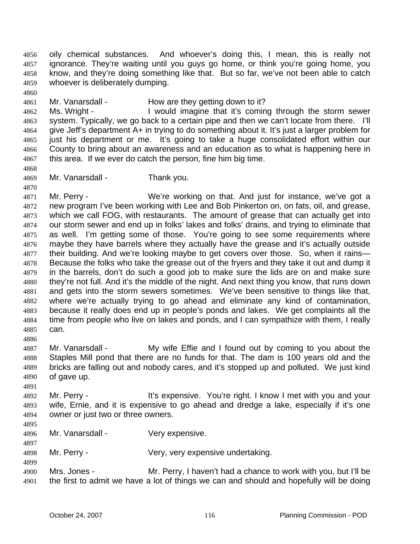oily chemical substances. And whoever's doing this, I mean, this is really not ignorance. They're waiting until you guys go home, or think you're going home, you know, and they're doing something like that. But so far, we've not been able to catch whoever is deliberately dumping. 4856 4857 4858 4859

4860

4868

4870

4861 Mr. Vanarsdall - How are they getting down to it?

4862 4863 4864 4865 4866 4867 Ms. Wright - The U would imagine that it's coming through the storm sewer system. Typically, we go back to a certain pipe and then we can't locate from there. I'll give Jeff's department A+ in trying to do something about it. It's just a larger problem for just his department or me. It's going to take a huge consolidated effort within our County to bring about an awareness and an education as to what is happening here in this area. If we ever do catch the person, fine him big time.

4869 Mr. Vanarsdall - Thank you.

4871 4872 4873 4874 4875 4876 4877 4878 4879 4880 4881 4882 4883 4884 4885 Mr. Perry - We're working on that. And just for instance, we've got a new program I've been working with Lee and Bob Pinkerton on, on fats, oil, and grease, which we call FOG, with restaurants. The amount of grease that can actually get into our storm sewer and end up in folks' lakes and folks' drains, and trying to eliminate that as well. I'm getting some of those. You're going to see some requirements where maybe they have barrels where they actually have the grease and it's actually outside their building. And we're looking maybe to get covers over those. So, when it rains— Because the folks who take the grease out of the fryers and they take it out and dump it in the barrels, don't do such a good job to make sure the lids are on and make sure they're not full. And it's the middle of the night. And next thing you know, that runs down and gets into the storm sewers sometimes. We've been sensitive to things like that, where we're actually trying to go ahead and eliminate any kind of contamination, because it really does end up in people's ponds and lakes. We get complaints all the time from people who live on lakes and ponds, and I can sympathize with them, I really can.

- 4887 4888 4889 4890 Mr. Vanarsdall - My wife Effie and I found out by coming to you about the Staples Mill pond that there are no funds for that. The dam is 100 years old and the bricks are falling out and nobody cares, and it's stopped up and polluted. We just kind of gave up.
- 4892 4893 4894 Mr. Perry - It's expensive. You're right. I know I met with you and your wife, Ernie, and it is expensive to go ahead and dredge a lake, especially if it's one owner or just two or three owners.
- 4895

4899

4891

4886

- 4896 4897 Mr. Vanarsdall - Very expensive.
- 4898 Mr. Perry - Very, very expensive undertaking.
- 4900 4901 Mrs. Jones - Mr. Perry, I haven't had a chance to work with you, but I'll be the first to admit we have a lot of things we can and should and hopefully will be doing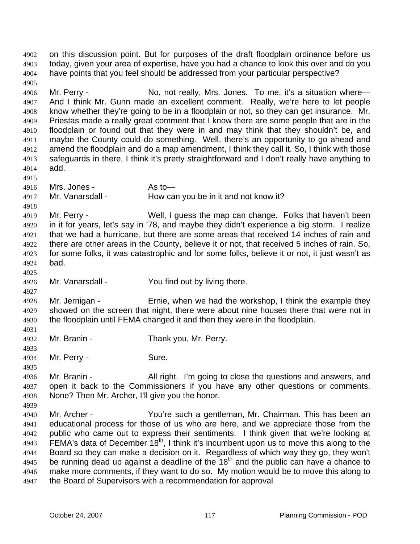on this discussion point. But for purposes of the draft floodplain ordinance before us today, given your area of expertise, have you had a chance to look this over and do you have points that you feel should be addressed from your particular perspective? 4902 4903 4904 4905 4906 4907 4908 4909 4910 4911 4912 4913 4914 4915 4916 4917 4918 4919 4920 4921 4922 4923 4924 4925 4926 4927 4928 4929 4930 4931 4932 4933 4934 4935 4936 4937 4938 4939 4940 4941 4942 4943 4944 4945 4946 4947 Mr. Perry - No, not really, Mrs. Jones. To me, it's a situation where-And I think Mr. Gunn made an excellent comment. Really, we're here to let people know whether they're going to be in a floodplain or not, so they can get insurance. Mr. Priestas made a really great comment that I know there are some people that are in the floodplain or found out that they were in and may think that they shouldn't be, and maybe the County could do something. Well, there's an opportunity to go ahead and amend the floodplain and do a map amendment, I think they call it. So, I think with those safeguards in there, I think it's pretty straightforward and I don't really have anything to add. Mrs. Jones - As to — Mr. Vanarsdall - How can you be in it and not know it? Mr. Perry - Well, I guess the map can change. Folks that haven't been in it for years, let's say in '78, and maybe they didn't experience a big storm. I realize that we had a hurricane, but there are some areas that received 14 inches of rain and there are other areas in the County, believe it or not, that received 5 inches of rain. So, for some folks, it was catastrophic and for some folks, believe it or not, it just wasn't as bad. Mr. Vanarsdall - You find out by living there. Mr. Jernigan - Ernie, when we had the workshop, I think the example they showed on the screen that night, there were about nine houses there that were not in the floodplain until FEMA changed it and then they were in the floodplain. Mr. Branin - Thank you, Mr. Perry. Mr. Perry - Sure. Mr. Branin - All right. I'm going to close the questions and answers, and open it back to the Commissioners if you have any other questions or comments. None? Then Mr. Archer, I'll give you the honor. Mr. Archer - You're such a gentleman, Mr. Chairman. This has been an educational process for those of us who are here, and we appreciate those from the public who came out to express their sentiments. I think given that we're looking at FEMA's data of December  $18<sup>th</sup>$ , I think it's incumbent upon us to move this along to the Board so they can make a decision on it. Regardless of which way they go, they won't be running dead up against a deadline of the  $18<sup>th</sup>$  and the public can have a chance to make more comments, if they want to do so. My motion would be to move this along to the Board of Supervisors with a recommendation for approval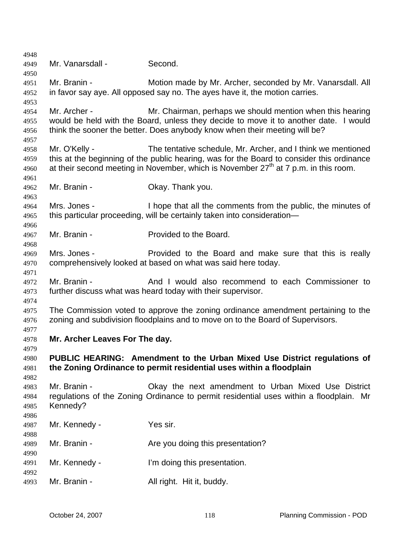Mr. Vanarsdall - Second. Mr. Branin - **Motion made by Mr. Archer, seconded by Mr. Vanarsdall. All** in favor say aye. All opposed say no. The ayes have it, the motion carries. Mr. Archer - Mr. Chairman, perhaps we should mention when this hearing would be held with the Board, unless they decide to move it to another date. I would think the sooner the better. Does anybody know when their meeting will be? Mr. O'Kelly - The tentative schedule, Mr. Archer, and I think we mentioned this at the beginning of the public hearing, was for the Board to consider this ordinance at their second meeting in November, which is November  $27<sup>th</sup>$  at 7 p.m. in this room. Mr. Branin - Ckay. Thank you. Mrs. Jones - I hope that all the comments from the public, the minutes of this particular proceeding, will be certainly taken into consideration— Mr. Branin - Provided to the Board. Mrs. Jones - **Provided to the Board and make sure that this is really** comprehensively looked at based on what was said here today. Mr. Branin - The And I would also recommend to each Commissioner to further discuss what was heard today with their supervisor. The Commission voted to approve the zoning ordinance amendment pertaining to the zoning and subdivision floodplains and to move on to the Board of Supervisors. **Mr. Archer Leaves For The day. PUBLIC HEARING: Amendment to the Urban Mixed Use District regulations of the Zoning Ordinance to permit residential uses within a floodplain**  Mr. Branin - Okay the next amendment to Urban Mixed Use District regulations of the Zoning Ordinance to permit residential uses within a floodplain. Mr Kennedy? Mr. Kennedy - Yes sir. Mr. Branin - The Are you doing this presentation? Mr. Kennedy - I'm doing this presentation. Mr. Branin - **All right.** Hit it, buddy.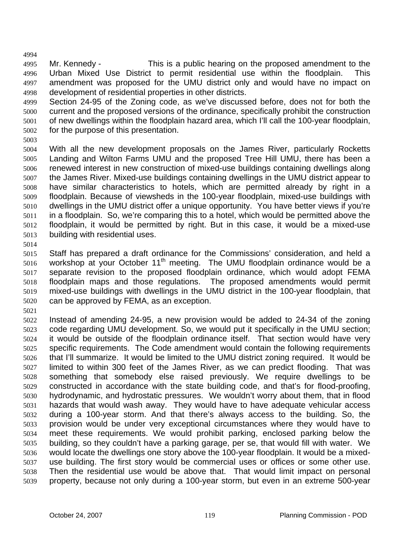4994 4995 4996 4997 4998 Mr. Kennedy - This is a public hearing on the proposed amendment to the Urban Mixed Use District to permit residential use within the floodplain. This amendment was proposed for the UMU district only and would have no impact on development of residential properties in other districts.

4999 5000 5001 5002 Section 24-95 of the Zoning code, as we've discussed before, does not for both the current and the proposed versions of the ordinance, specifically prohibit the construction of new dwellings within the floodplain hazard area, which I'll call the 100-year floodplain, for the purpose of this presentation.

5003

5004 5005 5006 5007 5008 5009 5010 5011 5012 5013 With all the new development proposals on the James River, particularly Rocketts Landing and Wilton Farms UMU and the proposed Tree Hill UMU, there has been a renewed interest in new construction of mixed-use buildings containing dwellings along the James River. Mixed-use buildings containing dwellings in the UMU district appear to have similar characteristics to hotels, which are permitted already by right in a floodplain. Because of viewsheds in the 100-year floodplain, mixed-use buildings with dwellings in the UMU district offer a unique opportunity. You have better views if you're in a floodplain. So, we're comparing this to a hotel, which would be permitted above the floodplain, it would be permitted by right. But in this case, it would be a mixed-use building with residential uses.

5014

5015 5016 5017 5018 5019 5020 Staff has prepared a draft ordinance for the Commissions' consideration, and held a workshop at your October  $11<sup>th</sup>$  meeting. The UMU floodplain ordinance would be a separate revision to the proposed floodplain ordinance, which would adopt FEMA floodplain maps and those regulations. The proposed amendments would permit mixed-use buildings with dwellings in the UMU district in the 100-year floodplain, that can be approved by FEMA, as an exception.

5021

5022 5023 5024 5025 5026 5027 5028 5029 5030 5031 5032 5033 5034 5035 5036 5037 5038 5039 Instead of amending 24-95, a new provision would be added to 24-34 of the zoning code regarding UMU development. So, we would put it specifically in the UMU section; it would be outside of the floodplain ordinance itself. That section would have very specific requirements. The Code amendment would contain the following requirements that I'll summarize. It would be limited to the UMU district zoning required. It would be limited to within 300 feet of the James River, as we can predict flooding. That was something that somebody else raised previously. We require dwellings to be constructed in accordance with the state building code, and that's for flood-proofing, hydrodynamic, and hydrostatic pressures. We wouldn't worry about them, that in flood hazards that would wash away. They would have to have adequate vehicular access during a 100-year storm. And that there's always access to the building. So, the provision would be under very exceptional circumstances where they would have to meet these requirements. We would prohibit parking, enclosed parking below the building, so they couldn't have a parking garage, per se, that would fill with water. We would locate the dwellings one story above the 100-year floodplain. It would be a mixeduse building. The first story would be commercial uses or offices or some other use. Then the residential use would be above that. That would limit impact on personal property, because not only during a 100-year storm, but even in an extreme 500-year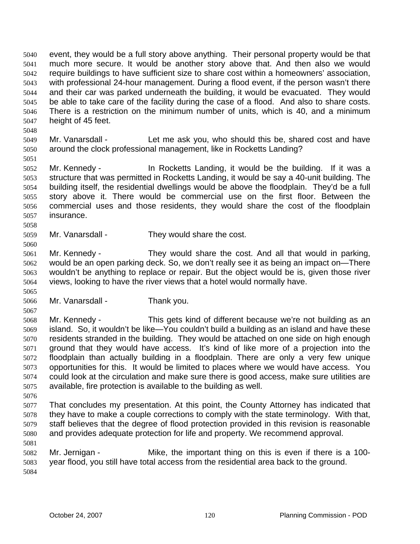event, they would be a full story above anything. Their personal property would be that much more secure. It would be another story above that. And then also we would require buildings to have sufficient size to share cost within a homeowners' association, with professional 24-hour management. During a flood event, if the person wasn't there and their car was parked underneath the building, it would be evacuated. They would be able to take care of the facility during the case of a flood. And also to share costs. There is a restriction on the minimum number of units, which is 40, and a minimum height of 45 feet. 5040 5041 5042 5043 5044 5045 5046 5047

5049 5050 Mr. Vanarsdall - Let me ask you, who should this be, shared cost and have around the clock professional management, like in Rocketts Landing?

5052 5053 5054 5055 5056 5057 Mr. Kennedy - In Rocketts Landing, it would be the building. If it was a structure that was permitted in Rocketts Landing, it would be say a 40-unit building. The building itself, the residential dwellings would be above the floodplain. They'd be a full story above it. There would be commercial use on the first floor. Between the commercial uses and those residents, they would share the cost of the floodplain insurance.

- 5059 Mr. Vanarsdall - They would share the cost.
- 5061 5062 5063 5064 Mr. Kennedy - They would share the cost. And all that would in parking, would be an open parking deck. So, we don't really see it as being an impact on—There wouldn't be anything to replace or repair. But the object would be is, given those river views, looking to have the river views that a hotel would normally have.
- 5065

5048

5051

5058

5060

5066 Mr. Vanarsdall - Thank you.

5067

5068 5069 5070 5071 5072 5073 5074 5075 Mr. Kennedy - This gets kind of different because we're not building as an island. So, it wouldn't be like—You couldn't build a building as an island and have these residents stranded in the building. They would be attached on one side on high enough ground that they would have access. It's kind of like more of a projection into the floodplain than actually building in a floodplain. There are only a very few unique opportunities for this. It would be limited to places where we would have access. You could look at the circulation and make sure there is good access, make sure utilities are available, fire protection is available to the building as well.

5076

5077 5078 5079 5080 5081 That concludes my presentation. At this point, the County Attorney has indicated that they have to make a couple corrections to comply with the state terminology. With that, staff believes that the degree of flood protection provided in this revision is reasonable and provides adequate protection for life and property. We recommend approval.

5082 5083 5084 Mr. Jernigan - Mike, the important thing on this is even if there is a 100 year flood, you still have total access from the residential area back to the ground.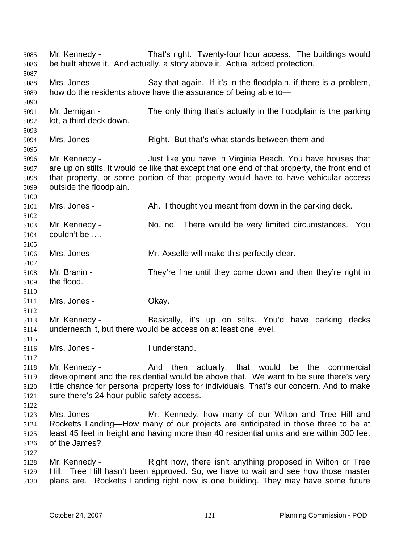Mr. Kennedy - That's right. Twenty-four hour access. The buildings would be built above it. And actually, a story above it. Actual added protection. 5085 5086 5087 5088 5089 5090 5091 5092 5093 5094 5095 5096 5097 5098 5099 5100 5101 5102 5103 5104 5105 5106 5107 5108 5109 5110 5111 5112 5113 5114 5115 5116 5117 5118 5119 5120 5121 5122 5123 5124 5125 5126 5127 5128 5129 5130 Mrs. Jones - Say that again. If it's in the floodplain, if there is a problem, how do the residents above have the assurance of being able to— Mr. Jernigan - The only thing that's actually in the floodplain is the parking lot, a third deck down. Mrs. Jones - Right. But that's what stands between them and— Mr. Kennedy - Just like you have in Virginia Beach. You have houses that are up on stilts. It would be like that except that one end of that property, the front end of that property, or some portion of that property would have to have vehicular access outside the floodplain. Mrs. Jones - Ah. I thought you meant from down in the parking deck. Mr. Kennedy - No, no. There would be very limited circumstances. You couldn't be …. Mrs. Jones - The Mr. Axselle will make this perfectly clear. Mr. Branin - They're fine until they come down and then they're right in the flood. Mrs. Jones - Chay. Mr. Kennedy - Basically, it's up on stilts. You'd have parking decks underneath it, but there would be access on at least one level. Mrs. Jones - Tunderstand. Mr. Kennedy - The And then actually, that would be the commercial development and the residential would be above that. We want to be sure there's very little chance for personal property loss for individuals. That's our concern. And to make sure there's 24-hour public safety access. Mrs. Jones - Mr. Kennedy, how many of our Wilton and Tree Hill and Rocketts Landing—How many of our projects are anticipated in those three to be at least 45 feet in height and having more than 40 residential units and are within 300 feet of the James? Mr. Kennedy - Right now, there isn't anything proposed in Wilton or Tree Hill. Tree Hill hasn't been approved. So, we have to wait and see how those master plans are. Rocketts Landing right now is one building. They may have some future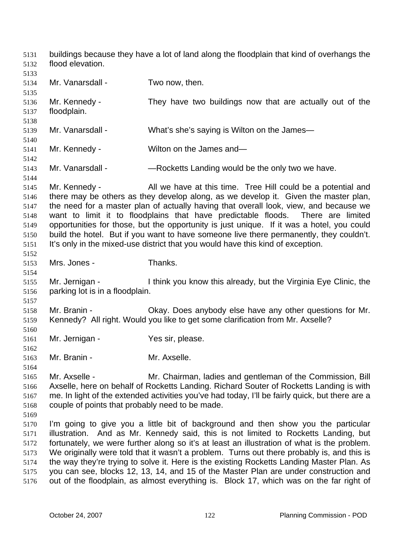buildings because they have a lot of land along the floodplain that kind of overhangs the flood elevation. 5131 5132

5133 5134 5135 5136 5137 5138 5139 5140 5141 5142 5143 5144 5145 5146 5147 5148 5149 5150 5151 5152 5153 5154 5155 5156 5157 5158 5159 5160 5161 5162 5163 5164 5165 5166 5167 5168 5169 5170 5171 5172 5173 5174 5175 5176 Mr. Vanarsdall - Two now, then. Mr. Kennedy - They have two buildings now that are actually out of the floodplain. Mr. Vanarsdall - What's she's saying is Wilton on the James— Mr. Kennedy - Wilton on the James and— Mr. Vanarsdall - — — — Rocketts Landing would be the only two we have. Mr. Kennedy - All we have at this time. Tree Hill could be a potential and there may be others as they develop along, as we develop it. Given the master plan, the need for a master plan of actually having that overall look, view, and because we want to limit it to floodplains that have predictable floods. There are limited opportunities for those, but the opportunity is just unique. If it was a hotel, you could build the hotel. But if you want to have someone live there permanently, they couldn't. It's only in the mixed-use district that you would have this kind of exception. Mrs. Jones - Thanks. Mr. Jernigan - I think you know this already, but the Virginia Eye Clinic, the parking lot is in a floodplain. Mr. Branin - Ckay. Does anybody else have any other questions for Mr. Kennedy? All right. Would you like to get some clarification from Mr. Axselle? Mr. Jernigan - Yes sir, please. Mr. Branin - Mr. Axselle. Mr. Axselle - Mr. Chairman, ladies and gentleman of the Commission, Bill Axselle, here on behalf of Rocketts Landing. Richard Souter of Rocketts Landing is with me. In light of the extended activities you've had today, I'll be fairly quick, but there are a couple of points that probably need to be made. I'm going to give you a little bit of background and then show you the particular illustration. And as Mr. Kennedy said, this is not limited to Rocketts Landing, but fortunately, we were further along so it's at least an illustration of what is the problem. We originally were told that it wasn't a problem. Turns out there probably is, and this is the way they're trying to solve it. Here is the existing Rocketts Landing Master Plan. As you can see, blocks 12, 13, 14, and 15 of the Master Plan are under construction and out of the floodplain, as almost everything is. Block 17, which was on the far right of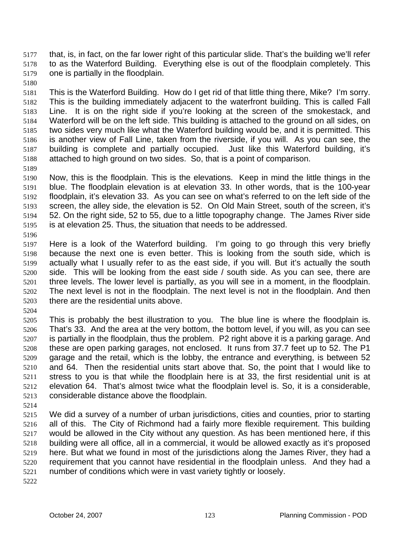that, is, in fact, on the far lower right of this particular slide. That's the building we'll refer to as the Waterford Building. Everything else is out of the floodplain completely. This one is partially in the floodplain. 5177 5178 5179

5180

5181 5182 5183 5184 5185 5186 5187 5188 This is the Waterford Building. How do I get rid of that little thing there, Mike? I'm sorry. This is the building immediately adjacent to the waterfront building. This is called Fall Line. It is on the right side if you're looking at the screen of the smokestack, and Waterford will be on the left side. This building is attached to the ground on all sides, on two sides very much like what the Waterford building would be, and it is permitted. This is another view of Fall Line, taken from the riverside, if you will. As you can see, the building is complete and partially occupied. Just like this Waterford building, it's attached to high ground on two sides. So, that is a point of comparison.

5189

5190 5191 5192 5193 5194 5195 Now, this is the floodplain. This is the elevations. Keep in mind the little things in the blue. The floodplain elevation is at elevation 33. In other words, that is the 100-year floodplain, it's elevation 33. As you can see on what's referred to on the left side of the screen, the alley side, the elevation is 52. On Old Main Street, south of the screen, it's 52. On the right side, 52 to 55, due to a little topography change. The James River side is at elevation 25. Thus, the situation that needs to be addressed.

5196

5197 5198 5199 5200 5201 5202 5203 Here is a look of the Waterford building. I'm going to go through this very briefly because the next one is even better. This is looking from the south side, which is actually what I usually refer to as the east side, if you will. But it's actually the south side. This will be looking from the east side / south side. As you can see, there are three levels. The lower level is partially, as you will see in a moment, in the floodplain. The next level is not in the floodplain. The next level is not in the floodplain. And then there are the residential units above.

5204

5205 5206 5207 5208 5209 5210 5211 5212 5213 This is probably the best illustration to you. The blue line is where the floodplain is. That's 33. And the area at the very bottom, the bottom level, if you will, as you can see is partially in the floodplain, thus the problem. P2 right above it is a parking garage. And these are open parking garages, not enclosed. It runs from 37.7 feet up to 52. The P1 garage and the retail, which is the lobby, the entrance and everything, is between 52 and 64. Then the residential units start above that. So, the point that I would like to stress to you is that while the floodplain here is at 33, the first residential unit is at elevation 64. That's almost twice what the floodplain level is. So, it is a considerable, considerable distance above the floodplain.

5214

5215 5216 5217 5218 5219 5220 5221 We did a survey of a number of urban jurisdictions, cities and counties, prior to starting all of this. The City of Richmond had a fairly more flexible requirement. This building would be allowed in the City without any question. As has been mentioned here, if this building were all office, all in a commercial, it would be allowed exactly as it's proposed here. But what we found in most of the jurisdictions along the James River, they had a requirement that you cannot have residential in the floodplain unless. And they had a number of conditions which were in vast variety tightly or loosely.

5222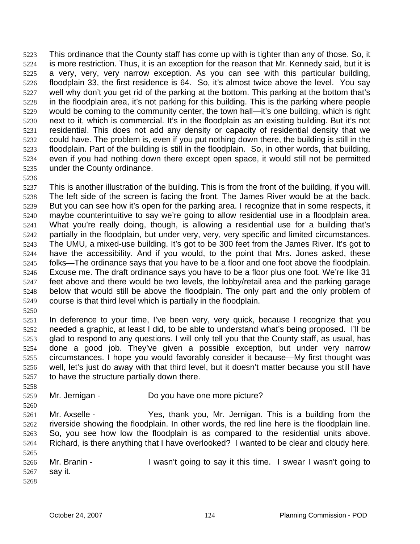This ordinance that the County staff has come up with is tighter than any of those. So, it is more restriction. Thus, it is an exception for the reason that Mr. Kennedy said, but it is a very, very, very narrow exception. As you can see with this particular building, floodplain 33, the first residence is 64. So, it's almost twice above the level. You say well why don't you get rid of the parking at the bottom. This parking at the bottom that's in the floodplain area, it's not parking for this building. This is the parking where people would be coming to the community center, the town hall—it's one building, which is right next to it, which is commercial. It's in the floodplain as an existing building. But it's not residential. This does not add any density or capacity of residential density that we could have. The problem is, even if you put nothing down there, the building is still in the floodplain. Part of the building is still in the floodplain. So, in other words, that building, even if you had nothing down there except open space, it would still not be permitted under the County ordinance. 5223 5224 5225 5226 5227 5228 5229 5230 5231 5232 5233 5234 5235

5236

5237 5238 5239 5240 5241 5242 5243 5244 5245 5246 5247 5248 5249 This is another illustration of the building. This is from the front of the building, if you will. The left side of the screen is facing the front. The James River would be at the back. But you can see how it's open for the parking area. I recognize that in some respects, it maybe counterintuitive to say we're going to allow residential use in a floodplain area. What you're really doing, though, is allowing a residential use for a building that's partially in the floodplain, but under very, very, very specific and limited circumstances. The UMU, a mixed-use building. It's got to be 300 feet from the James River. It's got to have the accessibility. And if you would, to the point that Mrs. Jones asked, these folks—The ordinance says that you have to be a floor and one foot above the floodplain. Excuse me. The draft ordinance says you have to be a floor plus one foot. We're like 31 feet above and there would be two levels, the lobby/retail area and the parking garage below that would still be above the floodplain. The only part and the only problem of course is that third level which is partially in the floodplain.

5250

5258

5260

5251 5252 5253 5254 5255 5256 5257 In deference to your time, I've been very, very quick, because I recognize that you needed a graphic, at least I did, to be able to understand what's being proposed. I'll be glad to respond to any questions. I will only tell you that the County staff, as usual, has done a good job. They've given a possible exception, but under very narrow circumstances. I hope you would favorably consider it because—My first thought was well, let's just do away with that third level, but it doesn't matter because you still have to have the structure partially down there.

5259 Mr. Jernigan - Do you have one more picture?

5261 5262 5263 5264 5265 Mr. Axselle - Yes, thank you, Mr. Jernigan. This is a building from the riverside showing the floodplain. In other words, the red line here is the floodplain line. So, you see how low the floodplain is as compared to the residential units above. Richard, is there anything that I have overlooked? I wanted to be clear and cloudy here.

5266 5267 5268 Mr. Branin - I wasn't going to say it this time. I swear I wasn't going to say it.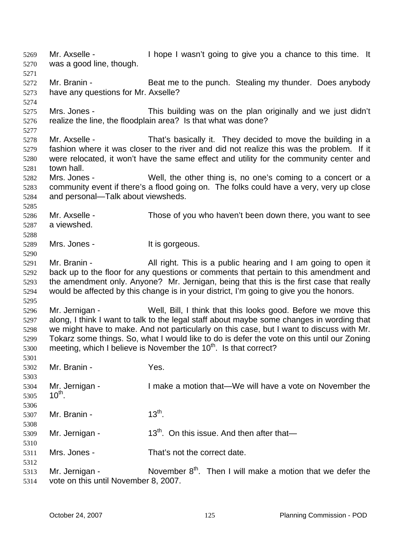Mr. Axselle - Thope I wasn't going to give you a chance to this time. It was a good line, though. 5269 5270 5271 5272 5273 5274 5275 5276 5277 5278 5279 5280 5281 5282 5283 5284 5285 5286 5287 5288 5289 5290 5291 5292 5293 5294 5295 5296 5297 5298 5299 5300 5301 5302 5303 5304 5305 5306 5307 5308 5309 5310 5311 5312 5313 5314 Mr. Branin - Beat me to the punch. Stealing my thunder. Does anybody have any questions for Mr. Axselle? Mrs. Jones - This building was on the plan originally and we just didn't realize the line, the floodplain area? Is that what was done? Mr. Axselle - That's basically it. They decided to move the building in a fashion where it was closer to the river and did not realize this was the problem. If it were relocated, it won't have the same effect and utility for the community center and town hall. Mrs. Jones - Well, the other thing is, no one's coming to a concert or a community event if there's a flood going on. The folks could have a very, very up close and personal—Talk about viewsheds. Mr. Axselle - Those of you who haven't been down there, you want to see a viewshed. Mrs. Jones - The Mrs. School of the Second Mrs. Jones -Mr. Branin - All right. This is a public hearing and I am going to open it back up to the floor for any questions or comments that pertain to this amendment and the amendment only. Anyone? Mr. Jernigan, being that this is the first case that really would be affected by this change is in your district, I'm going to give you the honors. Mr. Jernigan - Well, Bill, I think that this looks good. Before we move this along, I think I want to talk to the legal staff about maybe some changes in wording that we might have to make. And not particularly on this case, but I want to discuss with Mr. Tokarz some things. So, what I would like to do is defer the vote on this until our Zoning meeting, which I believe is November the  $10<sup>th</sup>$ . Is that correct? Mr. Branin - Yes. Mr. Jernigan - I make a motion that—We will have a vote on November the  $10^{th}$ . Mr. Branin -  $13^{th}$ . Mr. Jernigan -  $13<sup>th</sup>$ . On this issue. And then after that— Mrs. Jones - That's not the correct date. Mr. Jernigan - November  $8<sup>th</sup>$ . Then I will make a motion that we defer the vote on this until November 8, 2007.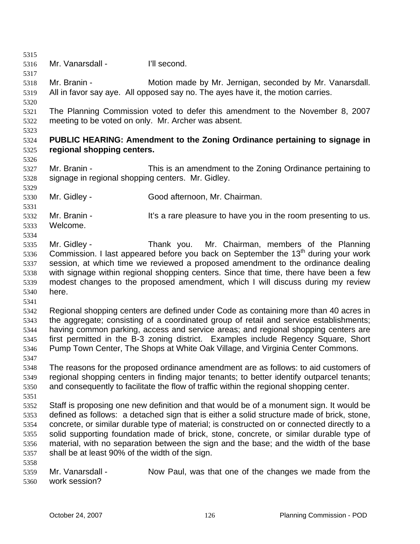5315 5316 5317 5318 5319 5320 5321 5322 5323 5324 5325 5326 5327 5328 5329 5330 5331 5332 5333 5334 5335 5336 5337 5338 5339 5340 5341 5342 5343 5344 5345 5346 5347 5348 5349 5350 5351 5352 5353 5354 5355 5356 5357 5358 5359 5360 Mr. Vanarsdall - I'll second. Mr. Branin - Motion made by Mr. Jernigan, seconded by Mr. Vanarsdall. All in favor say aye. All opposed say no. The ayes have it, the motion carries. The Planning Commission voted to defer this amendment to the November 8, 2007 meeting to be voted on only. Mr. Archer was absent. **PUBLIC HEARING: Amendment to the Zoning Ordinance pertaining to signage in regional shopping centers.**  Mr. Branin - This is an amendment to the Zoning Ordinance pertaining to signage in regional shopping centers. Mr. Gidley. Mr. Gidley - Good afternoon, Mr. Chairman. Mr. Branin - The same pleasure to have you in the room presenting to us. Welcome. Mr. Gidley - Thank you. Mr. Chairman, members of the Planning Commission. I last appeared before you back on September the  $13<sup>th</sup>$  during your work session, at which time we reviewed a proposed amendment to the ordinance dealing with signage within regional shopping centers. Since that time, there have been a few modest changes to the proposed amendment, which I will discuss during my review here. Regional shopping centers are defined under Code as containing more than 40 acres in the aggregate; consisting of a coordinated group of retail and service establishments; having common parking, access and service areas; and regional shopping centers are first permitted in the B-3 zoning district. Examples include Regency Square, Short Pump Town Center, The Shops at White Oak Village, and Virginia Center Commons. The reasons for the proposed ordinance amendment are as follows: to aid customers of regional shopping centers in finding major tenants; to better identify outparcel tenants; and consequently to facilitate the flow of traffic within the regional shopping center. Staff is proposing one new definition and that would be of a monument sign. It would be defined as follows: a detached sign that is either a solid structure made of brick, stone, concrete, or similar durable type of material; is constructed on or connected directly to a solid supporting foundation made of brick, stone, concrete, or similar durable type of material, with no separation between the sign and the base; and the width of the base shall be at least 90% of the width of the sign. Mr. Vanarsdall - Now Paul, was that one of the changes we made from the work session?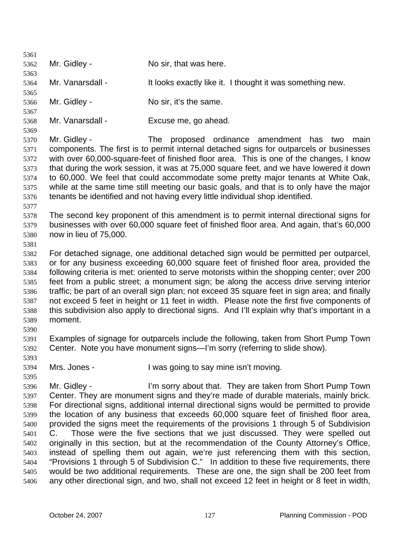| 5361         |                                                                                                                                                                                    |                                                                                               |  |
|--------------|------------------------------------------------------------------------------------------------------------------------------------------------------------------------------------|-----------------------------------------------------------------------------------------------|--|
| 5362         | Mr. Gidley -                                                                                                                                                                       | No sir, that was here.                                                                        |  |
| 5363         |                                                                                                                                                                                    |                                                                                               |  |
| 5364         | Mr. Vanarsdall -                                                                                                                                                                   | It looks exactly like it. I thought it was something new.                                     |  |
| 5365         |                                                                                                                                                                                    |                                                                                               |  |
| 5366         | Mr. Gidley -                                                                                                                                                                       | No sir, it's the same.                                                                        |  |
| 5367         |                                                                                                                                                                                    |                                                                                               |  |
| 5368         | Mr. Vanarsdall -                                                                                                                                                                   | Excuse me, go ahead.                                                                          |  |
| 5369         |                                                                                                                                                                                    |                                                                                               |  |
| 5370         | Mr. Gidley -                                                                                                                                                                       | proposed ordinance amendment has<br>The<br>main<br>two                                        |  |
| 5371         | components. The first is to permit internal detached signs for outparcels or businesses                                                                                            |                                                                                               |  |
| 5372         | with over 60,000-square-feet of finished floor area. This is one of the changes, I know                                                                                            |                                                                                               |  |
| 5373         | that during the work session, it was at 75,000 square feet, and we have lowered it down                                                                                            |                                                                                               |  |
| 5374         | to 60,000. We feel that could accommodate some pretty major tenants at White Oak,<br>while at the same time still meeting our basic goals, and that is to only have the major      |                                                                                               |  |
| 5375         |                                                                                                                                                                                    |                                                                                               |  |
| 5376         |                                                                                                                                                                                    | tenants be identified and not having every little individual shop identified.                 |  |
| 5377         |                                                                                                                                                                                    |                                                                                               |  |
| 5378         |                                                                                                                                                                                    | The second key proponent of this amendment is to permit internal directional signs for        |  |
| 5379         | businesses with over 60,000 square feet of finished floor area. And again, that's 60,000                                                                                           |                                                                                               |  |
| 5380         | now in lieu of 75,000.                                                                                                                                                             |                                                                                               |  |
| 5381         |                                                                                                                                                                                    |                                                                                               |  |
| 5382         |                                                                                                                                                                                    | For detached signage, one additional detached sign would be permitted per outparcel,          |  |
| 5383         | or for any business exceeding 60,000 square feet of finished floor area, provided the                                                                                              |                                                                                               |  |
| 5384         | following criteria is met: oriented to serve motorists within the shopping center; over 200                                                                                        |                                                                                               |  |
| 5385         | feet from a public street; a monument sign; be along the access drive serving interior                                                                                             |                                                                                               |  |
| 5386         |                                                                                                                                                                                    | traffic; be part of an overall sign plan; not exceed 35 square feet in sign area; and finally |  |
| 5387         |                                                                                                                                                                                    | not exceed 5 feet in height or 11 feet in width. Please note the first five components of     |  |
| 5388         |                                                                                                                                                                                    | this subdivision also apply to directional signs. And I'll explain why that's important in a  |  |
| 5389         | moment.                                                                                                                                                                            |                                                                                               |  |
| 5390         |                                                                                                                                                                                    |                                                                                               |  |
| 5391         |                                                                                                                                                                                    | Examples of signage for outparcels include the following, taken from Short Pump Town          |  |
| 5392         |                                                                                                                                                                                    | Center. Note you have monument signs—I'm sorry (referring to slide show).                     |  |
| 5393         |                                                                                                                                                                                    |                                                                                               |  |
| 5394         | Mrs. Jones -                                                                                                                                                                       | I was going to say mine isn't moving.                                                         |  |
| 5395         | Mr. Gidley -                                                                                                                                                                       | I'm sorry about that. They are taken from Short Pump Town                                     |  |
| 5396<br>5397 |                                                                                                                                                                                    |                                                                                               |  |
| 5398         | Center. They are monument signs and they're made of durable materials, mainly brick.<br>For directional signs, additional internal directional signs would be permitted to provide |                                                                                               |  |
| 5399         | the location of any business that exceeds 60,000 square feet of finished floor area,                                                                                               |                                                                                               |  |
| 5400         | provided the signs meet the requirements of the provisions 1 through 5 of Subdivision                                                                                              |                                                                                               |  |
| 5401         | C.                                                                                                                                                                                 | Those were the five sections that we just discussed. They were spelled out                    |  |
| 5402         | originally in this section, but at the recommendation of the County Attorney's Office,                                                                                             |                                                                                               |  |
| 5403         | instead of spelling them out again, we're just referencing them with this section,                                                                                                 |                                                                                               |  |
| 5404         | "Provisions 1 through 5 of Subdivision C." In addition to these five requirements, there                                                                                           |                                                                                               |  |
| 5405         |                                                                                                                                                                                    | would be two additional requirements. These are one, the sign shall be 200 feet from          |  |
| 5406         |                                                                                                                                                                                    | any other directional sign, and two, shall not exceed 12 feet in height or 8 feet in width,   |  |
|              |                                                                                                                                                                                    |                                                                                               |  |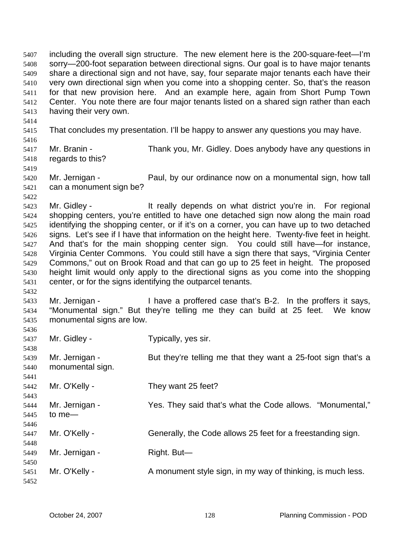including the overall sign structure. The new element here is the 200-square-feet—I'm sorry—200-foot separation between directional signs. Our goal is to have major tenants share a directional sign and not have, say, four separate major tenants each have their very own directional sign when you come into a shopping center. So, that's the reason for that new provision here. And an example here, again from Short Pump Town Center. You note there are four major tenants listed on a shared sign rather than each having their very own. 5407 5408 5409 5410 5411 5412 5413 5414 5415 5416 5417 5418 5419 5420 5421 5422 5423 5424 5425 5426 5427 5428 5429 5430 5431 5432 5433 5434 5435 5436 5437 5438 5439 5440 5441 5442 5443 5444 5445 5446 5447 5448 5449 5450 5451 5452 That concludes my presentation. I'll be happy to answer any questions you may have. Mr. Branin - Thank you, Mr. Gidley. Does anybody have any questions in regards to this? Mr. Jernigan - Paul, by our ordinance now on a monumental sign, how tall can a monument sign be? Mr. Gidley - The State of the really depends on what district you're in. For regional shopping centers, you're entitled to have one detached sign now along the main road identifying the shopping center, or if it's on a corner, you can have up to two detached signs. Let's see if I have that information on the height here. Twenty-five feet in height. And that's for the main shopping center sign. You could still have—for instance, Virginia Center Commons. You could still have a sign there that says, "Virginia Center Commons," out on Brook Road and that can go up to 25 feet in height. The proposed height limit would only apply to the directional signs as you come into the shopping center, or for the signs identifying the outparcel tenants. Mr. Jernigan - I have a proffered case that's B-2. In the proffers it says, "Monumental sign." But they're telling me they can build at 25 feet. We know monumental signs are low. Mr. Gidley - Typically, yes sir. Mr. Jernigan - But they're telling me that they want a 25-foot sign that's a monumental sign. Mr. O'Kelly - They want 25 feet? Mr. Jernigan - Yes. They said that's what the Code allows. "Monumental," to me— Mr. O'Kelly - Generally, the Code allows 25 feet for a freestanding sign. Mr. Jernigan - Right. But— Mr. O'Kelly - A monument style sign, in my way of thinking, is much less.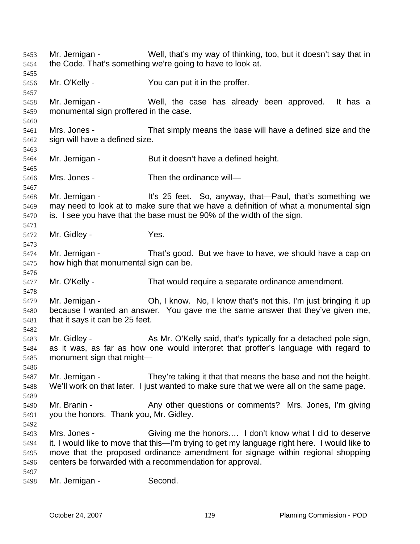Mr. Jernigan - Well, that's my way of thinking, too, but it doesn't say that in the Code. That's something we're going to have to look at. 5453 5454 5455 5456 5457 5458 5459 5460 5461 5462 5463 5464 5465 5466 5467 5468 5469 5470 5471 5472 5473 5474 5475 5476 5477 5478 5479 5480 5481 5482 5483 5484 5485 5486 5487 5488 5489 5490 5491 5492 5493 5494 5495 5496 5497 5498 Mr. O'Kelly - You can put it in the proffer. Mr. Jernigan - Well, the case has already been approved. It has a monumental sign proffered in the case. Mrs. Jones - That simply means the base will have a defined size and the sign will have a defined size. Mr. Jernigan - But it doesn't have a defined height. Mrs. Jones - Then the ordinance will— Mr. Jernigan - It's 25 feet. So, anyway, that—Paul, that's something we may need to look at to make sure that we have a definition of what a monumental sign is. I see you have that the base must be 90% of the width of the sign. Mr. Gidley - Yes. Mr. Jernigan - That's good. But we have to have, we should have a cap on how high that monumental sign can be. Mr. O'Kelly - That would require a separate ordinance amendment. Mr. Jernigan - **Oh, I know. No, I know that's not this. I'm just bringing it up** because I wanted an answer. You gave me the same answer that they've given me, that it says it can be 25 feet. Mr. Gidley - As Mr. O'Kelly said, that's typically for a detached pole sign, as it was, as far as how one would interpret that proffer's language with regard to monument sign that might— Mr. Jernigan - They're taking it that that means the base and not the height. We'll work on that later. I just wanted to make sure that we were all on the same page. Mr. Branin - The Any other questions or comments? Mrs. Jones, I'm giving you the honors. Thank you, Mr. Gidley. Mrs. Jones - Giving me the honors.... I don't know what I did to deserve it. I would like to move that this—I'm trying to get my language right here. I would like to move that the proposed ordinance amendment for signage within regional shopping centers be forwarded with a recommendation for approval. Mr. Jernigan - Second.